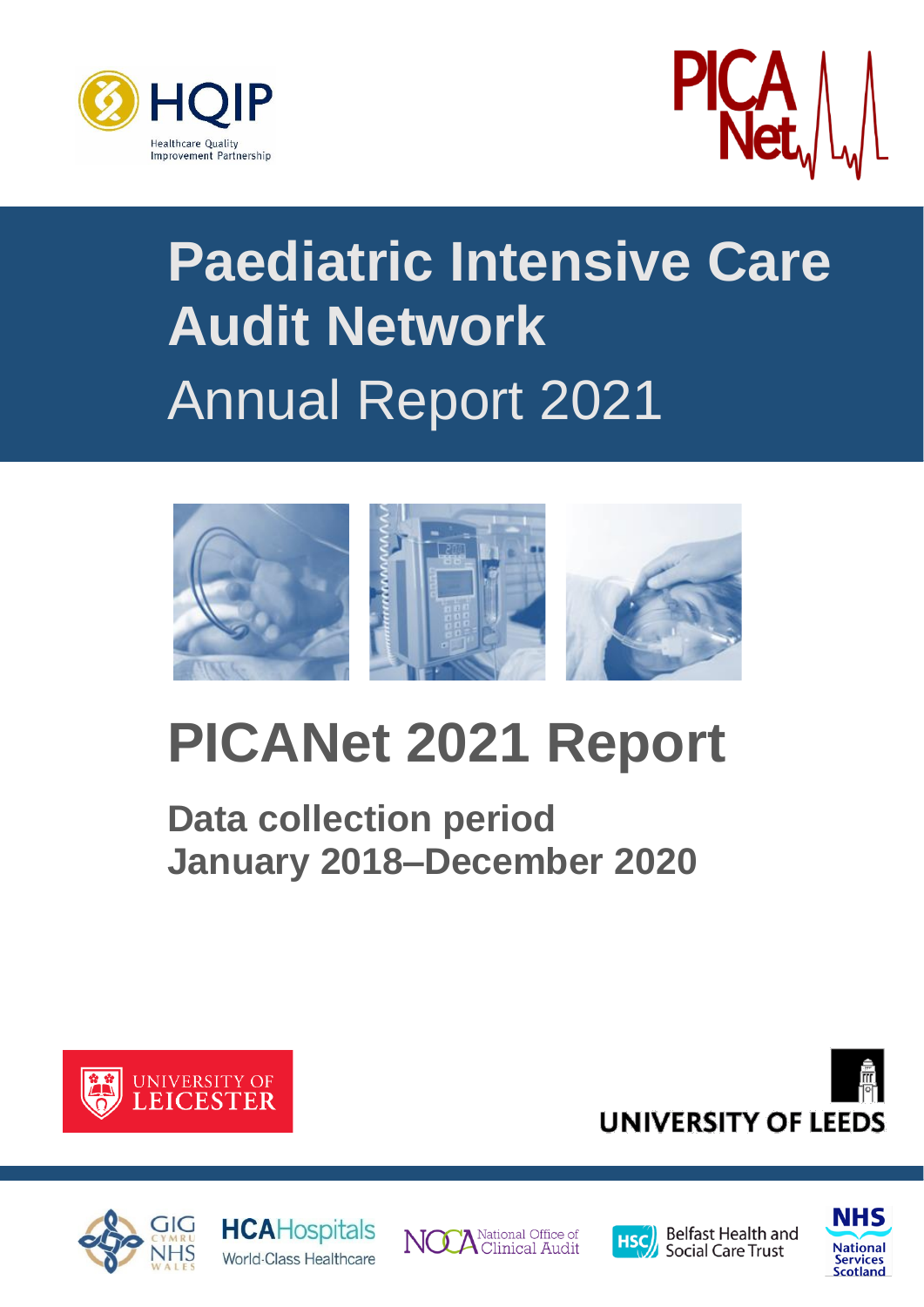



# **Paediatric Intensive Care Audit Network** Annual Report 2021



# **PICANet 2021 Report**

**Data collection period January 2018–December 2020**













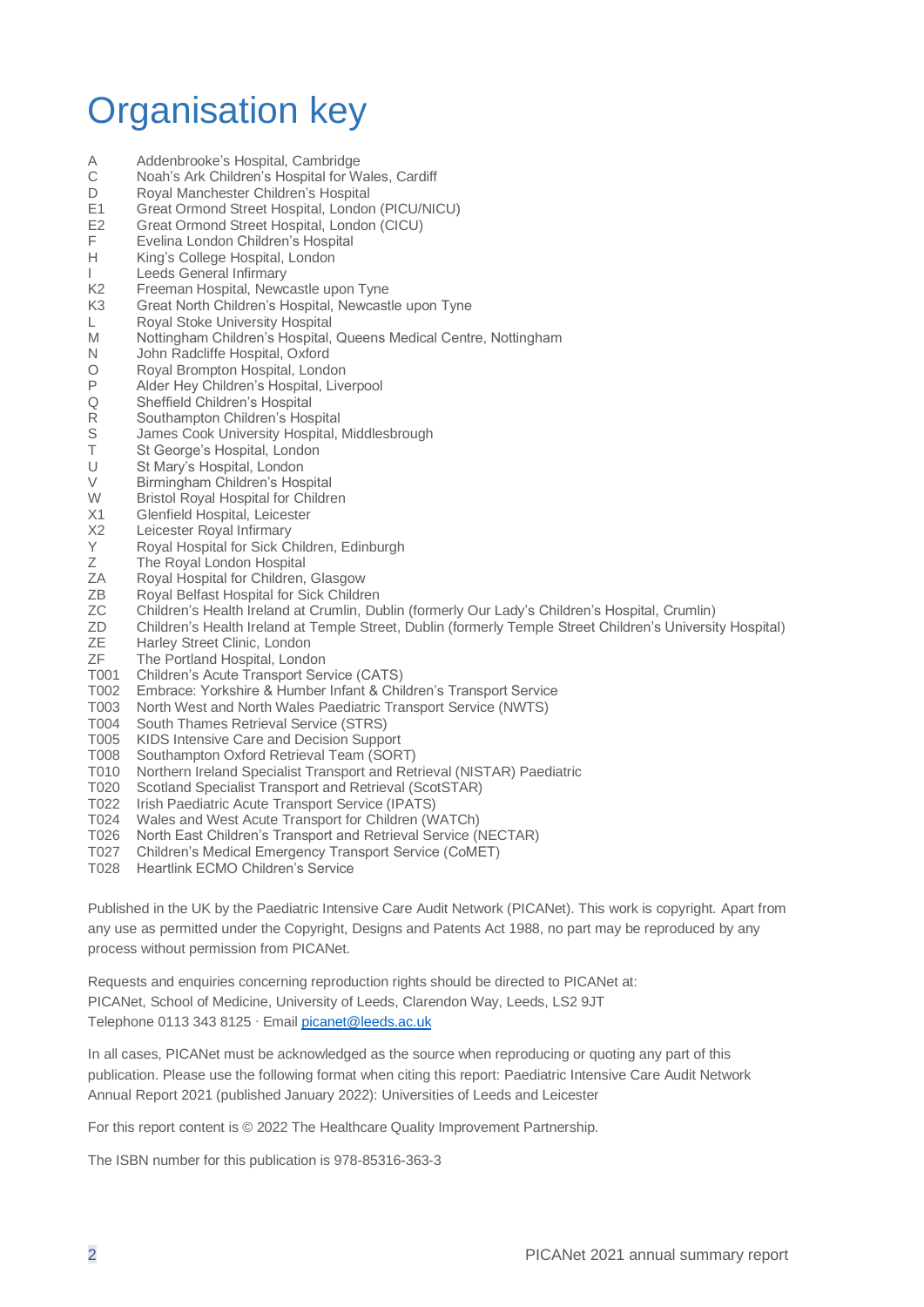## Organisation key

- A Addenbrooke's Hospital, Cambridge<br>C Noah's Ark Children's Hospital for W
- Noah's Ark Children's Hospital for Wales, Cardiff
- D Royal Manchester Children's Hospital
- E1 Great Ormond Street Hospital, London (PICU/NICU)<br>E2 Great Ormond Street Hospital, London (CICU)
- Great Ormond Street Hospital, London (CICU)
- F Evelina London Children's Hospital<br>H King's College Hospital, London
- King's College Hospital, London
- I Leeds General Infirmary
- K2 Freeman Hospital, Newcastle upon Tyne
- K3 Great North Children's Hospital, Newcastle upon Tyne
- L Royal Stoke University Hospital
- M Nottingham Children's Hospital, Queens Medical Centre, Nottingham
- N John Radcliffe Hospital, Oxford
- O Royal Brompton Hospital, London<br>P Alder Hey Children's Hospital Live
- P Alder Hey Children's Hospital, Liverpool<br>Q Sheffield Children's Hospital
- Q Sheffield Children's Hospital<br>R Southampton Children's Hos
- Southampton Children's Hospital
- S James Cook University Hospital, Middlesbrough<br>
T St George's Hospital London
- St George's Hospital, London
- U St Mary's Hospital, London
- V Birmingham Children's Hospital
- W Bristol Royal Hospital for Children
- X1 Glenfield Hospital, Leicester
- X2 Leicester Royal Infirmary
- Y Royal Hospital for Sick Children, Edinburgh
- Z The Royal London Hospital<br>ZA Roval Hospital for Children.
- Royal Hospital for Children, Glasgow
- ZB Royal Belfast Hospital for Sick Children
- ZC Children's Health Ireland at Crumlin, Dublin (formerly Our Lady's Children's Hospital, Crumlin)
- ZD Children's Health Ireland at Temple Street, Dublin (formerly Temple Street Children's University Hospital)
- ZE Harley Street Clinic, London<br>ZF The Portland Hospital, London
- The Portland Hospital, London
- T001 Children's Acute Transport Service (CATS)
- T002 Embrace: Yorkshire & Humber Infant & Children's Transport Service
- T003 North West and North Wales Paediatric Transport Service (NWTS)
- T004 South Thames Retrieval Service (STRS)
- T005 KIDS Intensive Care and Decision Support
- T008 Southampton Oxford Retrieval Team (SORT)
- T010 Northern Ireland Specialist Transport and Retrieval (NISTAR) Paediatric
- T020 Scotland Specialist Transport and Retrieval (ScotSTAR)
- 
- T022 Irish Paediatric Acute Transport Service (IPATS) Wales and West Acute Transport for Children (WATCh)
- T026 North East Children's Transport and Retrieval Service (NECTAR)
- T027 Children's Medical Emergency Transport Service (CoMET)
- T028 Heartlink ECMO Children's Service

Published in the UK by the Paediatric Intensive Care Audit Network (PICANet). This work is copyright. Apart from any use as permitted under the Copyright, Designs and Patents Act 1988, no part may be reproduced by any process without permission from PICANet.

Requests and enquiries concerning reproduction rights should be directed to PICANet at: PICANet, School of Medicine, University of Leeds, Clarendon Way, Leeds, LS2 9JT Telephone 0113 343 8125 ∙ Email [picanet@leeds.ac.uk](mailto:picanet@leeds.ac.uk?subject=PICANet%20annual%20report)

In all cases, PICANet must be acknowledged as the source when reproducing or quoting any part of this publication. Please use the following format when citing this report: Paediatric Intensive Care Audit Network Annual Report 2021 (published January 2022): Universities of Leeds and Leicester

For this report content is © 2022 The Healthcare Quality Improvement Partnership.

The ISBN number for this publication is 978-85316-363-3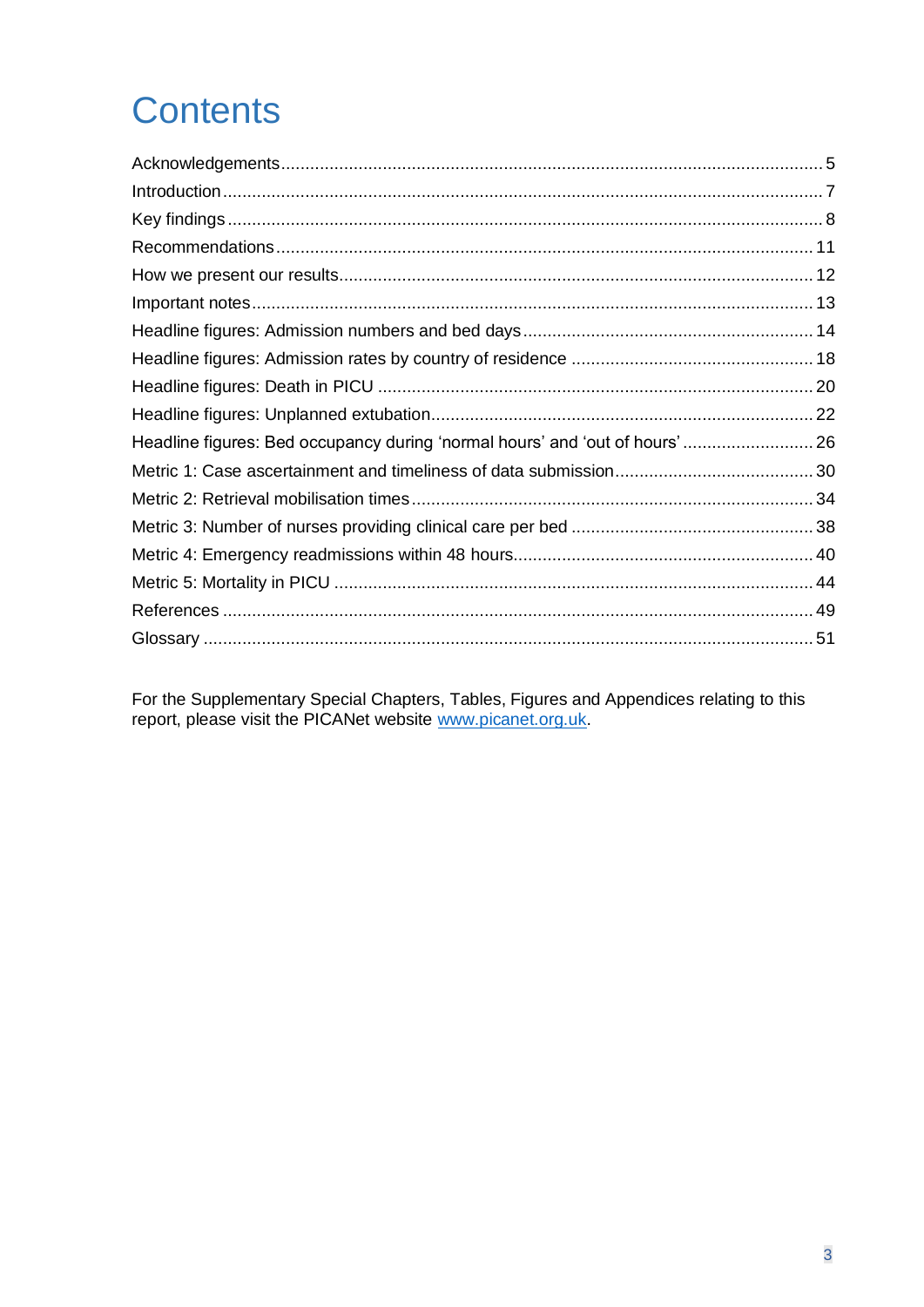## **Contents**

| Headline figures: Bed occupancy during 'normal hours' and 'out of hours' 26 |  |
|-----------------------------------------------------------------------------|--|
|                                                                             |  |
|                                                                             |  |
|                                                                             |  |
|                                                                             |  |
|                                                                             |  |
|                                                                             |  |
|                                                                             |  |

For the Supplementary Special Chapters, Tables, Figures and Appendices relating to this report, please visit the PICANet website www.picanet.org.uk.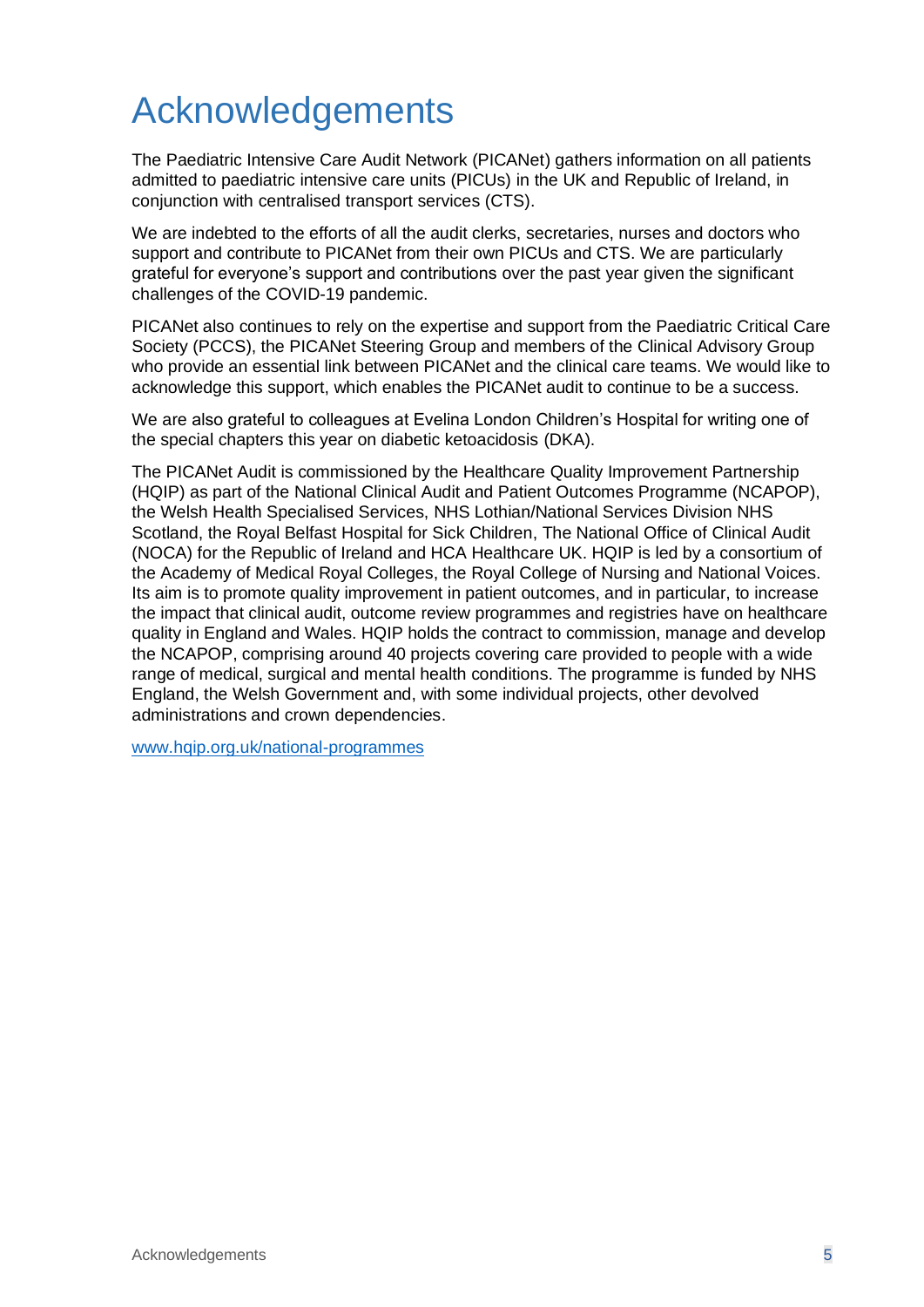## <span id="page-4-0"></span>Acknowledgements

The Paediatric Intensive Care Audit Network (PICANet) gathers information on all patients admitted to paediatric intensive care units (PICUs) in the UK and Republic of Ireland, in conjunction with centralised transport services (CTS).

We are indebted to the efforts of all the audit clerks, secretaries, nurses and doctors who support and contribute to PICANet from their own PICUs and CTS. We are particularly grateful for everyone's support and contributions over the past year given the significant challenges of the COVID-19 pandemic.

PICANet also continues to rely on the expertise and support from the Paediatric Critical Care Society (PCCS), the PICANet Steering Group and members of the Clinical Advisory Group who provide an essential link between PICANet and the clinical care teams. We would like to acknowledge this support, which enables the PICANet audit to continue to be a success.

We are also grateful to colleagues at Evelina London Children's Hospital for writing one of the special chapters this year on diabetic ketoacidosis (DKA).

The PICANet Audit is commissioned by the Healthcare Quality Improvement Partnership (HQIP) as part of the National Clinical Audit and Patient Outcomes Programme (NCAPOP), the Welsh Health Specialised Services, NHS Lothian/National Services Division NHS Scotland, the Royal Belfast Hospital for Sick Children, The National Office of Clinical Audit (NOCA) for the Republic of Ireland and HCA Healthcare UK. HQIP is led by a consortium of the Academy of Medical Royal Colleges, the Royal College of Nursing and National Voices. Its aim is to promote quality improvement in patient outcomes, and in particular, to increase the impact that clinical audit, outcome review programmes and registries have on healthcare quality in England and Wales. HQIP holds the contract to commission, manage and develop the NCAPOP, comprising around 40 projects covering care provided to people with a wide range of medical, surgical and mental health conditions. The programme is funded by NHS England, the Welsh Government and, with some individual projects, other devolved administrations and crown dependencies.

[www.hqip.org.uk/national-programmes](http://www.hqip.org.uk/national-programmes)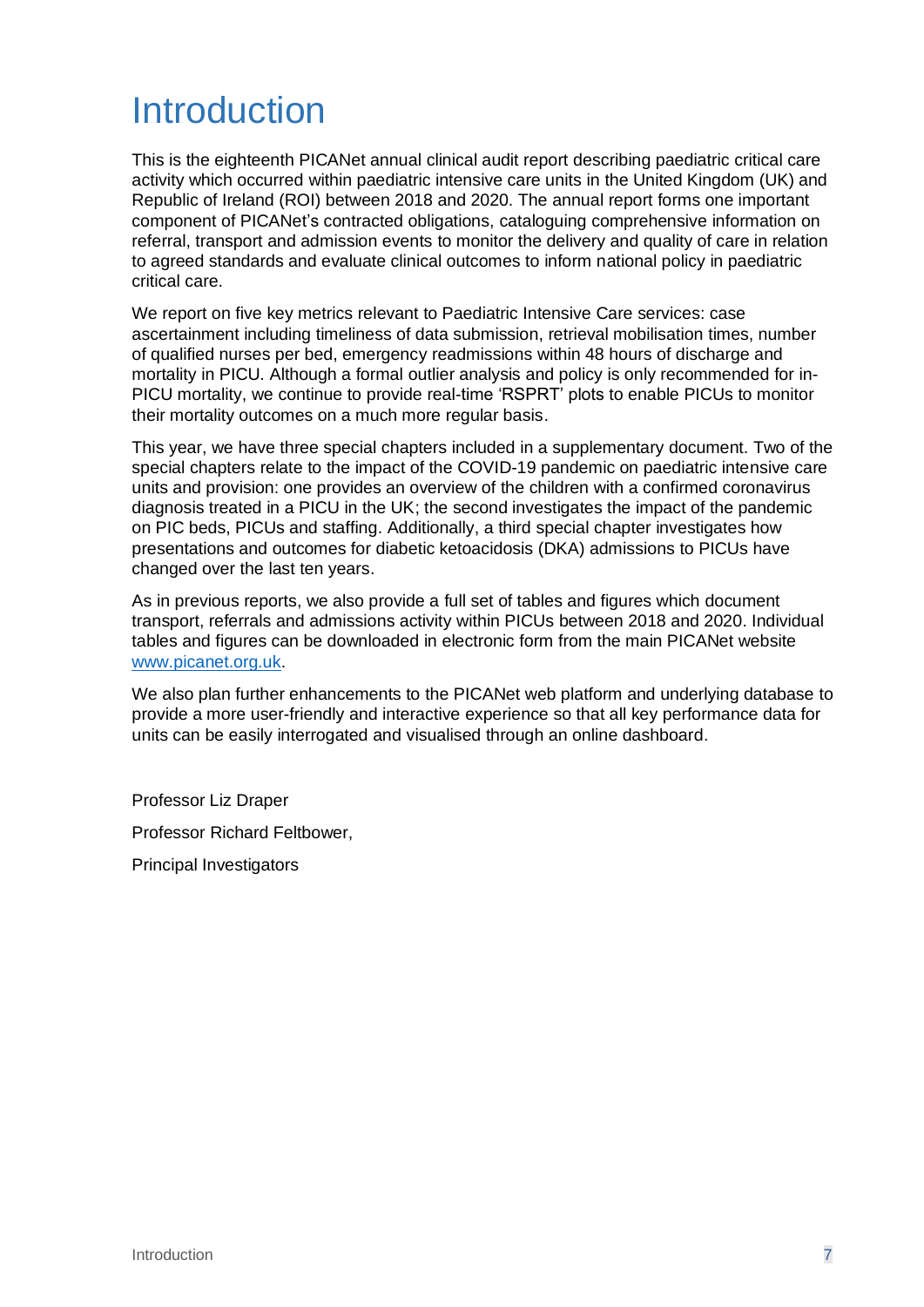## <span id="page-6-0"></span>**Introduction**

This is the eighteenth PICANet annual clinical audit report describing paediatric critical care activity which occurred within paediatric intensive care units in the United Kingdom (UK) and Republic of Ireland (ROI) between 2018 and 2020. The annual report forms one important component of PICANet's contracted obligations, cataloguing comprehensive information on referral, transport and admission events to monitor the delivery and quality of care in relation to agreed standards and evaluate clinical outcomes to inform national policy in paediatric critical care.

We report on five key metrics relevant to Paediatric Intensive Care services: case ascertainment including timeliness of data submission, retrieval mobilisation times, number of qualified nurses per bed, emergency readmissions within 48 hours of discharge and mortality in PICU. Although a formal outlier analysis and policy is only recommended for in-PICU mortality, we continue to provide real-time 'RSPRT' plots to enable PICUs to monitor their mortality outcomes on a much more regular basis.

This year, we have three special chapters included in a supplementary document. Two of the special chapters relate to the impact of the COVID-19 pandemic on paediatric intensive care units and provision: one provides an overview of the children with a confirmed coronavirus diagnosis treated in a PICU in the UK; the second investigates the impact of the pandemic on PIC beds, PICUs and staffing. Additionally, a third special chapter investigates how presentations and outcomes for diabetic ketoacidosis (DKA) admissions to PICUs have changed over the last ten years.

As in previous reports, we also provide a full set of tables and figures which document transport, referrals and admissions activity within PICUs between 2018 and 2020. Individual tables and figures can be downloaded in electronic form from the main PICANet website [www.picanet.org.uk.](https://www.picanet.org.uk/annual-reporting-and-publications/)

We also plan further enhancements to the PICANet web platform and underlying database to provide a more user-friendly and interactive experience so that all key performance data for units can be easily interrogated and visualised through an online dashboard.

Professor Liz Draper

Professor Richard Feltbower,

Principal Investigators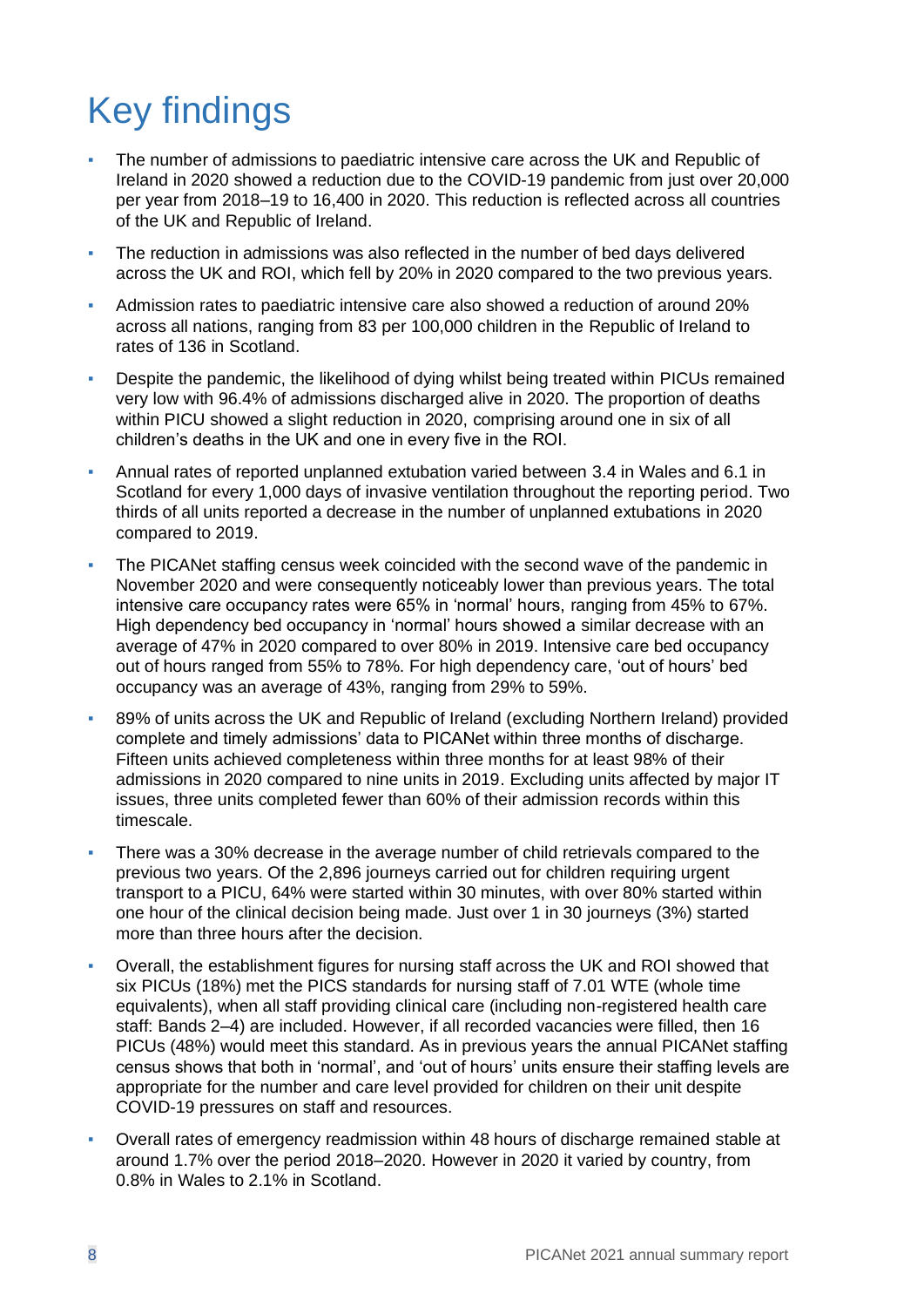## <span id="page-7-0"></span>Key findings

- The number of admissions to paediatric intensive care across the UK and Republic of Ireland in 2020 showed a reduction due to the COVID-19 pandemic from just over 20,000 per year from 2018–19 to 16,400 in 2020. This reduction is reflected across all countries of the UK and Republic of Ireland.
- The reduction in admissions was also reflected in the number of bed days delivered across the UK and ROI, which fell by 20% in 2020 compared to the two previous years.
- Admission rates to paediatric intensive care also showed a reduction of around 20% across all nations, ranging from 83 per 100,000 children in the Republic of Ireland to rates of 136 in Scotland.
- Despite the pandemic, the likelihood of dying whilst being treated within PICUs remained very low with 96.4% of admissions discharged alive in 2020. The proportion of deaths within PICU showed a slight reduction in 2020, comprising around one in six of all children's deaths in the UK and one in every five in the ROI.
- Annual rates of reported unplanned extubation varied between 3.4 in Wales and 6.1 in Scotland for every 1,000 days of invasive ventilation throughout the reporting period. Two thirds of all units reported a decrease in the number of unplanned extubations in 2020 compared to 2019.
- The PICANet staffing census week coincided with the second wave of the pandemic in November 2020 and were consequently noticeably lower than previous years. The total intensive care occupancy rates were 65% in 'normal' hours, ranging from 45% to 67%. High dependency bed occupancy in 'normal' hours showed a similar decrease with an average of 47% in 2020 compared to over 80% in 2019. Intensive care bed occupancy out of hours ranged from 55% to 78%. For high dependency care, 'out of hours' bed occupancy was an average of 43%, ranging from 29% to 59%.
- 89% of units across the UK and Republic of Ireland (excluding Northern Ireland) provided complete and timely admissions' data to PICANet within three months of discharge. Fifteen units achieved completeness within three months for at least 98% of their admissions in 2020 compared to nine units in 2019. Excluding units affected by major IT issues, three units completed fewer than 60% of their admission records within this timescale.
- There was a 30% decrease in the average number of child retrievals compared to the previous two years. Of the 2,896 journeys carried out for children requiring urgent transport to a PICU, 64% were started within 30 minutes, with over 80% started within one hour of the clinical decision being made. Just over 1 in 30 journeys (3%) started more than three hours after the decision.
- Overall, the establishment figures for nursing staff across the UK and ROI showed that six PICUs (18%) met the PICS standards for nursing staff of 7.01 WTE (whole time equivalents), when all staff providing clinical care (including non-registered health care staff: Bands 2–4) are included. However, if all recorded vacancies were filled, then 16 PICUs (48%) would meet this standard. As in previous years the annual PICANet staffing census shows that both in 'normal', and 'out of hours' units ensure their staffing levels are appropriate for the number and care level provided for children on their unit despite COVID-19 pressures on staff and resources.
- Overall rates of emergency readmission within 48 hours of discharge remained stable at around 1.7% over the period 2018–2020. However in 2020 it varied by country, from 0.8% in Wales to 2.1% in Scotland.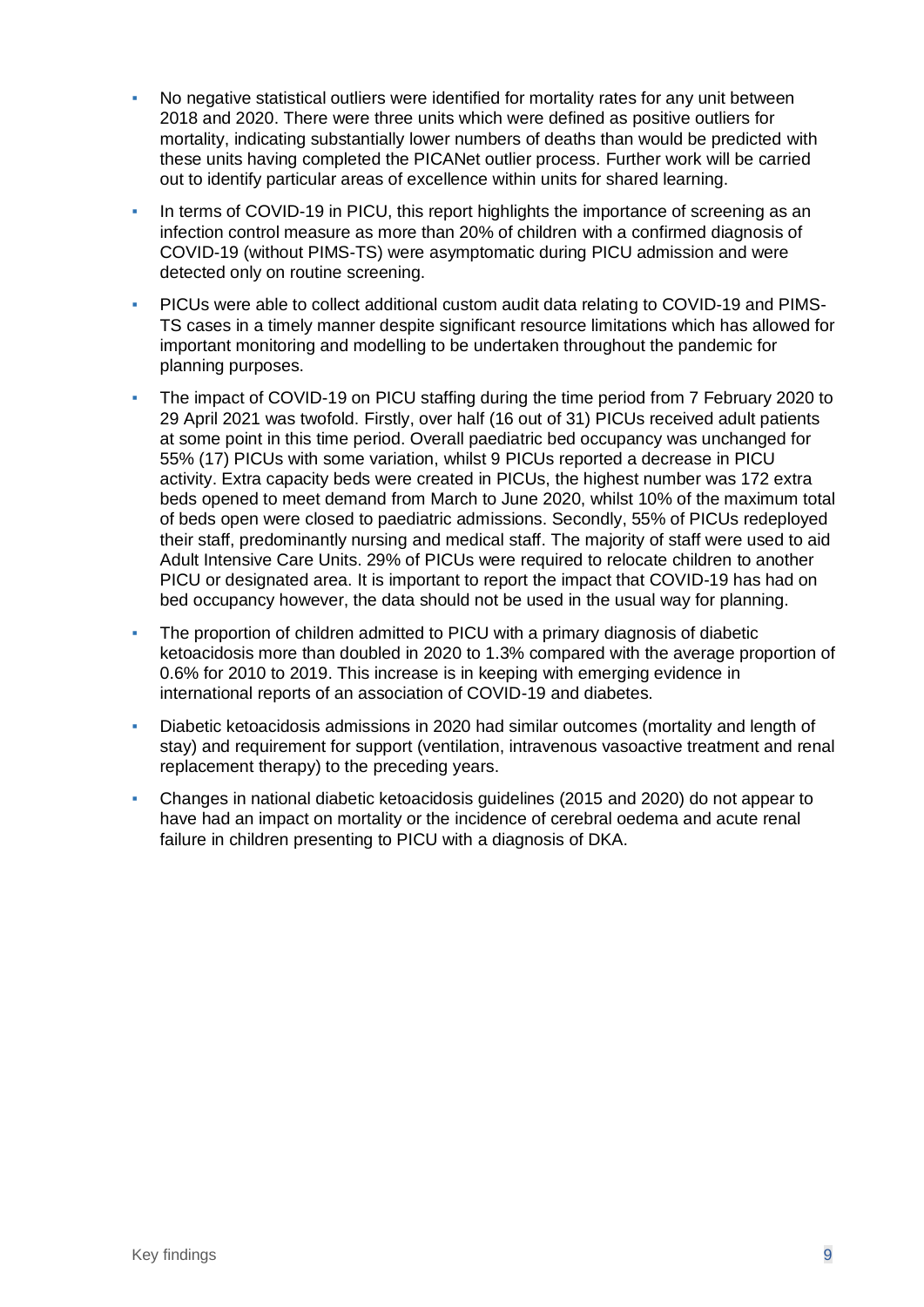- No negative statistical outliers were identified for mortality rates for any unit between 2018 and 2020. There were three units which were defined as positive outliers for mortality, indicating substantially lower numbers of deaths than would be predicted with these units having completed the PICANet outlier process. Further work will be carried out to identify particular areas of excellence within units for shared learning.
- **In terms of COVID-19 in PICU, this report highlights the importance of screening as an** infection control measure as more than 20% of children with a confirmed diagnosis of COVID-19 (without PIMS-TS) were asymptomatic during PICU admission and were detected only on routine screening.
- PICUs were able to collect additional custom audit data relating to COVID-19 and PIMS-TS cases in a timely manner despite significant resource limitations which has allowed for important monitoring and modelling to be undertaken throughout the pandemic for planning purposes.
- The impact of COVID-19 on PICU staffing during the time period from 7 February 2020 to 29 April 2021 was twofold. Firstly, over half (16 out of 31) PICUs received adult patients at some point in this time period. Overall paediatric bed occupancy was unchanged for 55% (17) PICUs with some variation, whilst 9 PICUs reported a decrease in PICU activity. Extra capacity beds were created in PICUs, the highest number was 172 extra beds opened to meet demand from March to June 2020, whilst 10% of the maximum total of beds open were closed to paediatric admissions. Secondly, 55% of PICUs redeployed their staff, predominantly nursing and medical staff. The majority of staff were used to aid Adult Intensive Care Units. 29% of PICUs were required to relocate children to another PICU or designated area. It is important to report the impact that COVID-19 has had on bed occupancy however, the data should not be used in the usual way for planning.
- The proportion of children admitted to PICU with a primary diagnosis of diabetic ketoacidosis more than doubled in 2020 to 1.3% compared with the average proportion of 0.6% for 2010 to 2019. This increase is in keeping with emerging evidence in international reports of an association of COVID-19 and diabetes.
- Diabetic ketoacidosis admissions in 2020 had similar outcomes (mortality and length of stay) and requirement for support (ventilation, intravenous vasoactive treatment and renal replacement therapy) to the preceding years.
- Changes in national diabetic ketoacidosis guidelines (2015 and 2020) do not appear to have had an impact on mortality or the incidence of cerebral oedema and acute renal failure in children presenting to PICU with a diagnosis of DKA.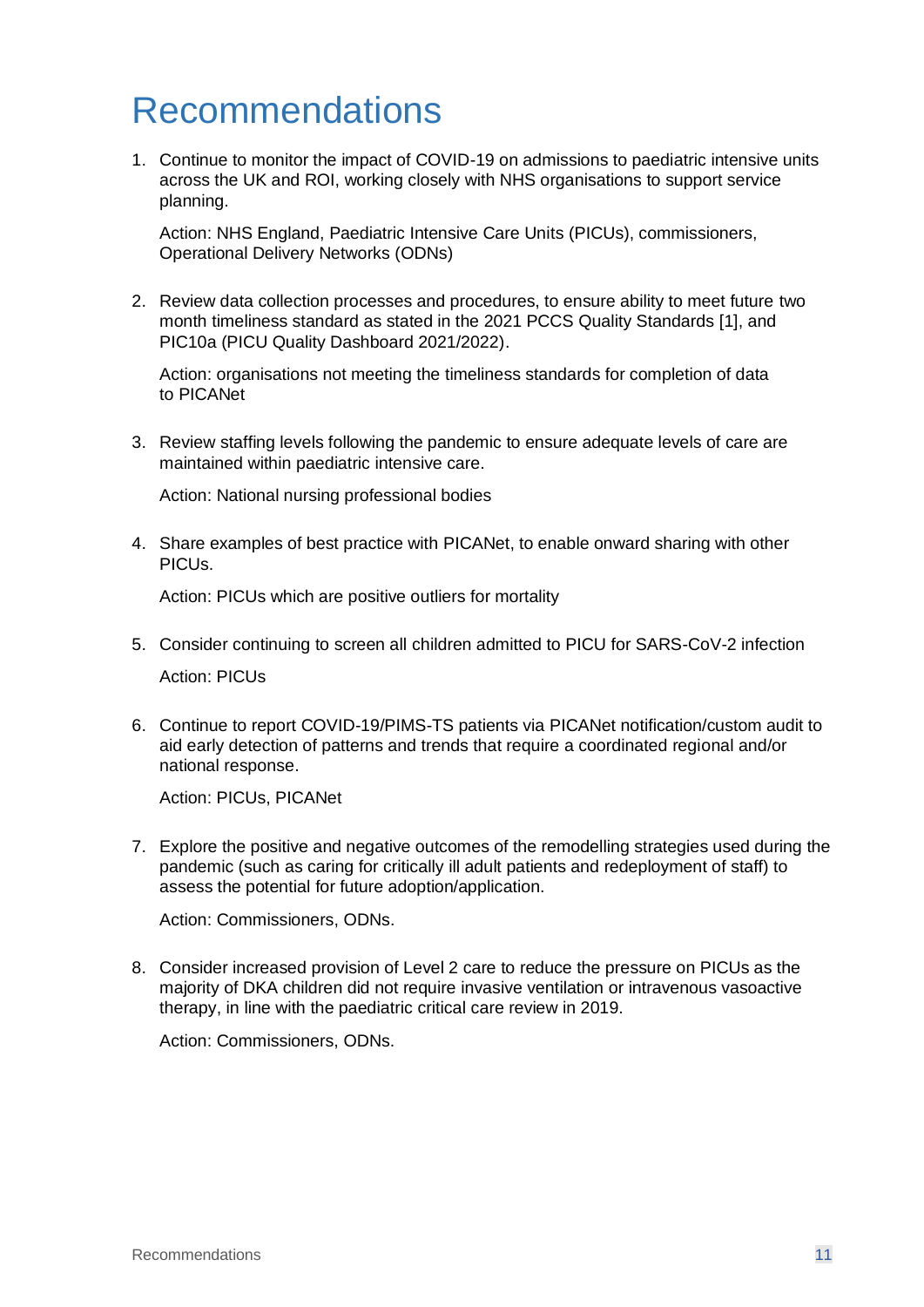## <span id="page-10-0"></span>Recommendations

1. Continue to monitor the impact of COVID-19 on admissions to paediatric intensive units across the UK and ROI, working closely with NHS organisations to support service planning.

Action: NHS England, Paediatric Intensive Care Units (PICUs), commissioners, Operational Delivery Networks (ODNs)

2. Review data collection processes and procedures, to ensure ability to meet future two month timeliness standard as stated in the 2021 PCCS Quality Standards [1], and PIC10a (PICU Quality Dashboard 2021/2022).

Action: organisations not meeting the timeliness standards for completion of data to PICANet

3. Review staffing levels following the pandemic to ensure adequate levels of care are maintained within paediatric intensive care.

Action: National nursing professional bodies

4. Share examples of best practice with PICANet, to enable onward sharing with other PICUs.

Action: PICUs which are positive outliers for mortality

- 5. Consider continuing to screen all children admitted to PICU for SARS-CoV-2 infection Action: PICUs
- 6. Continue to report COVID-19/PIMS-TS patients via PICANet notification/custom audit to aid early detection of patterns and trends that require a coordinated regional and/or national response.

Action: PICUs, PICANet

7. Explore the positive and negative outcomes of the remodelling strategies used during the pandemic (such as caring for critically ill adult patients and redeployment of staff) to assess the potential for future adoption/application.

Action: Commissioners, ODNs.

8. Consider increased provision of Level 2 care to reduce the pressure on PICUs as the majority of DKA children did not require invasive ventilation or intravenous vasoactive therapy, in line with the paediatric critical care review in 2019.

Action: Commissioners, ODNs.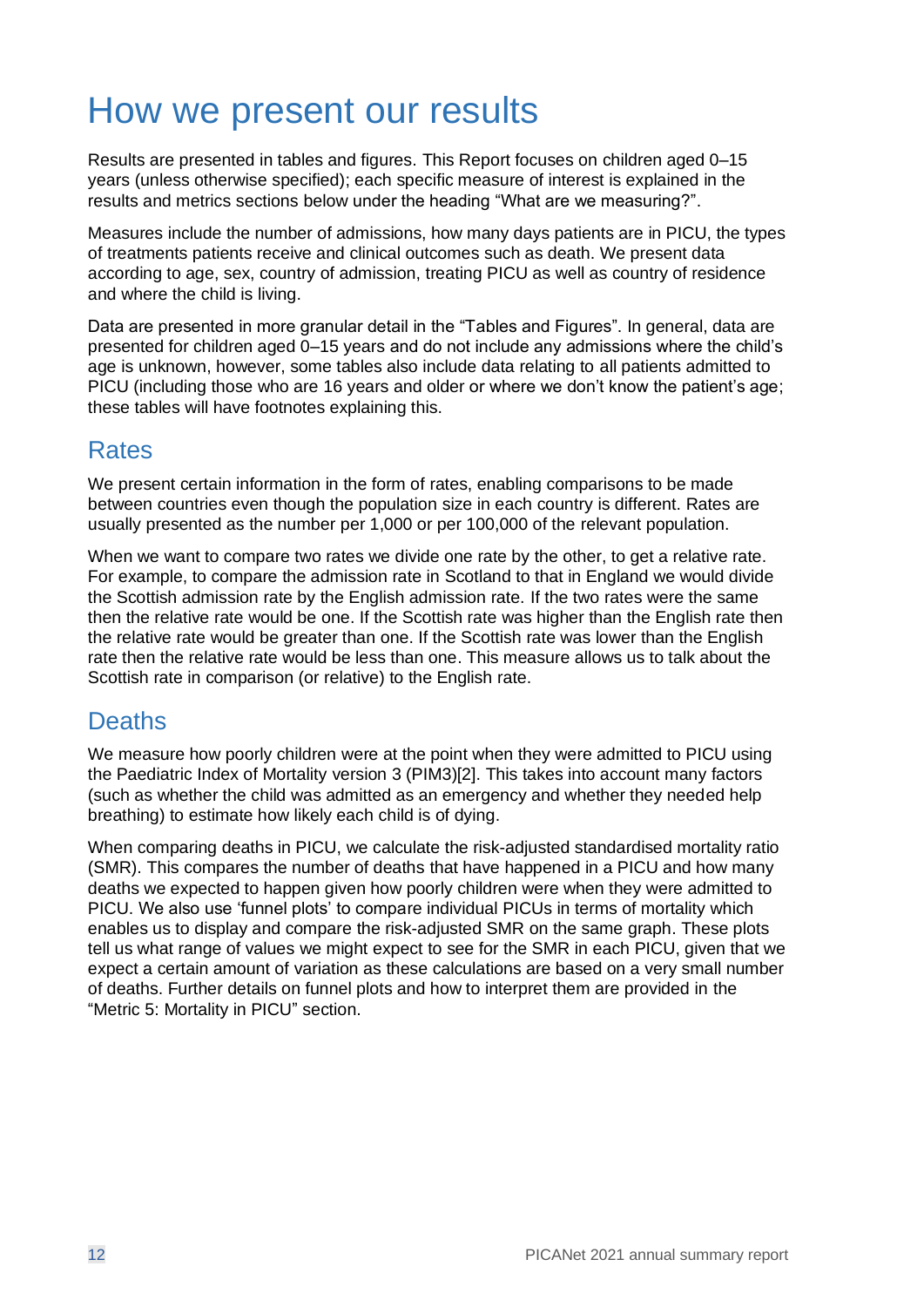## <span id="page-11-0"></span>How we present our results

Results are presented in tables and figures. This Report focuses on children aged 0–15 years (unless otherwise specified); each specific measure of interest is explained in the results and metrics sections below under the heading "What are we measuring?".

Measures include the number of admissions, how many days patients are in PICU, the types of treatments patients receive and clinical outcomes such as death. We present data according to age, sex, country of admission, treating PICU as well as country of residence and where the child is living.

Data are presented in more granular detail in the "Tables and Figures". In general, data are presented for children aged 0–15 years and do not include any admissions where the child's age is unknown, however, some tables also include data relating to all patients admitted to PICU (including those who are 16 years and older or where we don't know the patient's age; these tables will have footnotes explaining this.

#### **Rates**

We present certain information in the form of rates, enabling comparisons to be made between countries even though the population size in each country is different. Rates are usually presented as the number per 1,000 or per 100,000 of the relevant population.

When we want to compare two rates we divide one rate by the other, to get a relative rate. For example, to compare the admission rate in Scotland to that in England we would divide the Scottish admission rate by the English admission rate. If the two rates were the same then the relative rate would be one. If the Scottish rate was higher than the English rate then the relative rate would be greater than one. If the Scottish rate was lower than the English rate then the relative rate would be less than one. This measure allows us to talk about the Scottish rate in comparison (or relative) to the English rate.

#### **Deaths**

We measure how poorly children were at the point when they were admitted to PICU using the Paediatric Index of Mortality version 3 (PIM3)[2]. This takes into account many factors (such as whether the child was admitted as an emergency and whether they needed help breathing) to estimate how likely each child is of dying.

When comparing deaths in PICU, we calculate the risk-adjusted standardised mortality ratio (SMR). This compares the number of deaths that have happened in a PICU and how many deaths we expected to happen given how poorly children were when they were admitted to PICU. We also use 'funnel plots' to compare individual PICUs in terms of mortality which enables us to display and compare the risk-adjusted SMR on the same graph. These plots tell us what range of values we might expect to see for the SMR in each PICU, given that we expect a certain amount of variation as these calculations are based on a very small number of deaths. Further details on funnel plots and how to interpret them are provided in the ["Metric 5: Mortality in PICU"](#page-43-0) section.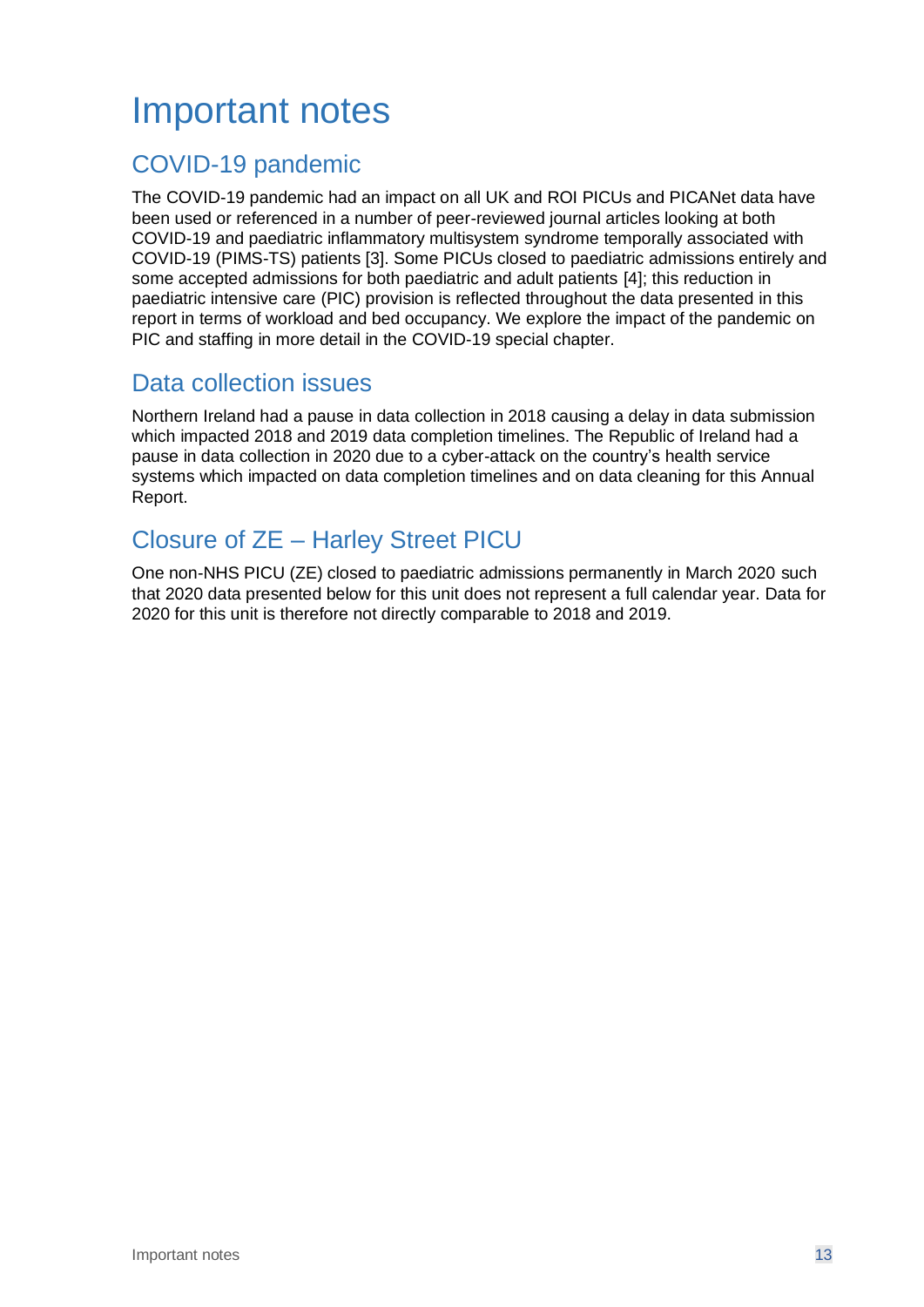## <span id="page-12-0"></span>Important notes

#### COVID-19 pandemic

The COVID-19 pandemic had an impact on all UK and ROI PICUs and PICANet data have been used or referenced in a number of peer-reviewed journal articles looking at both COVID-19 and paediatric inflammatory multisystem syndrome temporally associated with COVID-19 (PIMS-TS) patients [3]. Some PICUs closed to paediatric admissions entirely and some accepted admissions for both paediatric and adult patients [4]; this reduction in paediatric intensive care (PIC) provision is reflected throughout the data presented in this report in terms of workload and bed occupancy. We explore the impact of the pandemic on PIC and staffing in more detail in the COVID-19 special chapter.

#### Data collection issues

Northern Ireland had a pause in data collection in 2018 causing a delay in data submission which impacted 2018 and 2019 data completion timelines. The Republic of Ireland had a pause in data collection in 2020 due to a cyber-attack on the country's health service systems which impacted on data completion timelines and on data cleaning for this Annual Report.

#### Closure of ZE – Harley Street PICU

One non-NHS PICU (ZE) closed to paediatric admissions permanently in March 2020 such that 2020 data presented below for this unit does not represent a full calendar year. Data for 2020 for this unit is therefore not directly comparable to 2018 and 2019.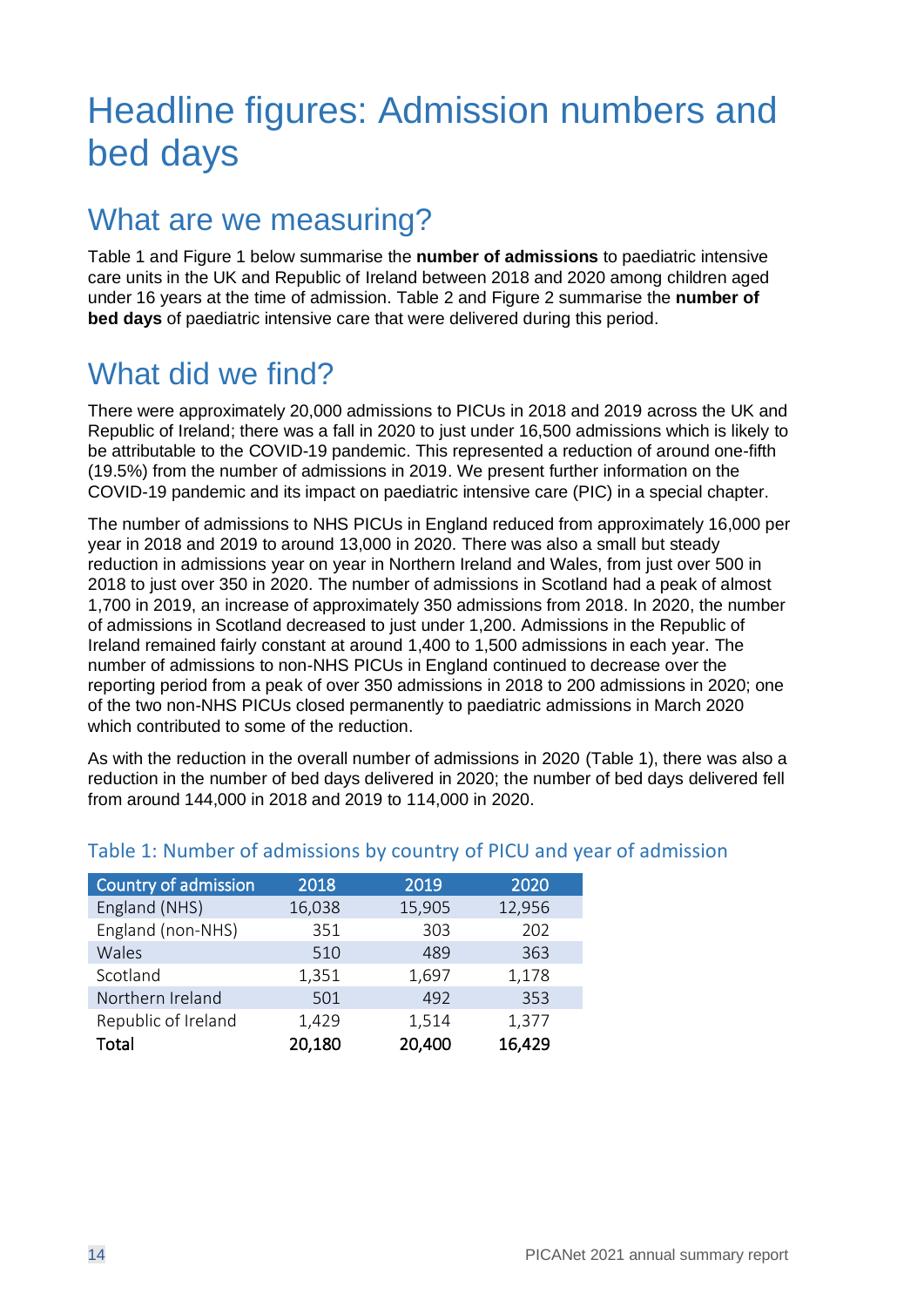## <span id="page-13-0"></span>Headline figures: Admission numbers and bed days

## What are we measuring?

[Table](#page-13-1) 1 and [Figure 1](#page-14-0) [below](#page-13-2) summarise the **number of admissions** to paediatric intensive care units in the UK and Republic of Ireland between 2018 and 2020 among children aged under 16 years at the time of admission. [Table 2](#page-14-1) and [Figure 2](#page-15-0) summarise the **number of bed days** of paediatric intensive care that were delivered during this period.

## What did we find?

There were approximately 20,000 admissions to PICUs in 2018 and 2019 across the UK and Republic of Ireland; there was a fall in 2020 to just under 16,500 admissions which is likely to be attributable to the COVID-19 pandemic. This represented a reduction of around one-fifth (19.5%) from the number of admissions in 2019. We present further information on the COVID-19 pandemic and its impact on paediatric intensive care (PIC) in a special chapter.

The number of admissions to NHS PICUs in England reduced from approximately 16,000 per year in 2018 and 2019 to around 13,000 in 2020. There was also a small but steady reduction in admissions year on year in Northern Ireland and Wales, from just over 500 in 2018 to just over 350 in 2020. The number of admissions in Scotland had a peak of almost 1,700 in 2019, an increase of approximately 350 admissions from 2018. In 2020, the number of admissions in Scotland decreased to just under 1,200. Admissions in the Republic of Ireland remained fairly constant at around 1,400 to 1,500 admissions in each year. The number of admissions to non-NHS PICUs in England continued to decrease over the reporting period from a peak of over 350 admissions in 2018 to 200 admissions in 2020; one of the two non-NHS PICUs closed permanently to paediatric admissions in March 2020 which contributed to some of the reduction.

As with the reduction in the overall number of admissions in 2020 [\(Table](#page-13-1) 1), there was also a reduction in the number of bed days delivered in 2020; the number of bed days delivered fell from around 144,000 in 2018 and 2019 to 114,000 in 2020.

<span id="page-13-2"></span>

| Country of admission | 2018   | 2019   | 2020   |
|----------------------|--------|--------|--------|
| England (NHS)        | 16,038 | 15,905 | 12,956 |
| England (non-NHS)    | 351    | 303    | 202    |
| Wales                | 510    | 489    | 363    |
| Scotland             | 1,351  | 1,697  | 1,178  |
| Northern Ireland     | 501    | 492    | 353    |
| Republic of Ireland  | 1,429  | 1,514  | 1,377  |
| Total                | 20,180 | 20,400 | 16,429 |

#### <span id="page-13-1"></span>Table 1: Number of admissions by country of PICU and year of admission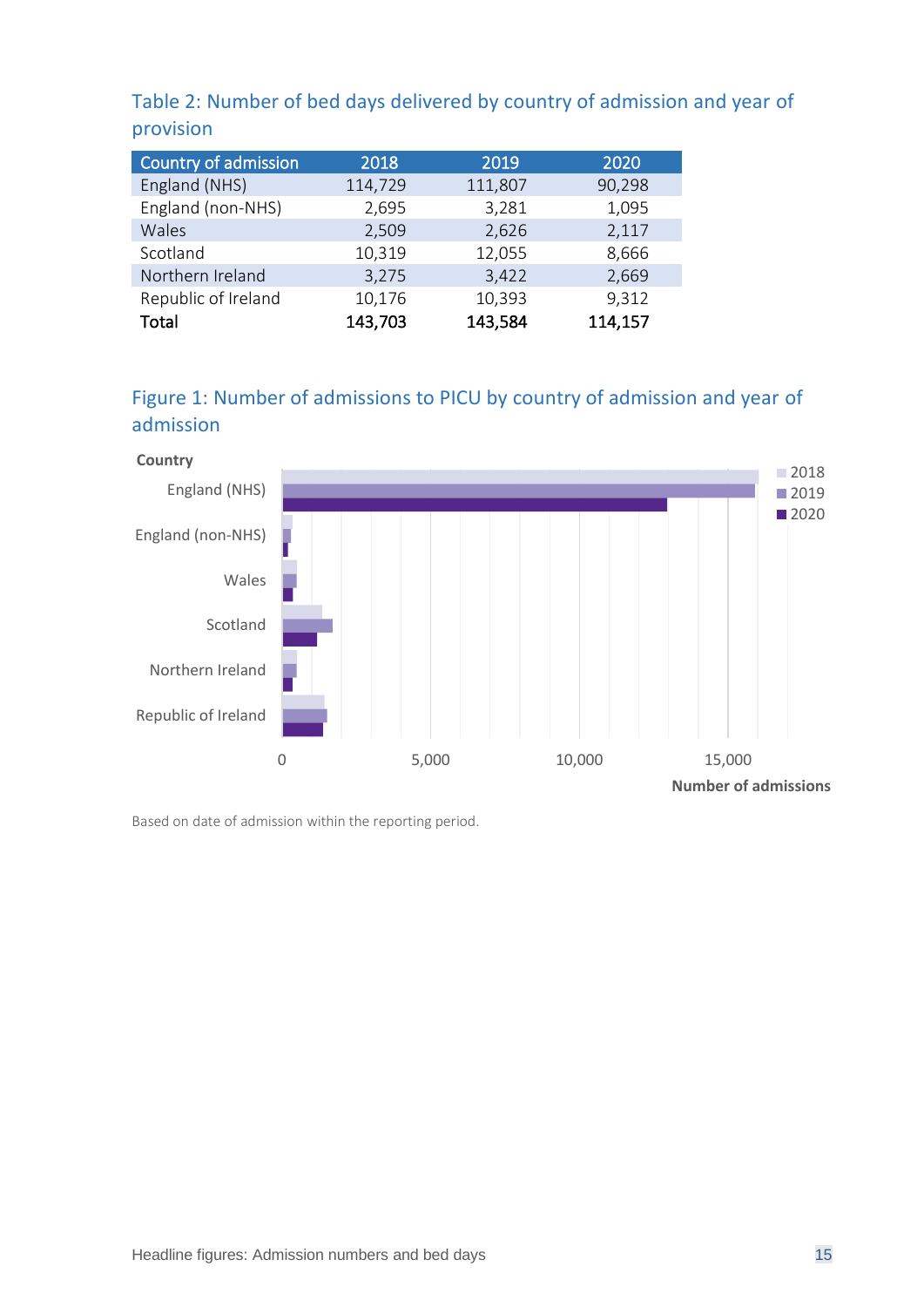<span id="page-14-1"></span>Table 2: Number of bed days delivered by country of admission and year of provision

| Country of admission | 2018    | 2019    | 2020    |
|----------------------|---------|---------|---------|
| England (NHS)        | 114,729 | 111,807 | 90,298  |
| England (non-NHS)    | 2,695   | 3,281   | 1,095   |
| Wales                | 2,509   | 2,626   | 2,117   |
| Scotland             | 10,319  | 12,055  | 8,666   |
| Northern Ireland     | 3,275   | 3,422   | 2,669   |
| Republic of Ireland  | 10,176  | 10,393  | 9,312   |
| <b>Total</b>         | 143,703 | 143,584 | 114,157 |

#### <span id="page-14-0"></span>Figure 1: Number of admissions to PICU by country of admission and year of admission



Based on date of admission within the reporting period.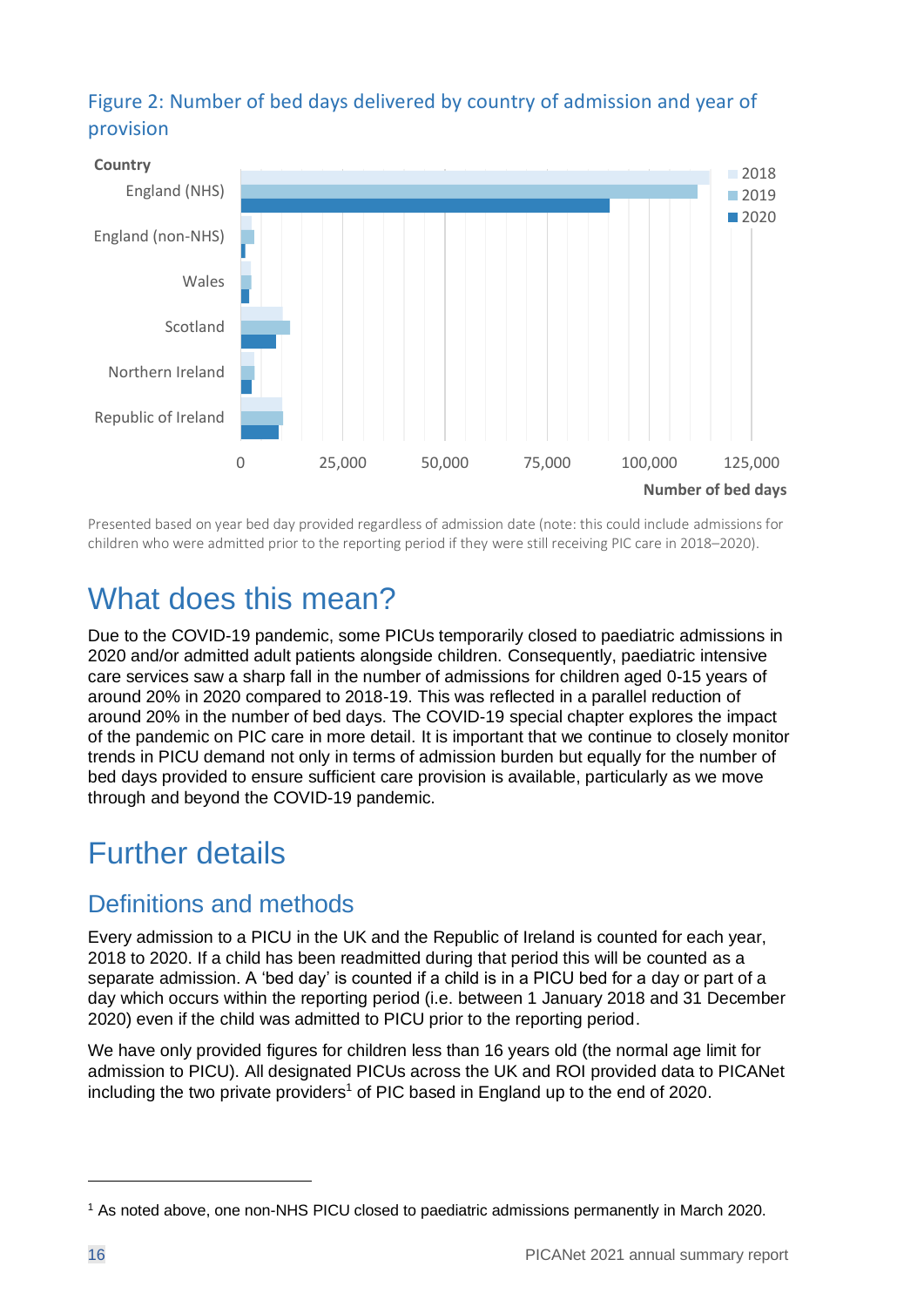#### <span id="page-15-0"></span>Figure 2: Number of bed days delivered by country of admission and year of provision



Presented based on year bed day provided regardless of admission date (note: this could include admissions for children who were admitted prior to the reporting period if they were still receiving PIC care in 2018–2020).

## What does this mean?

Due to the COVID-19 pandemic, some PICUs temporarily closed to paediatric admissions in 2020 and/or admitted adult patients alongside children. Consequently, paediatric intensive care services saw a sharp fall in the number of admissions for children aged 0-15 years of around 20% in 2020 compared to 2018-19. This was reflected in a parallel reduction of around 20% in the number of bed days. The COVID-19 special chapter explores the impact of the pandemic on PIC care in more detail. It is important that we continue to closely monitor trends in PICU demand not only in terms of admission burden but equally for the number of bed days provided to ensure sufficient care provision is available, particularly as we move through and beyond the COVID-19 pandemic.

## Further details

#### Definitions and methods

Every admission to a PICU in the UK and the Republic of Ireland is counted for each year, 2018 to 2020. If a child has been readmitted during that period this will be counted as a separate admission. A 'bed day' is counted if a child is in a PICU bed for a day or part of a day which occurs within the reporting period (i.e. between 1 January 2018 and 31 December 2020) even if the child was admitted to PICU prior to the reporting period.

We have only provided figures for children less than 16 years old (the normal age limit for admission to PICU). All designated PICUs across the UK and ROI provided data to PICANet including the two private providers<sup>1</sup> of PIC based in England up to the end of 2020.

<sup>1</sup> As noted above, one non-NHS PICU closed to paediatric admissions permanently in March 2020.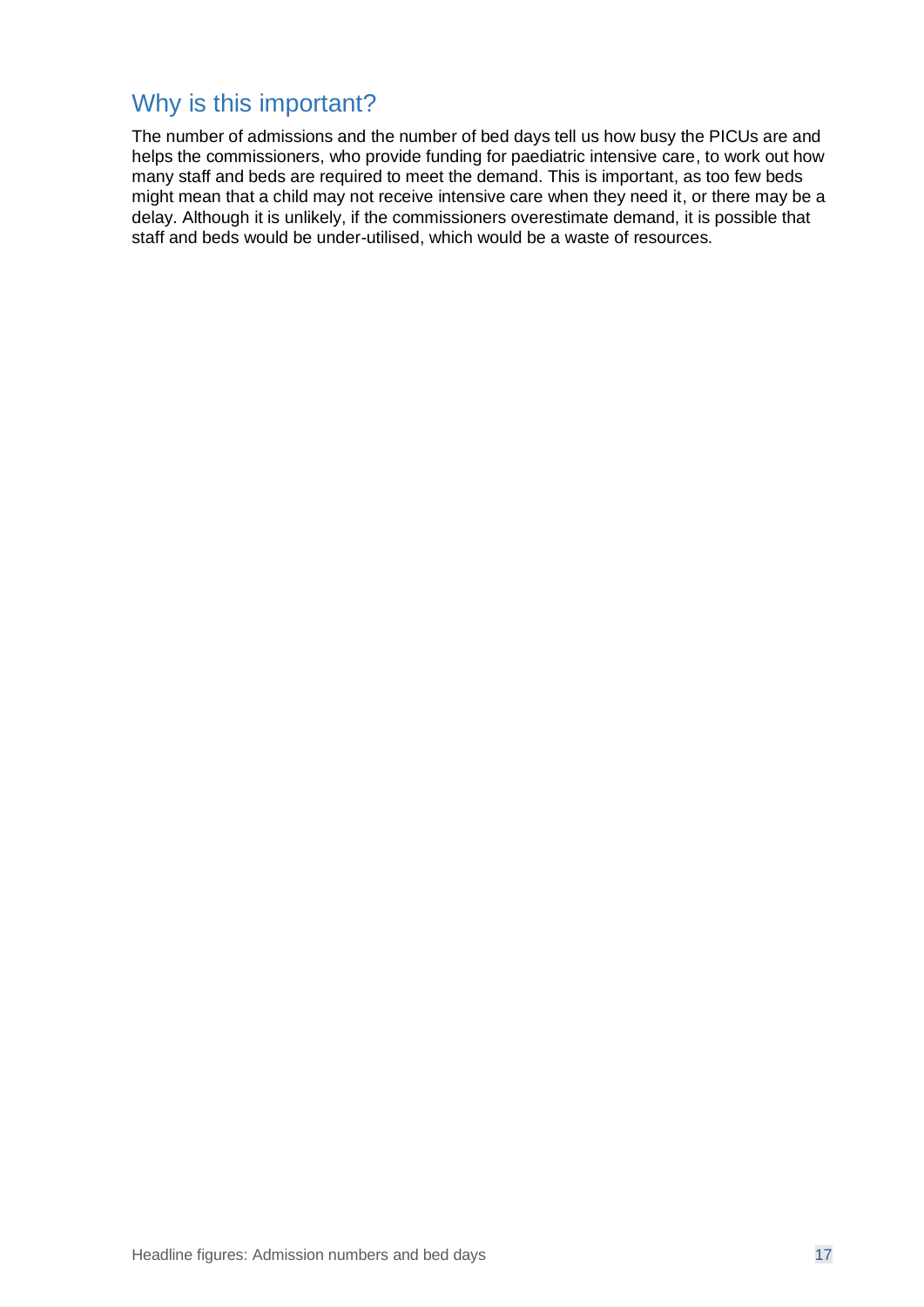#### Why is this important?

The number of admissions and the number of bed days tell us how busy the PICUs are and helps the commissioners, who provide funding for paediatric intensive care, to work out how many staff and beds are required to meet the demand. This is important, as too few beds might mean that a child may not receive intensive care when they need it, or there may be a delay. Although it is unlikely, if the commissioners overestimate demand, it is possible that staff and beds would be under-utilised, which would be a waste of resources.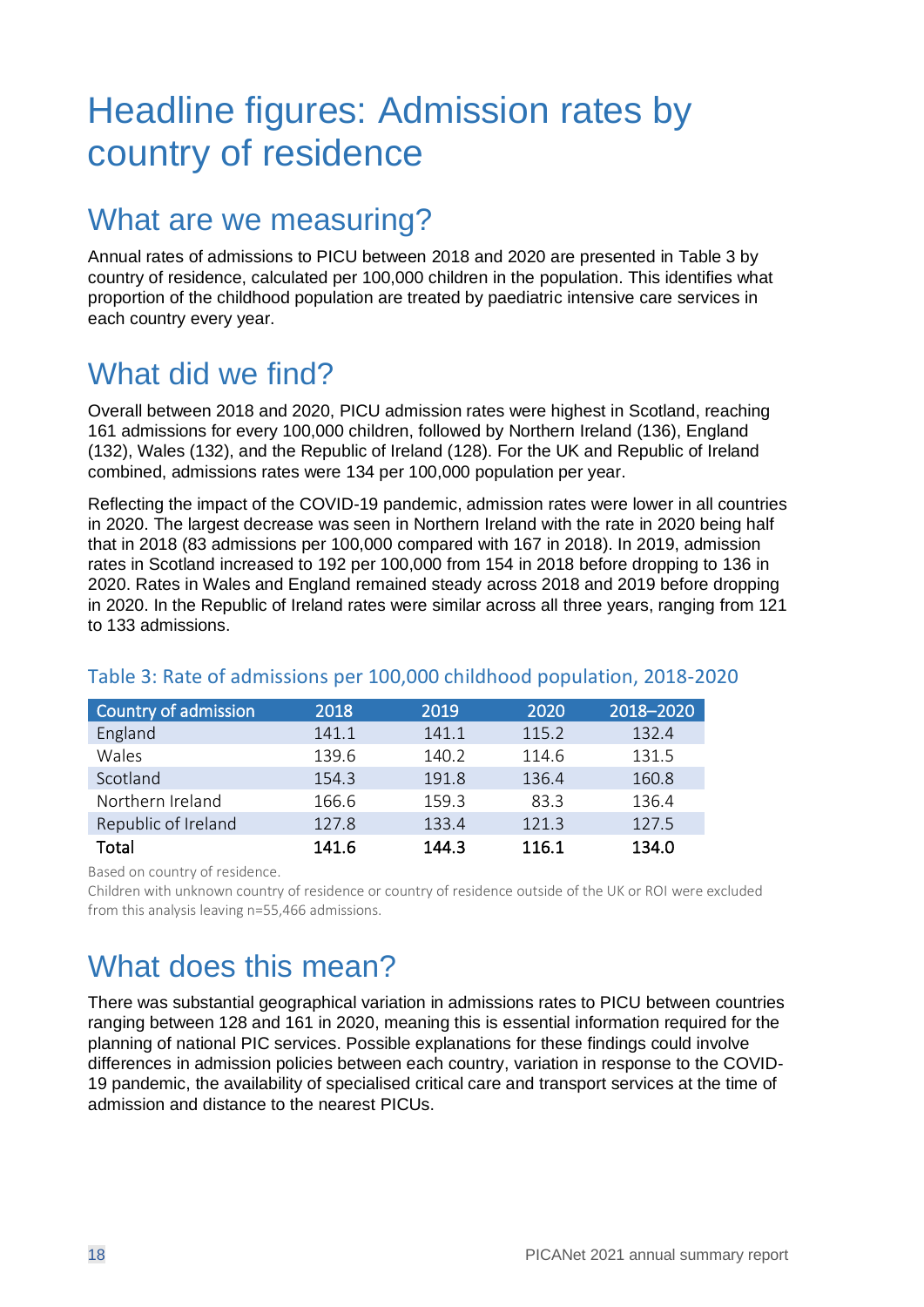## <span id="page-17-0"></span>Headline figures: Admission rates by country of residence

### What are we measuring?

Annual rates of admissions to PICU between 2018 and 2020 are presented in [Table 3](#page-17-1) by country of residence, calculated per 100,000 children in the population. This identifies what proportion of the childhood population are treated by paediatric intensive care services in each country every year.

## What did we find?

Overall between 2018 and 2020, PICU admission rates were highest in Scotland, reaching 161 admissions for every 100,000 children, followed by Northern Ireland (136), England (132), Wales (132), and the Republic of Ireland (128). For the UK and Republic of Ireland combined, admissions rates were 134 per 100,000 population per year.

Reflecting the impact of the COVID-19 pandemic, admission rates were lower in all countries in 2020. The largest decrease was seen in Northern Ireland with the rate in 2020 being half that in 2018 (83 admissions per 100,000 compared with 167 in 2018). In 2019, admission rates in Scotland increased to 192 per 100,000 from 154 in 2018 before dropping to 136 in 2020. Rates in Wales and England remained steady across 2018 and 2019 before dropping in 2020. In the Republic of Ireland rates were similar across all three years, ranging from 121 to 133 admissions.

| Country of admission | 2018  | 2019  | 2020  | 2018-2020 |
|----------------------|-------|-------|-------|-----------|
| England              | 141.1 | 141.1 | 115.2 | 132.4     |
| Wales                | 139.6 | 140.2 | 114.6 | 131.5     |
| Scotland             | 154.3 | 191.8 | 136.4 | 160.8     |
| Northern Ireland     | 166.6 | 159.3 | 83.3  | 136.4     |
| Republic of Ireland  | 127.8 | 133.4 | 121.3 | 127.5     |
| Total                | 141.6 | 144.3 | 116.1 | 134.0     |

#### <span id="page-17-1"></span>Table 3: Rate of admissions per 100,000 childhood population, 2018-2020

Based on country of residence.

Children with unknown country of residence or country of residence outside of the UK or ROI were excluded from this analysis leaving n=55,466 admissions.

## What does this mean?

There was substantial geographical variation in admissions rates to PICU between countries ranging between 128 and 161 in 2020, meaning this is essential information required for the planning of national PIC services. Possible explanations for these findings could involve differences in admission policies between each country, variation in response to the COVID-19 pandemic, the availability of specialised critical care and transport services at the time of admission and distance to the nearest PICUs.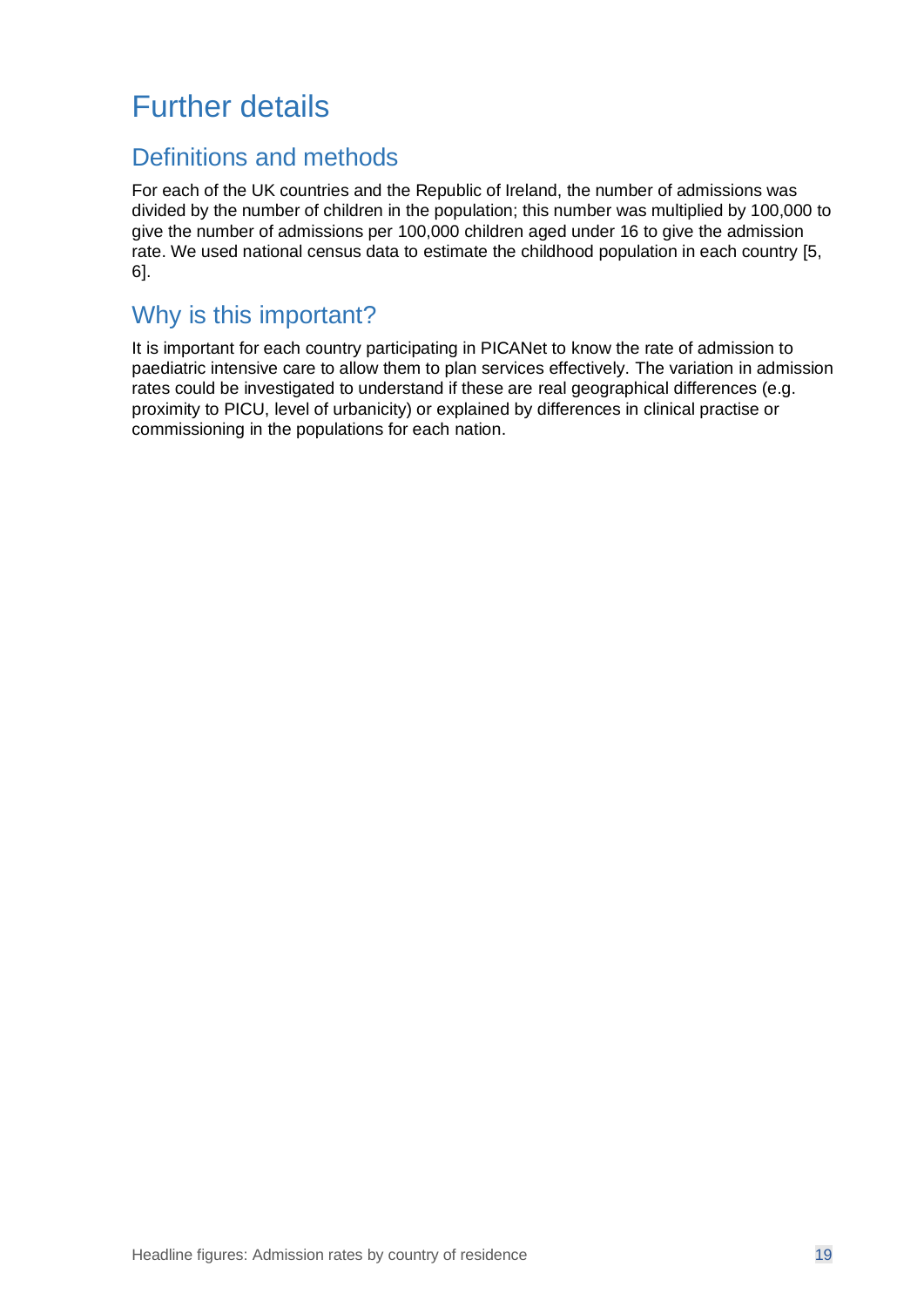## Further details

#### Definitions and methods

For each of the UK countries and the Republic of Ireland, the number of admissions was divided by the number of children in the population; this number was multiplied by 100,000 to give the number of admissions per 100,000 children aged under 16 to give the admission rate. We used national census data to estimate the childhood population in each country [5, 6].

#### Why is this important?

It is important for each country participating in PICANet to know the rate of admission to paediatric intensive care to allow them to plan services effectively. The variation in admission rates could be investigated to understand if these are real geographical differences (e.g. proximity to PICU, level of urbanicity) or explained by differences in clinical practise or commissioning in the populations for each nation.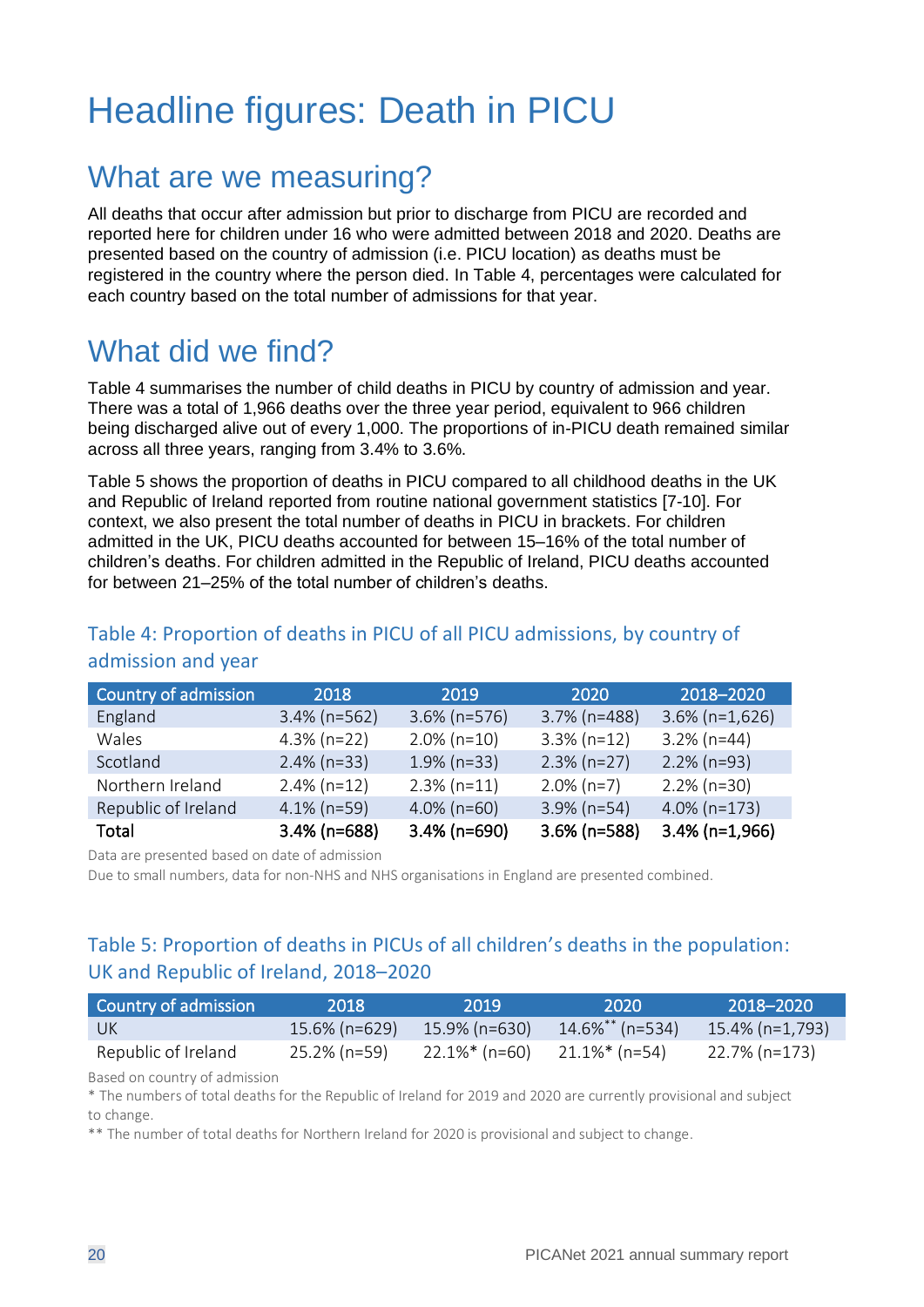## <span id="page-19-0"></span>Headline figures: Death in PICU

### What are we measuring?

All deaths that occur after admission but prior to discharge from PICU are recorded and reported here for children under 16 who were admitted between 2018 and 2020. Deaths are presented based on the country of admission (i.e. PICU location) as deaths must be registered in the country where the person died. In Table 4, percentages were calculated for each country based on the total number of admissions for that year.

### What did we find?

[Table 4](#page-19-1) summarises the number of child deaths in PICU by country of admission and year. There was a total of 1,966 deaths over the three year period, equivalent to 966 children being discharged alive out of every 1,000. The proportions of in-PICU death remained similar across all three years, ranging from 3.4% to 3.6%.

[Table 5](#page-19-2) shows the proportion of deaths in PICU compared to all childhood deaths in the UK and Republic of Ireland reported from routine national government statistics [7-10]. For context, we also present the total number of deaths in PICU in brackets. For children admitted in the UK, PICU deaths accounted for between 15–16% of the total number of children's deaths. For children admitted in the Republic of Ireland, PICU deaths accounted for between 21–25% of the total number of children's deaths.

| Country of admission | 2018            | 2019            | 2020            | 2018-2020         |
|----------------------|-----------------|-----------------|-----------------|-------------------|
| England              | $3.4\%$ (n=562) | $3.6\%$ (n=576) | $3.7\%$ (n=488) | $3.6\%$ (n=1,626) |
| Wales                | $4.3\%$ (n=22)  | $2.0\%$ (n=10)  | $3.3\%$ (n=12)  | $3.2\%$ (n=44)    |
| Scotland             | $2.4\%$ (n=33)  | $1.9\%$ (n=33)  | $2.3\%$ (n=27)  | $2.2\%$ (n=93)    |
| Northern Ireland     | $2.4\%$ (n=12)  | $2.3\%$ (n=11)  | $2.0\%$ (n=7)   | $2.2\%$ (n=30)    |
| Republic of Ireland  | $4.1\%$ (n=59)  | $4.0\%$ (n=60)  | $3.9\%$ (n=54)  | $4.0\%$ (n=173)   |
| Total                | $3.4\%$ (n=688) | $3.4\%$ (n=690) | $3.6\%$ (n=588) | $3.4\%$ (n=1,966) |

#### <span id="page-19-1"></span>Table 4: Proportion of deaths in PICU of all PICU admissions, by country of admission and year

Data are presented based on date of admission

Due to small numbers, data for non-NHS and NHS organisations in England are presented combined.

#### <span id="page-19-2"></span>Table 5: Proportion of deaths in PICUs of all children's deaths in the population: UK and Republic of Ireland, 2018–2020

| Country of admission | 2018             | -2019-                            | -2020 -         | 2018–2020       |
|----------------------|------------------|-----------------------------------|-----------------|-----------------|
| - UK                 | $15.6\%$ (n=629) | 15.9% (n=630)                     | 14.6%** (n=534) | 15.4% (n=1,793) |
| Republic of Ireland  | 25.2% (n=59)     | $22.1\%*$ (n=60) $21.1\%*$ (n=54) |                 | 22.7% (n=173)   |

Based on country of admission

\* The numbers of total deaths for the Republic of Ireland for 2019 and 2020 are currently provisional and subject to change.

\*\* The number of total deaths for Northern Ireland for 2020 is provisional and subject to change.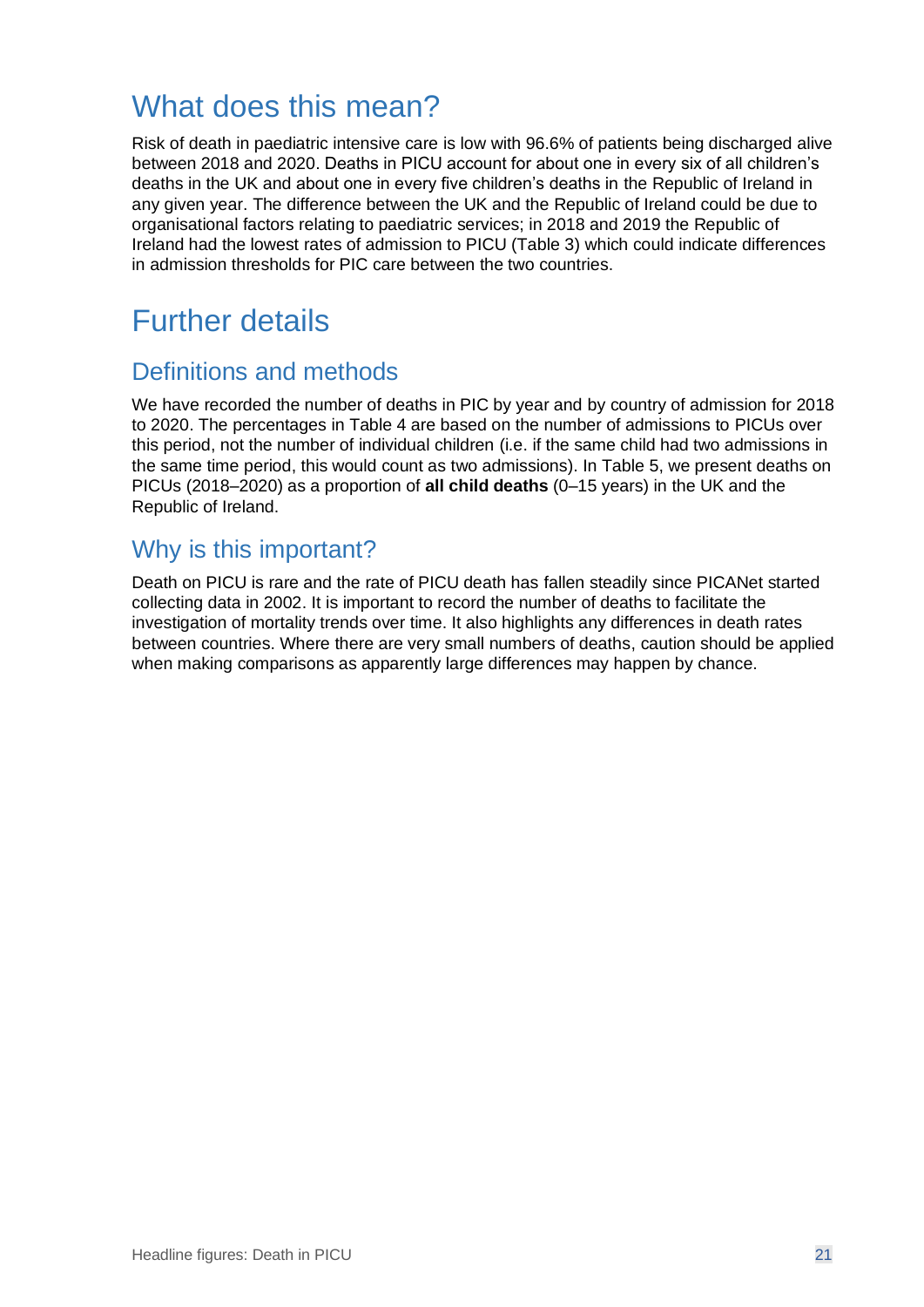## What does this mean?

Risk of death in paediatric intensive care is low with 96.6% of patients being discharged alive between 2018 and 2020. Deaths in PICU account for about one in every six of all children's deaths in the UK and about one in every five children's deaths in the Republic of Ireland in any given year. The difference between the UK and the Republic of Ireland could be due to organisational factors relating to paediatric services; in 2018 and 2019 the Republic of Ireland had the lowest rates of admission to PICU [\(Table 3\)](#page-17-1) which could indicate differences in admission thresholds for PIC care between the two countries.

## Further details

#### Definitions and methods

We have recorded the number of deaths in PIC by year and by country of admission for 2018 to 2020. The percentages in [Table 4](#page-19-1) are based on the number of admissions to PICUs over this period, not the number of individual children (i.e. if the same child had two admissions in the same time period, this would count as two admissions). In [Table 5,](#page-19-2) we present deaths on PICUs (2018–2020) as a proportion of **all child deaths** (0–15 years) in the UK and the Republic of Ireland.

#### Why is this important?

Death on PICU is rare and the rate of PICU death has fallen steadily since PICANet started collecting data in 2002. It is important to record the number of deaths to facilitate the investigation of mortality trends over time. It also highlights any differences in death rates between countries. Where there are very small numbers of deaths, caution should be applied when making comparisons as apparently large differences may happen by chance.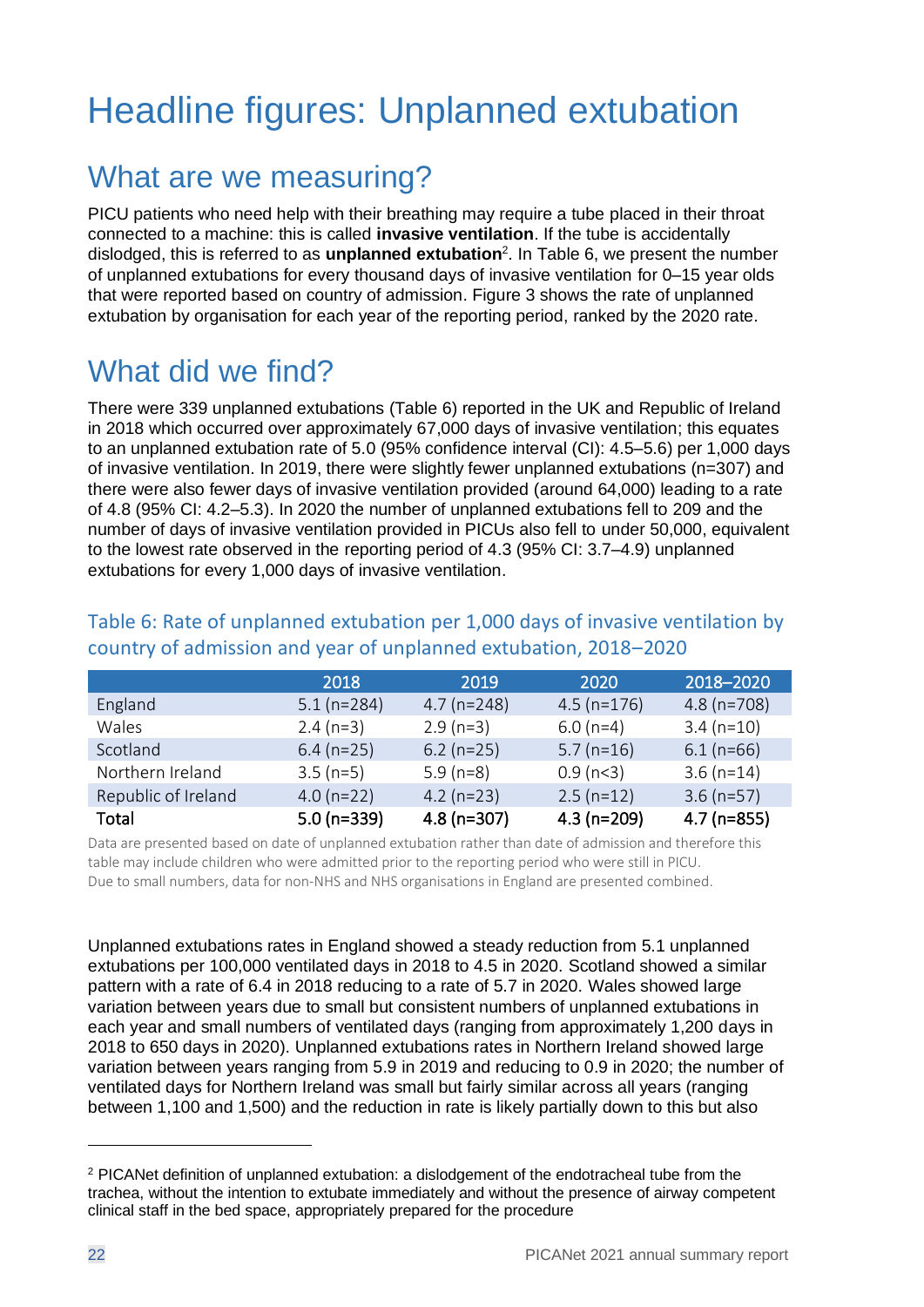## <span id="page-21-0"></span>Headline figures: Unplanned extubation

### What are we measuring?

PICU patients who need help with their breathing may require a tube placed in their throat connected to a machine: this is called **invasive ventilation**. If the tube is accidentally dislodged, this is referred to as **unplanned extubation**<sup>2</sup> . In [Table 6,](#page-21-1) we present the number of unplanned extubations for every thousand days of invasive ventilation for 0–15 year olds that were reported based on country of admission. [Figure 3](#page-22-0) shows the rate of unplanned extubation by organisation for each year of the reporting period, ranked by the 2020 rate.

## What did we find?

There were 339 unplanned extubations [\(Table 6\)](#page-21-1) reported in the UK and Republic of Ireland in 2018 which occurred over approximately 67,000 days of invasive ventilation; this equates to an unplanned extubation rate of 5.0 (95% confidence interval (CI): 4.5–5.6) per 1,000 days of invasive ventilation. In 2019, there were slightly fewer unplanned extubations (n=307) and there were also fewer days of invasive ventilation provided (around 64,000) leading to a rate of 4.8 (95% CI: 4.2–5.3). In 2020 the number of unplanned extubations fell to 209 and the number of days of invasive ventilation provided in PICUs also fell to under 50,000, equivalent to the lowest rate observed in the reporting period of 4.3 (95% CI: 3.7–4.9) unplanned extubations for every 1,000 days of invasive ventilation.

|                     | 2018         | 2019          | 2020           | 2018-2020     |
|---------------------|--------------|---------------|----------------|---------------|
| England             | $5.1(n=284)$ | $4.7$ (n=248) | $4.5$ (n=176)  | $4.8$ (n=708) |
| Wales               | $2.4(n=3)$   | $2.9(n=3)$    | $6.0(n=4)$     | $3.4(n=10)$   |
| Scotland            | $6.4$ (n=25) | $6.2$ (n=25)  | $5.7$ (n=16)   | $6.1(n=66)$   |
| Northern Ireland    | $3.5(n=5)$   | $5.9(n=8)$    | $0.9$ (n $3$ ) | $3.6(n=14)$   |
| Republic of Ireland | $4.0(n=22)$  | $4.2$ (n=23)  | $2.5(n=12)$    | $3.6$ (n=57)  |
| Total               | $5.0(n=339)$ | $4.8$ (n=307) | $4.3(n=209)$   | $4.7$ (n=855) |

#### <span id="page-21-1"></span>Table 6: Rate of unplanned extubation per 1,000 days of invasive ventilation by country of admission and year of unplanned extubation, 2018–2020

Data are presented based on date of unplanned extubation rather than date of admission and therefore this table may include children who were admitted prior to the reporting period who were still in PICU. Due to small numbers, data for non-NHS and NHS organisations in England are presented combined.

Unplanned extubations rates in England showed a steady reduction from 5.1 unplanned extubations per 100,000 ventilated days in 2018 to 4.5 in 2020. Scotland showed a similar pattern with a rate of 6.4 in 2018 reducing to a rate of 5.7 in 2020. Wales showed large variation between years due to small but consistent numbers of unplanned extubations in each year and small numbers of ventilated days (ranging from approximately 1,200 days in 2018 to 650 days in 2020). Unplanned extubations rates in Northern Ireland showed large variation between years ranging from 5.9 in 2019 and reducing to 0.9 in 2020; the number of ventilated days for Northern Ireland was small but fairly similar across all years (ranging between 1,100 and 1,500) and the reduction in rate is likely partially down to this but also

<sup>&</sup>lt;sup>2</sup> PICANet definition of unplanned extubation: a dislodgement of the endotracheal tube from the trachea, without the intention to extubate immediately and without the presence of airway competent clinical staff in the bed space, appropriately prepared for the procedure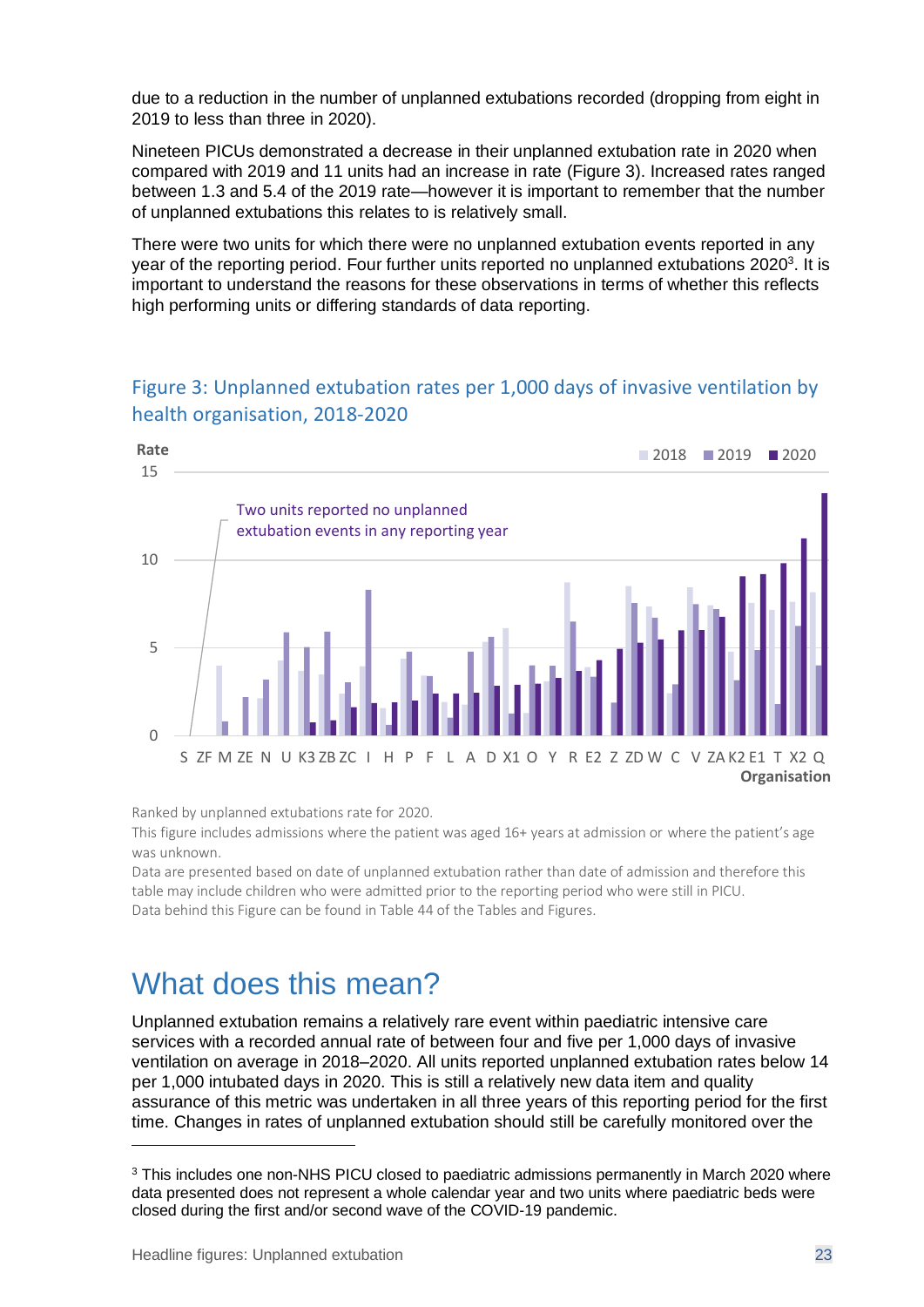due to a reduction in the number of unplanned extubations recorded (dropping from eight in 2019 to less than three in 2020).

Nineteen PICUs demonstrated a decrease in their unplanned extubation rate in 2020 when compared with 2019 and 11 units had an increase in rate [\(Figure 3\)](#page-22-0). Increased rates ranged between 1.3 and 5.4 of the 2019 rate—however it is important to remember that the number of unplanned extubations this relates to is relatively small.

There were two units for which there were no unplanned extubation events reported in any year of the reporting period. Four further units reported no unplanned extubations 2020<sup>3</sup>. It is important to understand the reasons for these observations in terms of whether this reflects high performing units or differing standards of data reporting.

## Two units reported no unplanned extubation events in any reporting year  $\Omega$ 5  $1<sub>0</sub>$ 15 S ZF M ZE N U K3 ZB ZC I H P F L A D X1 O Y R E2 Z ZD W C V ZA K2 E1 T X2 Q **Rate Organisation** ■ 2018 ■ 2019 ■ 2020

#### <span id="page-22-0"></span>Figure 3: Unplanned extubation rates per 1,000 days of invasive ventilation by health organisation, 2018-2020

Ranked by unplanned extubations rate for 2020.

This figure includes admissions where the patient was aged 16+ years at admission or where the patient's age was unknown.

Data are presented based on date of unplanned extubation rather than date of admission and therefore this table may include children who were admitted prior to the reporting period who were still in PICU. Data behind this Figure can be found in Table 44 of the Tables and Figures.

## What does this mean?

Unplanned extubation remains a relatively rare event within paediatric intensive care services with a recorded annual rate of between four and five per 1,000 days of invasive ventilation on average in 2018–2020. All units reported unplanned extubation rates below 14 per 1,000 intubated days in 2020. This is still a relatively new data item and quality assurance of this metric was undertaken in all three years of this reporting period for the first time. Changes in rates of unplanned extubation should still be carefully monitored over the

<sup>&</sup>lt;sup>3</sup> This includes one non-NHS PICU closed to paediatric admissions permanently in March 2020 where data presented does not represent a whole calendar year and two units where paediatric beds were closed during the first and/or second wave of the COVID-19 pandemic.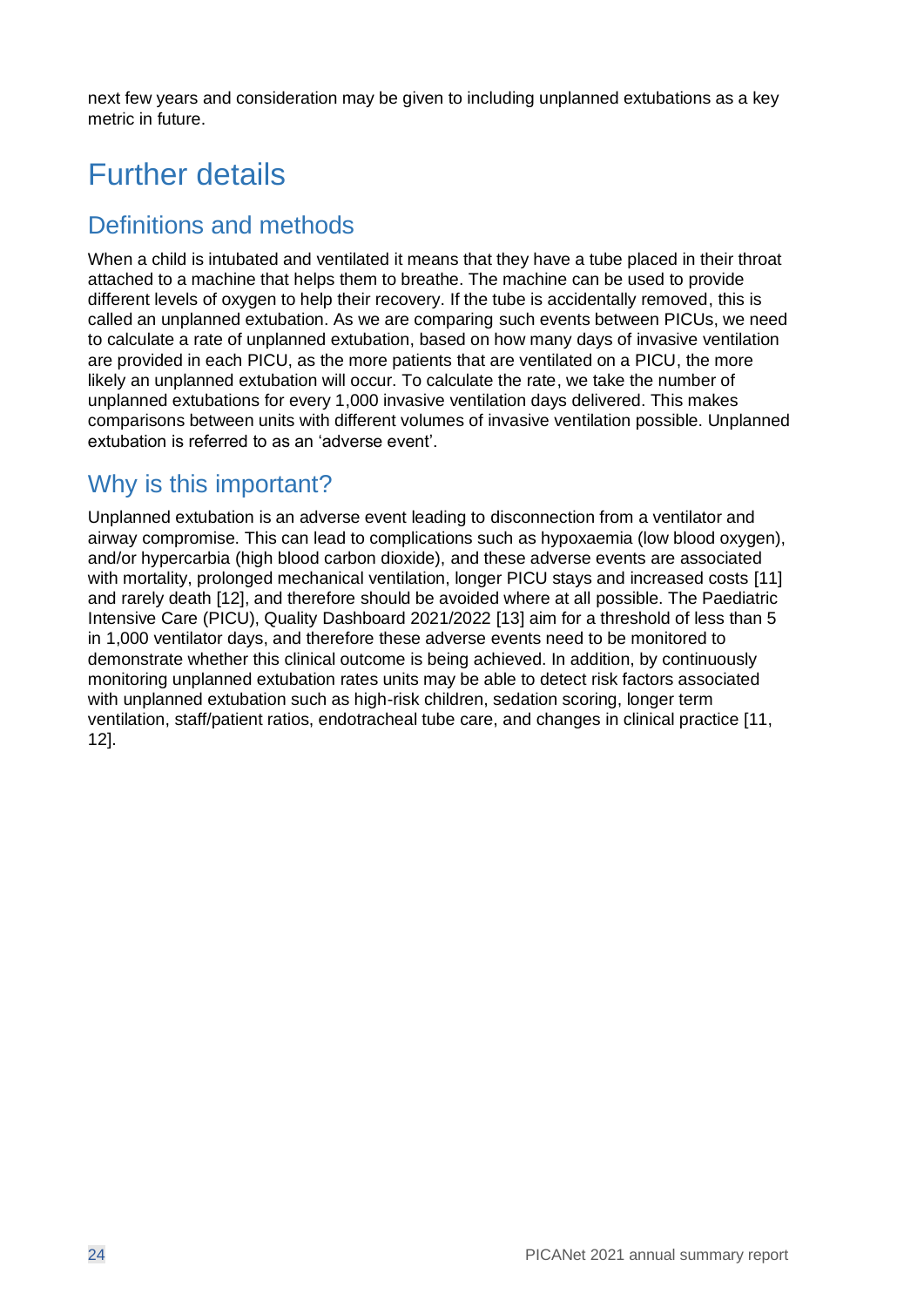next few years and consideration may be given to including unplanned extubations as a key metric in future.

## Further details

#### Definitions and methods

When a child is intubated and ventilated it means that they have a tube placed in their throat attached to a machine that helps them to breathe. The machine can be used to provide different levels of oxygen to help their recovery. If the tube is accidentally removed, this is called an unplanned extubation. As we are comparing such events between PICUs, we need to calculate a rate of unplanned extubation, based on how many days of invasive ventilation are provided in each PICU, as the more patients that are ventilated on a PICU, the more likely an unplanned extubation will occur. To calculate the rate, we take the number of unplanned extubations for every 1,000 invasive ventilation days delivered. This makes comparisons between units with different volumes of invasive ventilation possible. Unplanned extubation is referred to as an 'adverse event'.

#### Why is this important?

Unplanned extubation is an adverse event leading to disconnection from a ventilator and airway compromise. This can lead to complications such as hypoxaemia (low blood oxygen), and/or hypercarbia (high blood carbon dioxide), and these adverse events are associated with mortality, prolonged mechanical ventilation, longer PICU stays and increased costs [11] and rarely death [12], and therefore should be avoided where at all possible. The Paediatric Intensive Care (PICU), Quality Dashboard 2021/2022 [13] aim for a threshold of less than 5 in 1,000 ventilator days, and therefore these adverse events need to be monitored to demonstrate whether this clinical outcome is being achieved. In addition, by continuously monitoring unplanned extubation rates units may be able to detect risk factors associated with unplanned extubation such as high-risk children, sedation scoring, longer term ventilation, staff/patient ratios, endotracheal tube care, and changes in clinical practice [11, 12].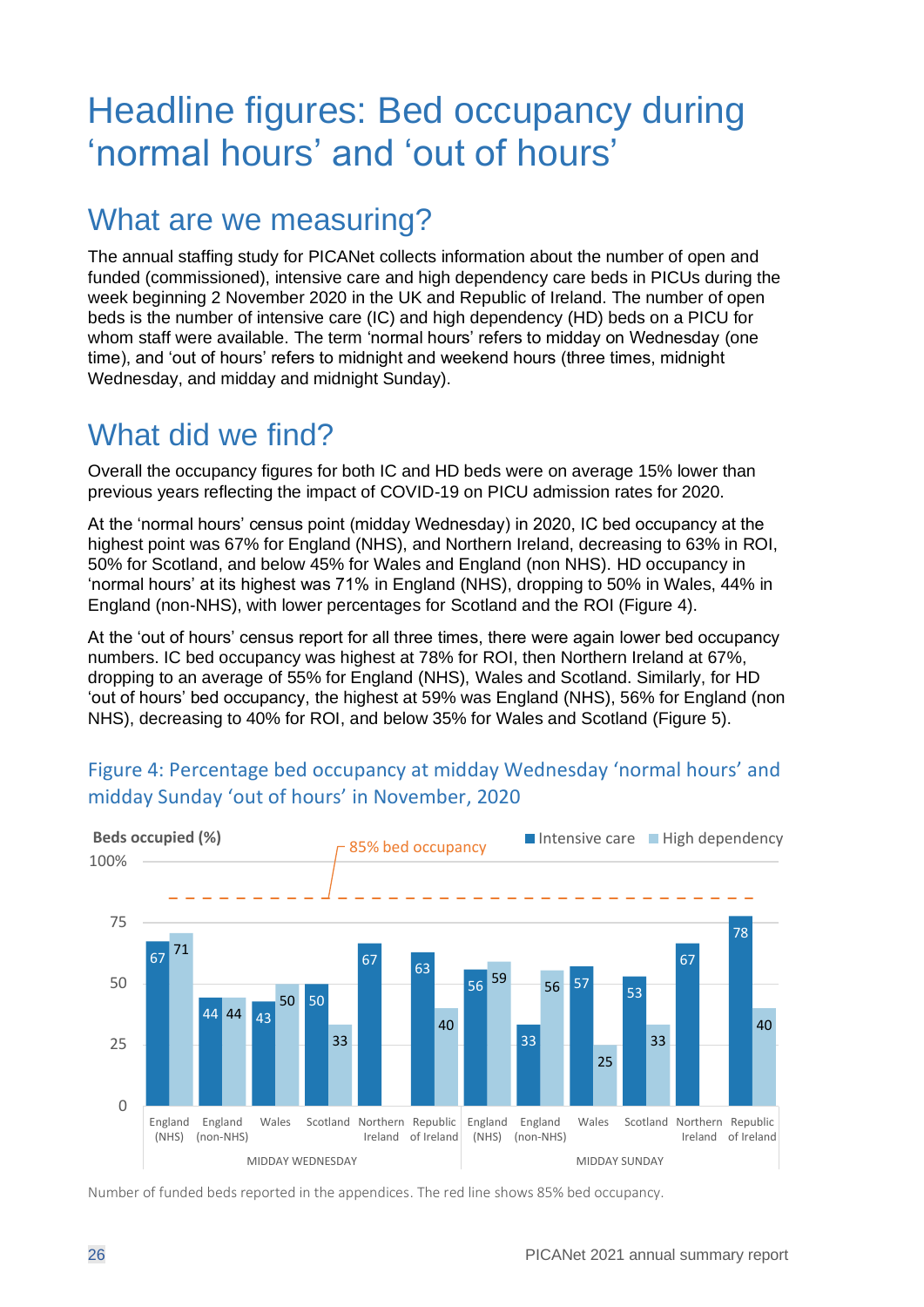## <span id="page-25-0"></span>Headline figures: Bed occupancy during 'normal hours' and 'out of hours'

## What are we measuring?

The annual staffing study for PICANet collects information about the number of open and funded (commissioned), intensive care and high dependency care beds in PICUs during the week beginning 2 November 2020 in the UK and Republic of Ireland. The number of open beds is the number of intensive care (IC) and high dependency (HD) beds on a PICU for whom staff were available. The term 'normal hours' refers to midday on Wednesday (one time), and 'out of hours' refers to midnight and weekend hours (three times, midnight Wednesday, and midday and midnight Sunday).

## What did we find?

Overall the occupancy figures for both IC and HD beds were on average 15% lower than previous years reflecting the impact of COVID-19 on PICU admission rates for 2020.

At the 'normal hours' census point (midday Wednesday) in 2020, IC bed occupancy at the highest point was 67% for England (NHS), and Northern Ireland, decreasing to 63% in ROI, 50% for Scotland, and below 45% for Wales and England (non NHS). HD occupancy in 'normal hours' at its highest was 71% in England (NHS), dropping to 50% in Wales, 44% in England (non-NHS), with lower percentages for Scotland and the ROI [\(Figure 4\)](#page-25-1).

At the 'out of hours' census report for all three times, there were again lower bed occupancy numbers. IC bed occupancy was highest at 78% for ROI, then Northern Ireland at 67%, dropping to an average of 55% for England (NHS), Wales and Scotland. Similarly, for HD 'out of hours' bed occupancy, the highest at 59% was England (NHS), 56% for England (non NHS), decreasing to 40% for ROI, and below 35% for Wales and Scotland [\(Figure 5\)](#page-26-0).



#### <span id="page-25-1"></span>Figure 4: Percentage bed occupancy at midday Wednesday 'normal hours' and midday Sunday 'out of hours' in November, 2020

Number of funded beds reported in the appendices. The red line shows 85% bed occupancy.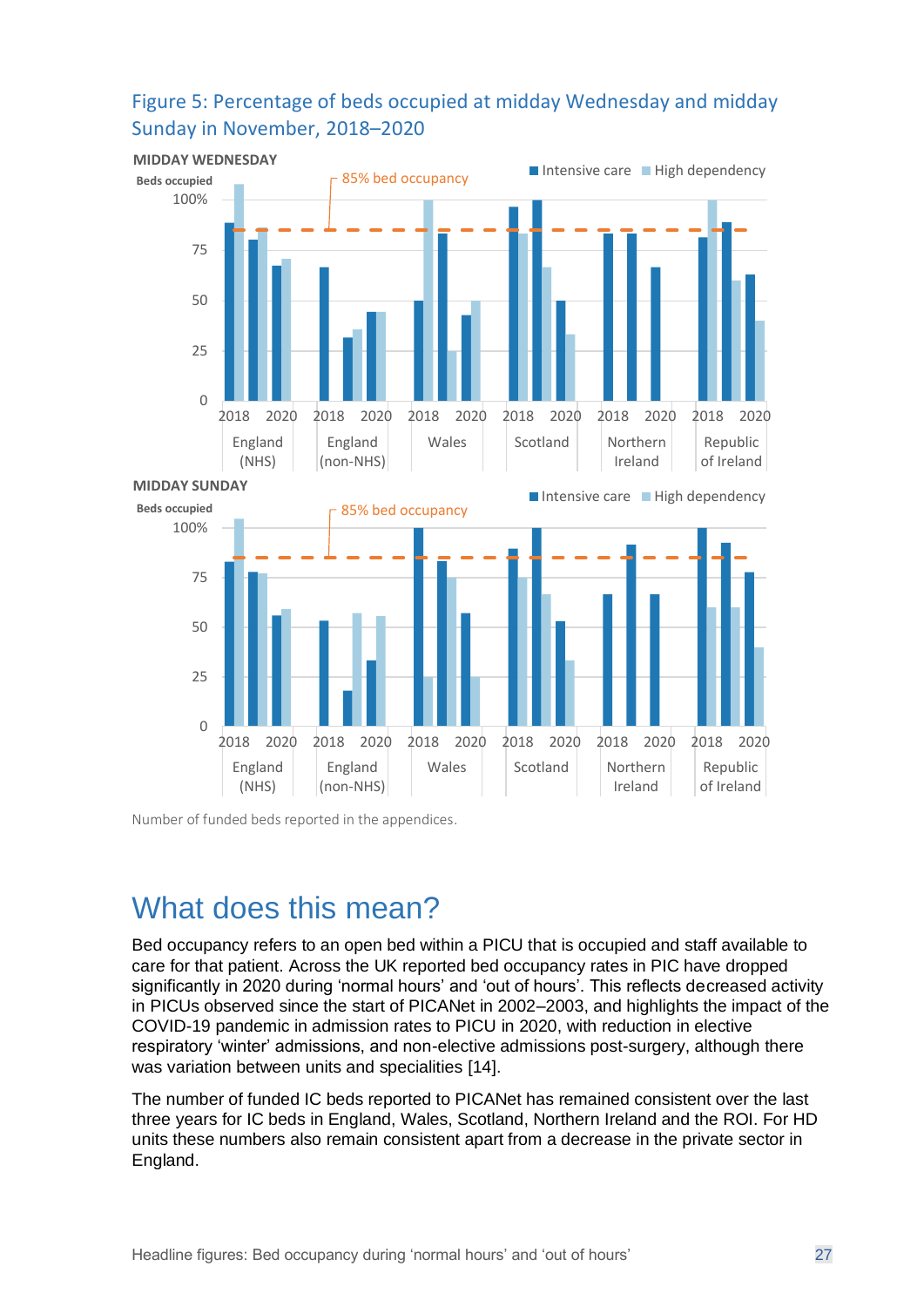

#### <span id="page-26-0"></span>Figure 5: Percentage of beds occupied at midday Wednesday and midday Sunday in November, 2018–2020

Number of funded beds reported in the appendices.

### What does this mean?

Bed occupancy refers to an open bed within a PICU that is occupied and staff available to care for that patient. Across the UK reported bed occupancy rates in PIC have dropped significantly in 2020 during 'normal hours' and 'out of hours'. This reflects decreased activity in PICUs observed since the start of PICANet in 2002–2003, and highlights the impact of the COVID-19 pandemic in admission rates to PICU in 2020, with reduction in elective respiratory 'winter' admissions, and non-elective admissions post-surgery, although there was variation between units and specialities [14].

The number of funded IC beds reported to PICANet has remained consistent over the last three years for IC beds in England, Wales, Scotland, Northern Ireland and the ROI. For HD units these numbers also remain consistent apart from a decrease in the private sector in England.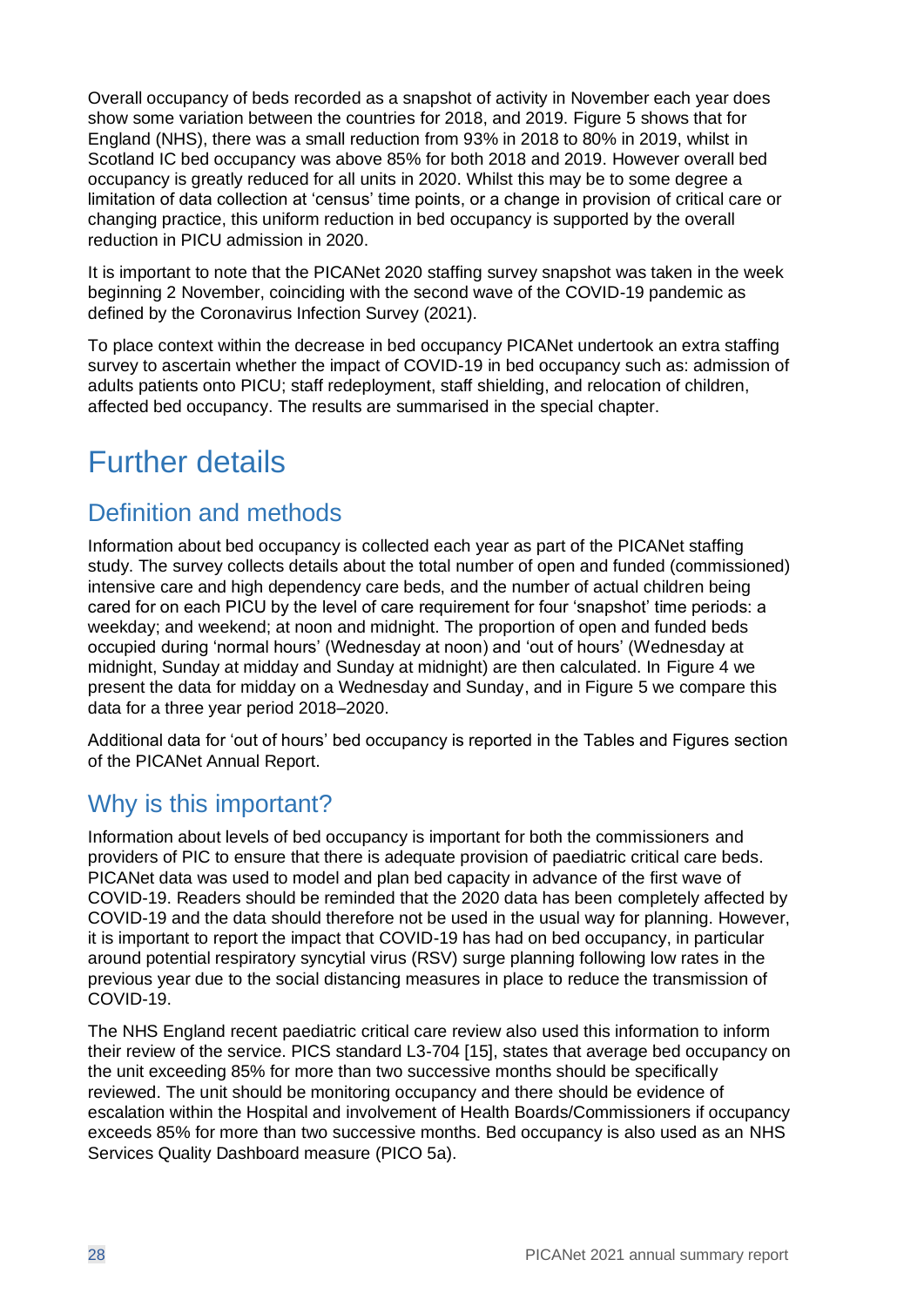Overall occupancy of beds recorded as a snapshot of activity in November each year does show some variation between the countries for 2018, and 2019. [Figure 5](#page-26-0) shows that for England (NHS), there was a small reduction from 93% in 2018 to 80% in 2019, whilst in Scotland IC bed occupancy was above 85% for both 2018 and 2019. However overall bed occupancy is greatly reduced for all units in 2020. Whilst this may be to some degree a limitation of data collection at 'census' time points, or a change in provision of critical care or changing practice, this uniform reduction in bed occupancy is supported by the overall reduction in PICU admission in 2020.

It is important to note that the PICANet 2020 staffing survey snapshot was taken in the week beginning 2 November, coinciding with the second wave of the COVID-19 pandemic as defined by the Coronavirus Infection Survey (2021).

To place context within the decrease in bed occupancy PICANet undertook an extra staffing survey to ascertain whether the impact of COVID-19 in bed occupancy such as: admission of adults patients onto PICU; staff redeployment, staff shielding, and relocation of children, affected bed occupancy. The results are summarised in the special chapter.

## Further details

#### Definition and methods

Information about bed occupancy is collected each year as part of the PICANet staffing study. The survey collects details about the total number of open and funded (commissioned) intensive care and high dependency care beds, and the number of actual children being cared for on each PICU by the level of care requirement for four 'snapshot' time periods: a weekday; and weekend; at noon and midnight. The proportion of open and funded beds occupied during 'normal hours' (Wednesday at noon) and 'out of hours' (Wednesday at midnight, Sunday at midday and Sunday at midnight) are then calculated. In [Figure 4](#page-25-1) we present the data for midday on a Wednesday and Sunday, and in [Figure 5](#page-26-0) we compare this data for a three year period 2018–2020.

Additional data for 'out of hours' bed occupancy is reported in the Tables and Figures section of the PICANet Annual Report.

#### Why is this important?

Information about levels of bed occupancy is important for both the commissioners and providers of PIC to ensure that there is adequate provision of paediatric critical care beds. PICANet data was used to model and plan bed capacity in advance of the first wave of COVID-19. Readers should be reminded that the 2020 data has been completely affected by COVID-19 and the data should therefore not be used in the usual way for planning. However, it is important to report the impact that COVID-19 has had on bed occupancy, in particular around potential respiratory syncytial virus (RSV) surge planning following low rates in the previous year due to the social distancing measures in place to reduce the transmission of COVID-19.

The NHS England recent paediatric critical care review also used this information to inform their review of the service. PICS standard L3-704 [15], states that average bed occupancy on the unit exceeding 85% for more than two successive months should be specifically reviewed. The unit should be monitoring occupancy and there should be evidence of escalation within the Hospital and involvement of Health Boards/Commissioners if occupancy exceeds 85% for more than two successive months. Bed occupancy is also used as an NHS Services Quality Dashboard measure (PICO 5a).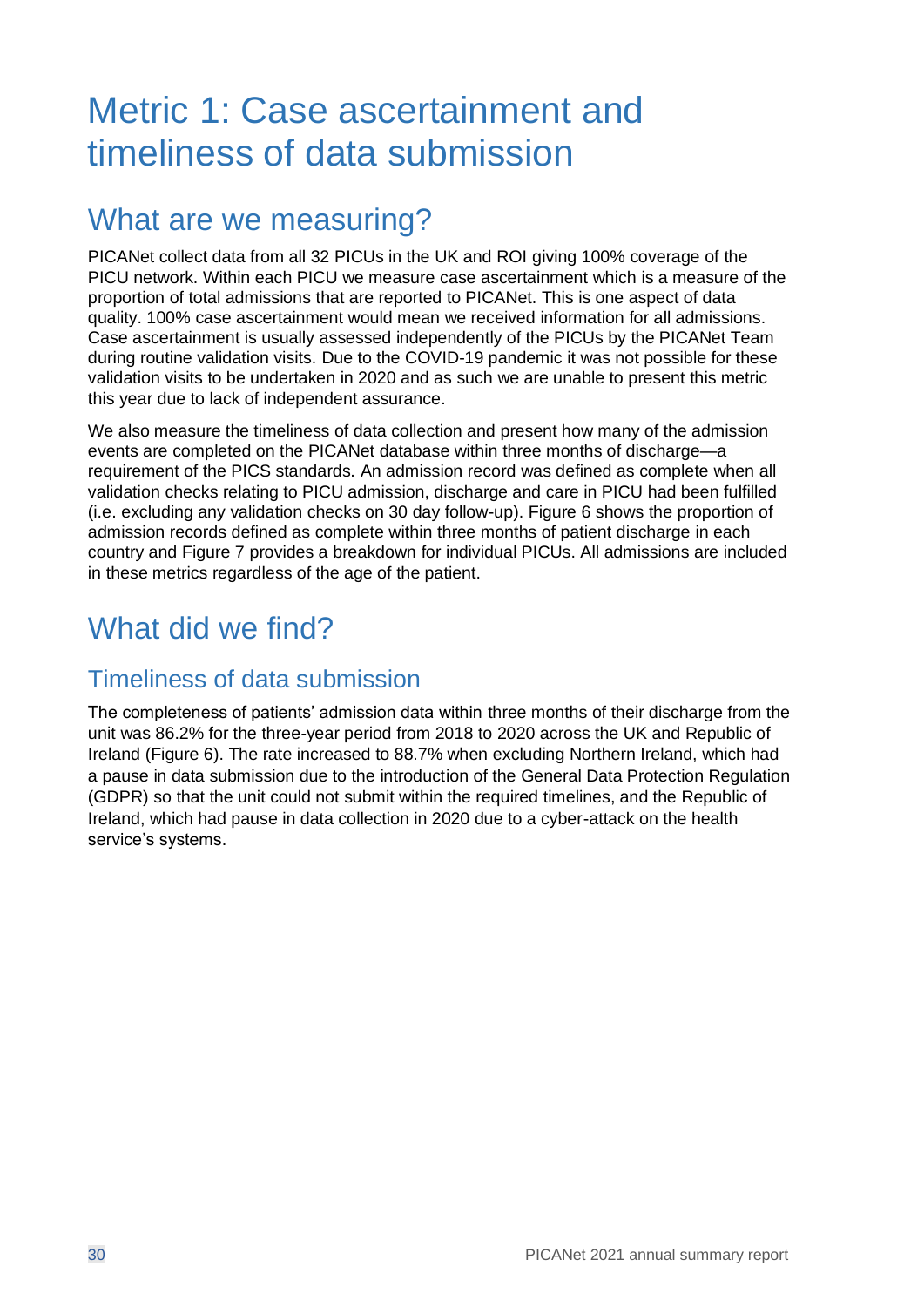## <span id="page-29-0"></span>Metric 1: Case ascertainment and timeliness of data submission

## What are we measuring?

PICANet collect data from all 32 PICUs in the UK and ROI giving 100% coverage of the PICU network. Within each PICU we measure case ascertainment which is a measure of the proportion of total admissions that are reported to PICANet. This is one aspect of data quality. 100% case ascertainment would mean we received information for all admissions. Case ascertainment is usually assessed independently of the PICUs by the PICANet Team during routine validation visits. Due to the COVID-19 pandemic it was not possible for these validation visits to be undertaken in 2020 and as such we are unable to present this metric this year due to lack of independent assurance.

We also measure the timeliness of data collection and present how many of the admission events are completed on the PICANet database within three months of discharge—a requirement of the PICS standards. An admission record was defined as complete when all validation checks relating to PICU admission, discharge and care in PICU had been fulfilled (i.e. excluding any validation checks on 30 day follow-up). [Figure 6](#page-30-0) shows the proportion of admission records defined as complete within three months of patient discharge in each country and [Figure 7](#page-31-0) provides a breakdown for individual PICUs. All admissions are included in these metrics regardless of the age of the patient.

## What did we find?

#### Timeliness of data submission

The completeness of patients' admission data within three months of their discharge from the unit was 86.2% for the three-year period from 2018 to 2020 across the UK and Republic of Ireland [\(Figure 6\)](#page-30-0). The rate increased to 88.7% when excluding Northern Ireland, which had a pause in data submission due to the introduction of the General Data Protection Regulation (GDPR) so that the unit could not submit within the required timelines, and the Republic of Ireland, which had pause in data collection in 2020 due to a cyber-attack on the health service's systems.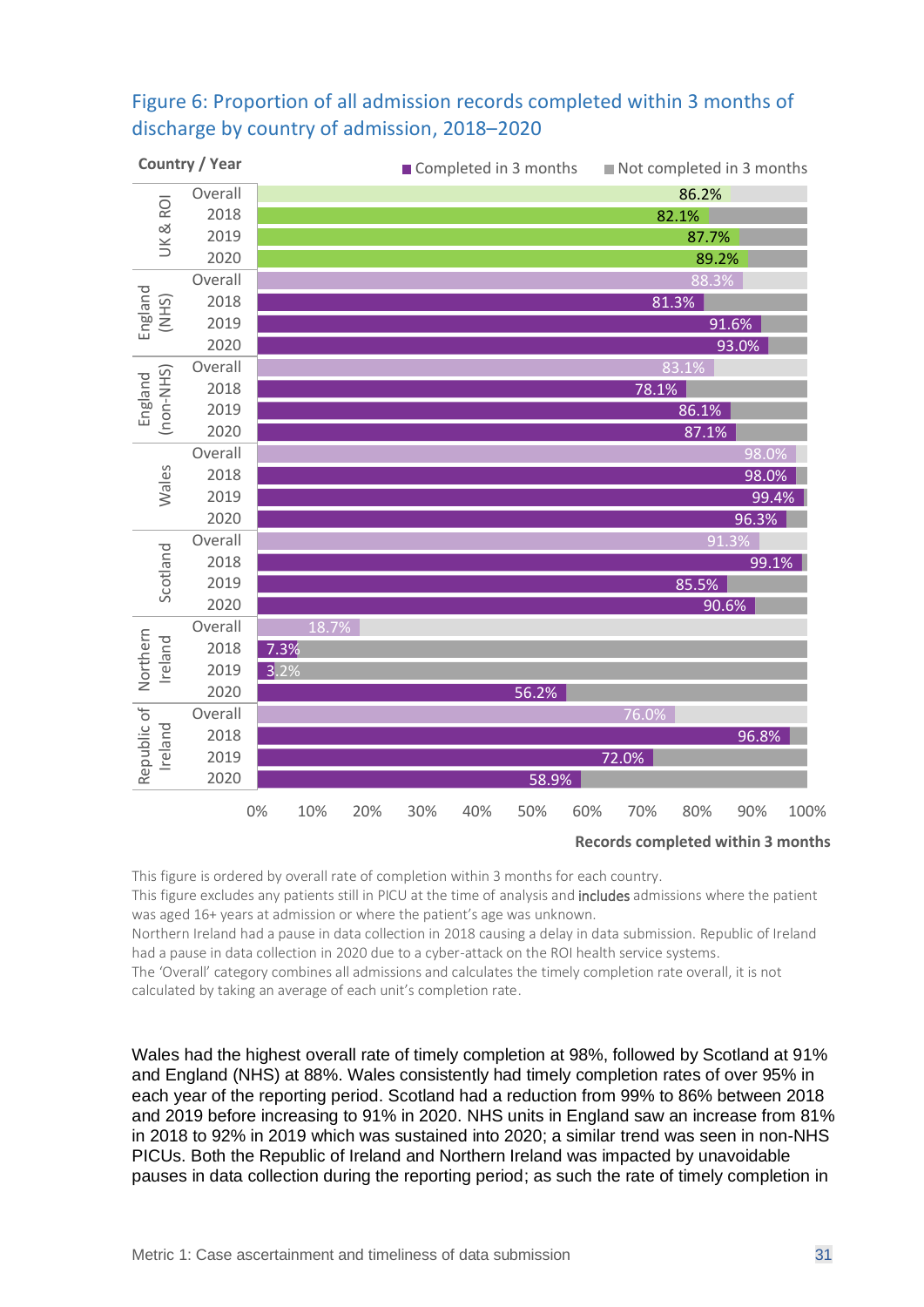#### <span id="page-30-0"></span>Figure 6: Proportion of all admission records completed within 3 months of discharge by country of admission, 2018–2020



**Records completed within 3 months**

This figure is ordered by overall rate of completion within 3 months for each country.

This figure excludes any patients still in PICU at the time of analysis and includes admissions where the patient was aged 16+ years at admission or where the patient's age was unknown.

Northern Ireland had a pause in data collection in 2018 causing a delay in data submission. Republic of Ireland had a pause in data collection in 2020 due to a cyber-attack on the ROI health service systems.

The 'Overall' category combines all admissions and calculates the timely completion rate overall, it is not calculated by taking an average of each unit's completion rate.

Wales had the highest overall rate of timely completion at 98%, followed by Scotland at 91% and England (NHS) at 88%. Wales consistently had timely completion rates of over 95% in each year of the reporting period. Scotland had a reduction from 99% to 86% between 2018 and 2019 before increasing to 91% in 2020. NHS units in England saw an increase from 81% in 2018 to 92% in 2019 which was sustained into 2020; a similar trend was seen in non-NHS PICUs. Both the Republic of Ireland and Northern Ireland was impacted by unavoidable pauses in data collection during the reporting period; as such the rate of timely completion in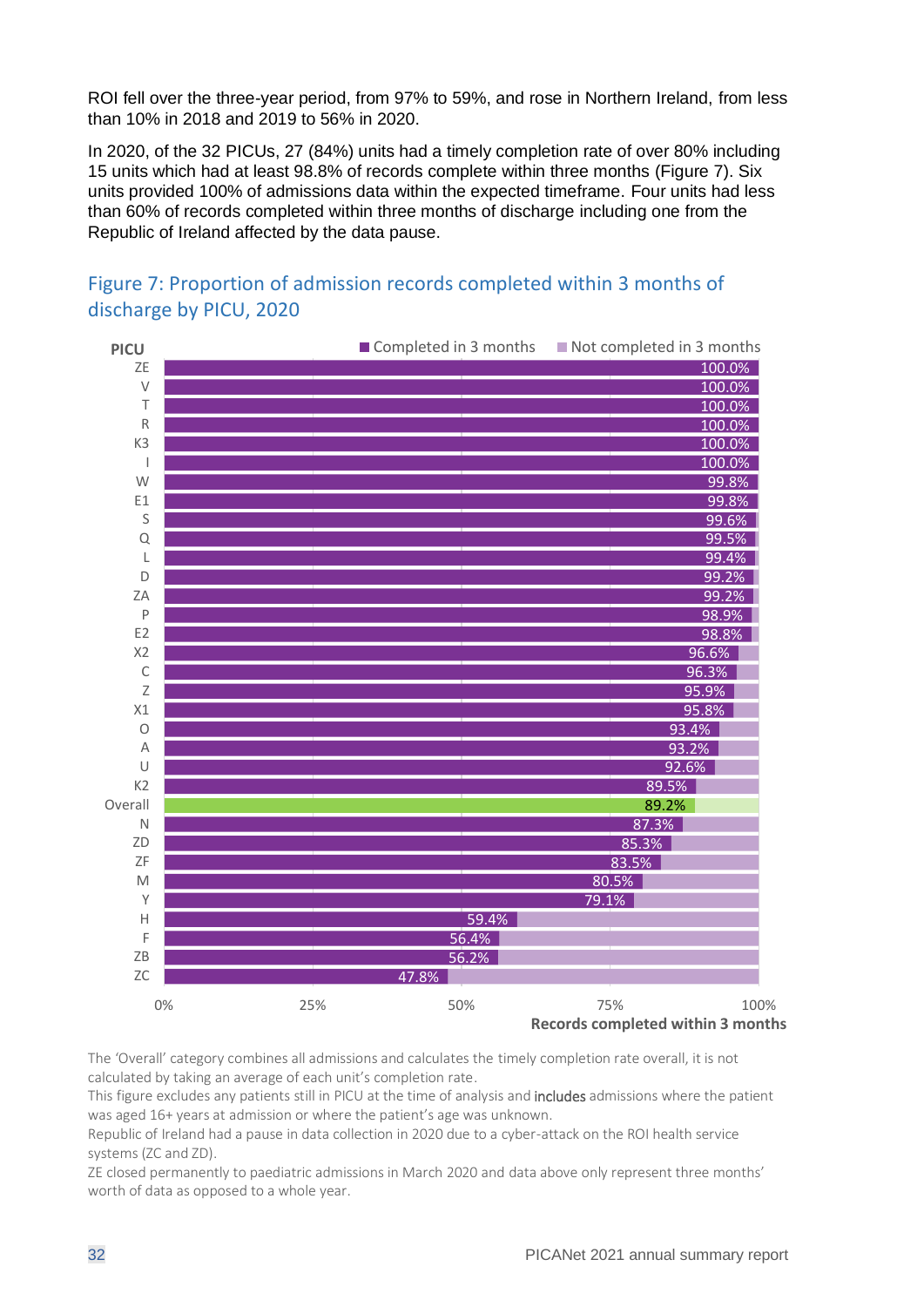ROI fell over the three-year period, from 97% to 59%, and rose in Northern Ireland, from less than 10% in 2018 and 2019 to 56% in 2020.

In 2020, of the 32 PICUs, 27 (84%) units had a timely completion rate of over 80% including 15 units which had at least 98.8% of records complete within three months [\(Figure 7\)](#page-31-0). Six units provided 100% of admissions data within the expected timeframe. Four units had less than 60% of records completed within three months of discharge including one from the Republic of Ireland affected by the data pause.

<span id="page-31-0"></span>



The 'Overall' category combines all admissions and calculates the timely completion rate overall, it is not calculated by taking an average of each unit's completion rate.

This figure excludes any patients still in PICU at the time of analysis and includes admissions where the patient was aged 16+ years at admission or where the patient's age was unknown.

Republic of Ireland had a pause in data collection in 2020 due to a cyber-attack on the ROI health service systems (ZC and ZD).

ZE closed permanently to paediatric admissions in March 2020 and data above only represent three months' worth of data as opposed to a whole year.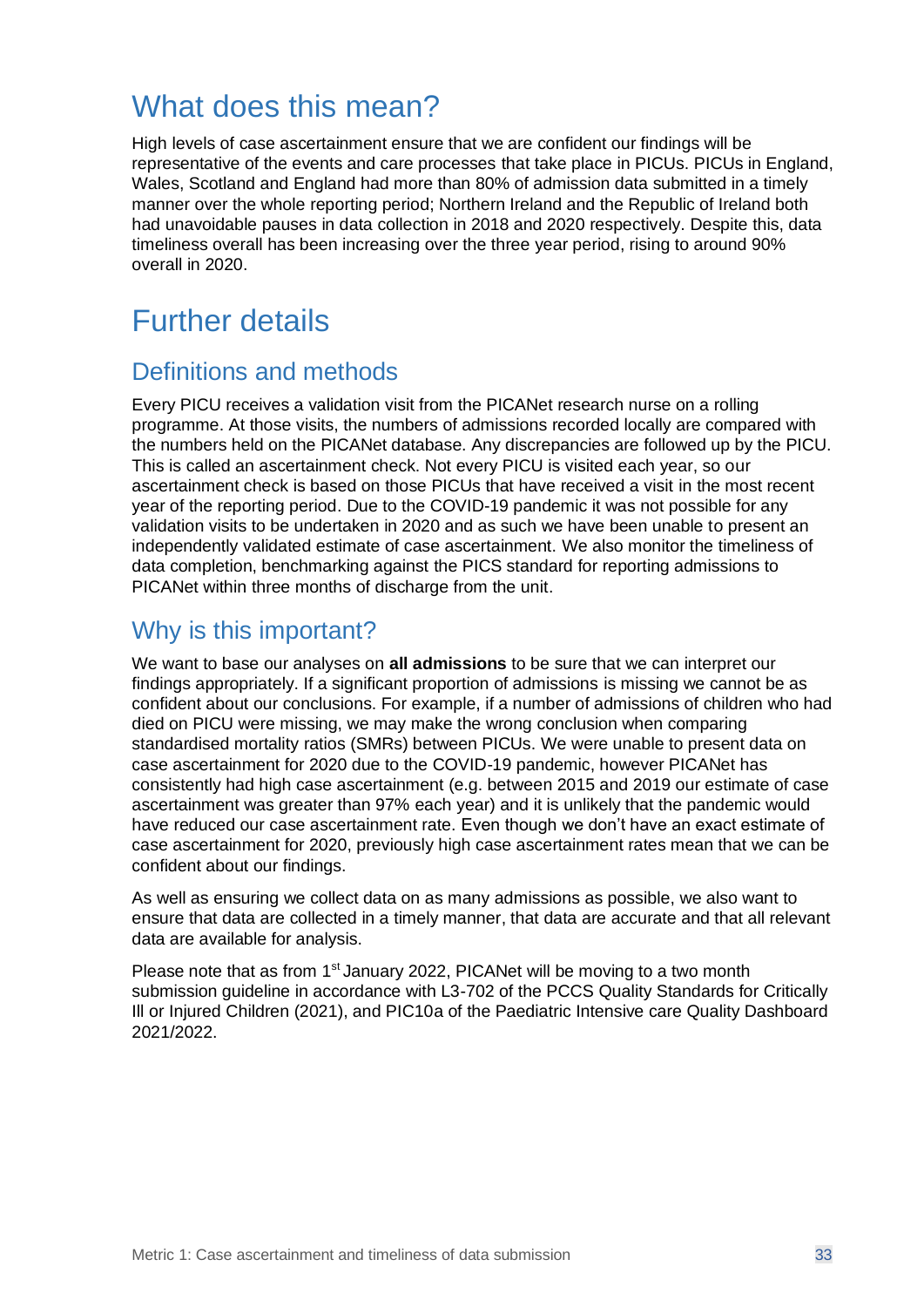## What does this mean?

High levels of case ascertainment ensure that we are confident our findings will be representative of the events and care processes that take place in PICUs. PICUs in England, Wales, Scotland and England had more than 80% of admission data submitted in a timely manner over the whole reporting period; Northern Ireland and the Republic of Ireland both had unavoidable pauses in data collection in 2018 and 2020 respectively. Despite this, data timeliness overall has been increasing over the three year period, rising to around 90% overall in 2020.

## Further details

#### Definitions and methods

Every PICU receives a validation visit from the PICANet research nurse on a rolling programme. At those visits, the numbers of admissions recorded locally are compared with the numbers held on the PICANet database. Any discrepancies are followed up by the PICU. This is called an ascertainment check. Not every PICU is visited each year, so our ascertainment check is based on those PICUs that have received a visit in the most recent year of the reporting period. Due to the COVID-19 pandemic it was not possible for any validation visits to be undertaken in 2020 and as such we have been unable to present an independently validated estimate of case ascertainment. We also monitor the timeliness of data completion, benchmarking against the PICS standard for reporting admissions to PICANet within three months of discharge from the unit.

#### Why is this important?

We want to base our analyses on **all admissions** to be sure that we can interpret our findings appropriately. If a significant proportion of admissions is missing we cannot be as confident about our conclusions. For example, if a number of admissions of children who had died on PICU were missing, we may make the wrong conclusion when comparing standardised mortality ratios (SMRs) between PICUs. We were unable to present data on case ascertainment for 2020 due to the COVID-19 pandemic, however PICANet has consistently had high case ascertainment (e.g. between 2015 and 2019 our estimate of case ascertainment was greater than 97% each year) and it is unlikely that the pandemic would have reduced our case ascertainment rate. Even though we don't have an exact estimate of case ascertainment for 2020, previously high case ascertainment rates mean that we can be confident about our findings.

As well as ensuring we collect data on as many admissions as possible, we also want to ensure that data are collected in a timely manner, that data are accurate and that all relevant data are available for analysis.

Please note that as from 1<sup>st</sup> January 2022, PICANet will be moving to a two month submission guideline in accordance with L3-702 of the PCCS Quality Standards for Critically Ill or Injured Children (2021), and PIC10a of the Paediatric Intensive care Quality Dashboard 2021/2022.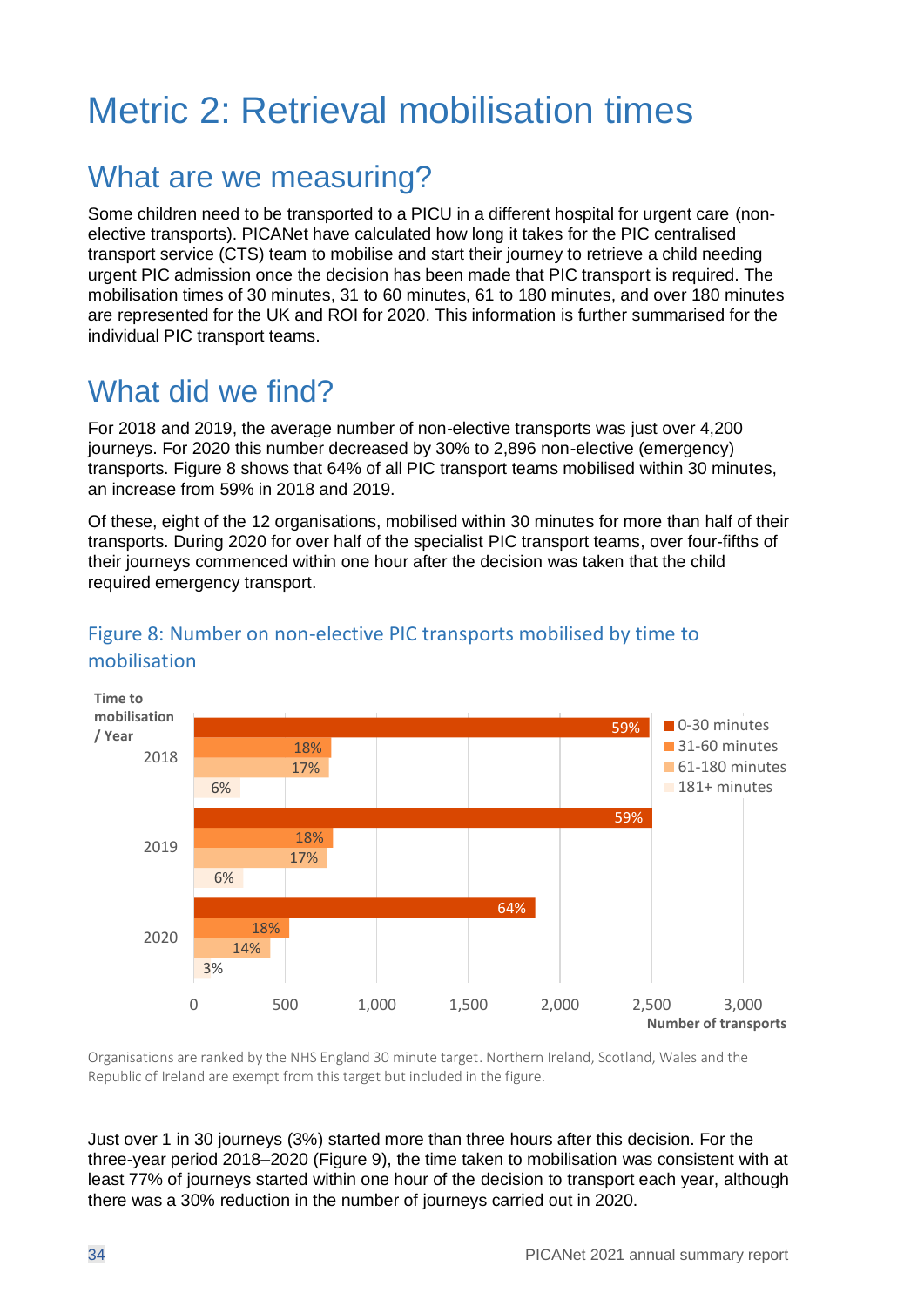## <span id="page-33-0"></span>Metric 2: Retrieval mobilisation times

### What are we measuring?

Some children need to be transported to a PICU in a different hospital for urgent care (nonelective transports). PICANet have calculated how long it takes for the PIC centralised transport service (CTS) team to mobilise and start their journey to retrieve a child needing urgent PIC admission once the decision has been made that PIC transport is required. The mobilisation times of 30 minutes, 31 to 60 minutes, 61 to 180 minutes, and over 180 minutes are represented for the UK and ROI for 2020. This information is further summarised for the individual PIC transport teams.

## What did we find?

For 2018 and 2019, the average number of non-elective transports was just over 4,200 journeys. For 2020 this number decreased by 30% to 2,896 non-elective (emergency) transports. [Figure 8](#page-33-1) shows that 64% of all PIC transport teams mobilised within 30 minutes, an increase from 59% in 2018 and 2019.

Of these, eight of the 12 organisations, mobilised within 30 minutes for more than half of their transports. During 2020 for over half of the specialist PIC transport teams, over four-fifths of their journeys commenced within one hour after the decision was taken that the child required emergency transport.



#### <span id="page-33-1"></span>Figure 8: Number on non-elective PIC transports mobilised by time to mobilisation

Organisations are ranked by the NHS England 30 minute target. Northern Ireland, Scotland, Wales and the Republic of Ireland are exempt from this target but included in the figure.

Just over 1 in 30 journeys (3%) started more than three hours after this decision. For the three-year period 2018–2020 [\(Figure 9\)](#page-34-0), the time taken to mobilisation was consistent with at least 77% of journeys started within one hour of the decision to transport each year, although there was a 30% reduction in the number of journeys carried out in 2020.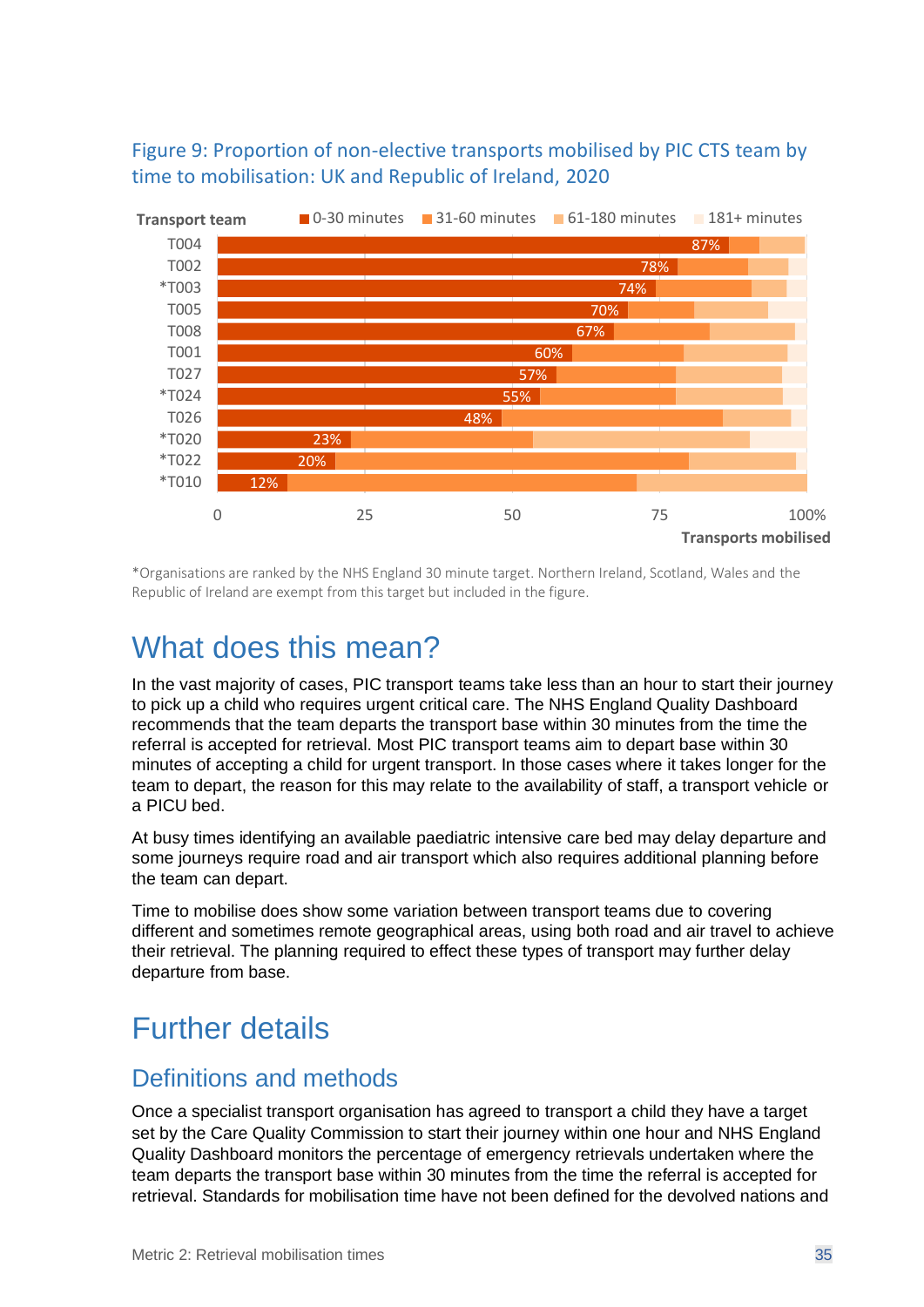#### <span id="page-34-0"></span>Figure 9: Proportion of non-elective transports mobilised by PIC CTS team by time to mobilisation: UK and Republic of Ireland, 2020



\*Organisations are ranked by the NHS England 30 minute target. Northern Ireland, Scotland, Wales and the Republic of Ireland are exempt from this target but included in the figure.

### What does this mean?

In the vast majority of cases, PIC transport teams take less than an hour to start their journey to pick up a child who requires urgent critical care. The NHS England Quality Dashboard recommends that the team departs the transport base within 30 minutes from the time the referral is accepted for retrieval. Most PIC transport teams aim to depart base within 30 minutes of accepting a child for urgent transport. In those cases where it takes longer for the team to depart, the reason for this may relate to the availability of staff, a transport vehicle or a PICU bed.

At busy times identifying an available paediatric intensive care bed may delay departure and some journeys require road and air transport which also requires additional planning before the team can depart.

Time to mobilise does show some variation between transport teams due to covering different and sometimes remote geographical areas, using both road and air travel to achieve their retrieval. The planning required to effect these types of transport may further delay departure from base.

## Further details

#### Definitions and methods

Once a specialist transport organisation has agreed to transport a child they have a target set by the Care Quality Commission to start their journey within one hour and NHS England Quality Dashboard monitors the percentage of emergency retrievals undertaken where the team departs the transport base within 30 minutes from the time the referral is accepted for retrieval. Standards for mobilisation time have not been defined for the devolved nations and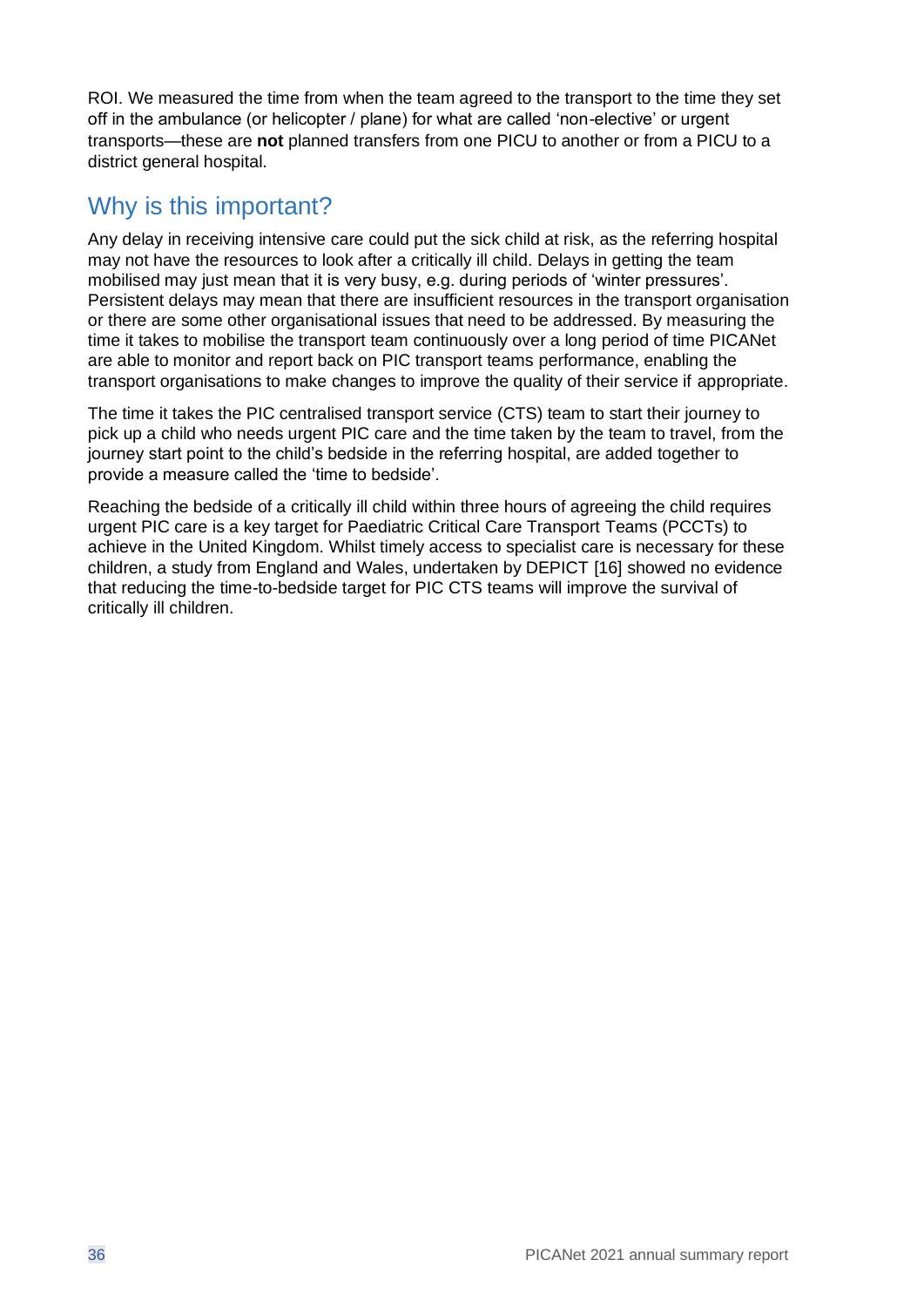ROI. We measured the time from when the team agreed to the transport to the time they set off in the ambulance (or helicopter / plane) for what are called 'non-elective' or urgent transports—these are **not** planned transfers from one PICU to another or from a PICU to a district general hospital.

#### Why is this important?

Any delay in receiving intensive care could put the sick child at risk, as the referring hospital may not have the resources to look after a critically ill child. Delays in getting the team mobilised may just mean that it is very busy, e.g. during periods of 'winter pressures'. Persistent delays may mean that there are insufficient resources in the transport organisation or there are some other organisational issues that need to be addressed. By measuring the time it takes to mobilise the transport team continuously over a long period of time PICANet are able to monitor and report back on PIC transport teams performance, enabling the transport organisations to make changes to improve the quality of their service if appropriate.

The time it takes the PIC centralised transport service (CTS) team to start their journey to pick up a child who needs urgent PIC care and the time taken by the team to travel, from the journey start point to the child's bedside in the referring hospital, are added together to provide a measure called the 'time to bedside'.

Reaching the bedside of a critically ill child within three hours of agreeing the child requires urgent PIC care is a key target for Paediatric Critical Care Transport Teams (PCCTs) to achieve in the United Kingdom. Whilst timely access to specialist care is necessary for these children, a study from England and Wales, undertaken by DEPICT [16] showed no evidence that reducing the time-to-bedside target for PIC CTS teams will improve the survival of critically ill children.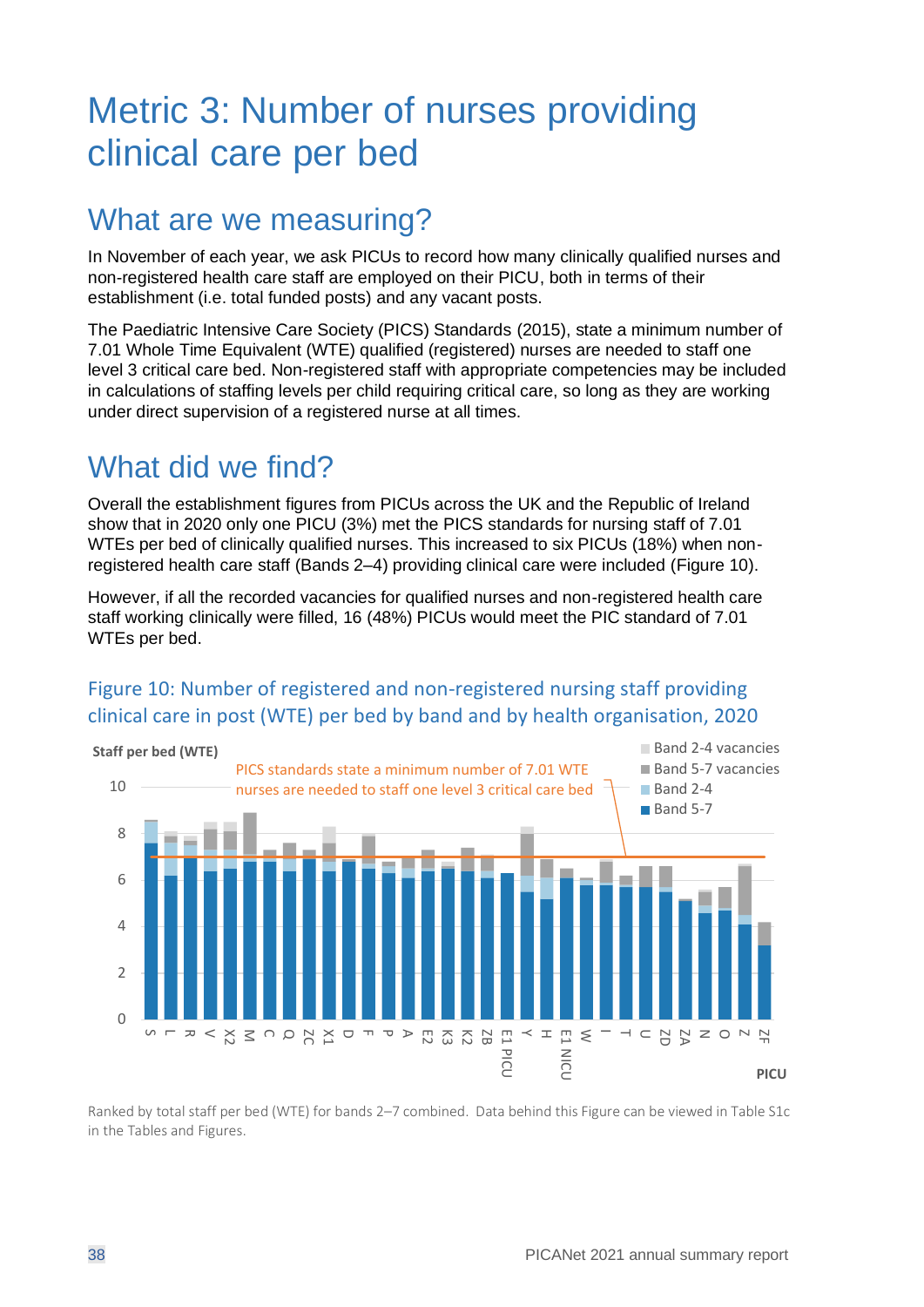## <span id="page-37-0"></span>Metric 3: Number of nurses providing clinical care per bed

### What are we measuring?

In November of each year, we ask PICUs to record how many clinically qualified nurses and non-registered health care staff are employed on their PICU, both in terms of their establishment (i.e. total funded posts) and any vacant posts.

The Paediatric Intensive Care Society (PICS) Standards (2015), state a minimum number of 7.01 Whole Time Equivalent (WTE) qualified (registered) nurses are needed to staff one level 3 critical care bed. Non-registered staff with appropriate competencies may be included in calculations of staffing levels per child requiring critical care, so long as they are working under direct supervision of a registered nurse at all times.

## What did we find?

Overall the establishment figures from PICUs across the UK and the Republic of Ireland show that in 2020 only one PICU (3%) met the PICS standards for nursing staff of 7.01 WTEs per bed of clinically qualified nurses. This increased to six PICUs (18%) when nonregistered health care staff (Bands 2–4) providing clinical care were included [\(Figure 10\)](#page-37-1).

However, if all the recorded vacancies for qualified nurses and non-registered health care staff working clinically were filled, 16 (48%) PICUs would meet the PIC standard of 7.01 WTEs per bed.

#### PICS standards state a minimum number of 7.01 WTE nurses are needed to staff one level 3 critical care bed 0  $\overline{\phantom{a}}$  $\overline{A}$ 6 8 10  $\cup$  $\overline{\phantom{a}}$ 8 ひのとんしゃ マイト マスパイト マスクリス ECC Y H W E1 NICU T U ZD ZA N O Z ZF **Staff per bed (WTE) PICU** Band 2-4 vacancies Band 5-7 vacancies Band 2-4 Band 5-7

#### <span id="page-37-1"></span>Figure 10: Number of registered and non-registered nursing staff providing clinical care in post (WTE) per bed by band and by health organisation, 2020

Ranked by total staff per bed (WTE) for bands 2–7 combined. Data behind this Figure can be viewed in Table S1c in the Tables and Figures.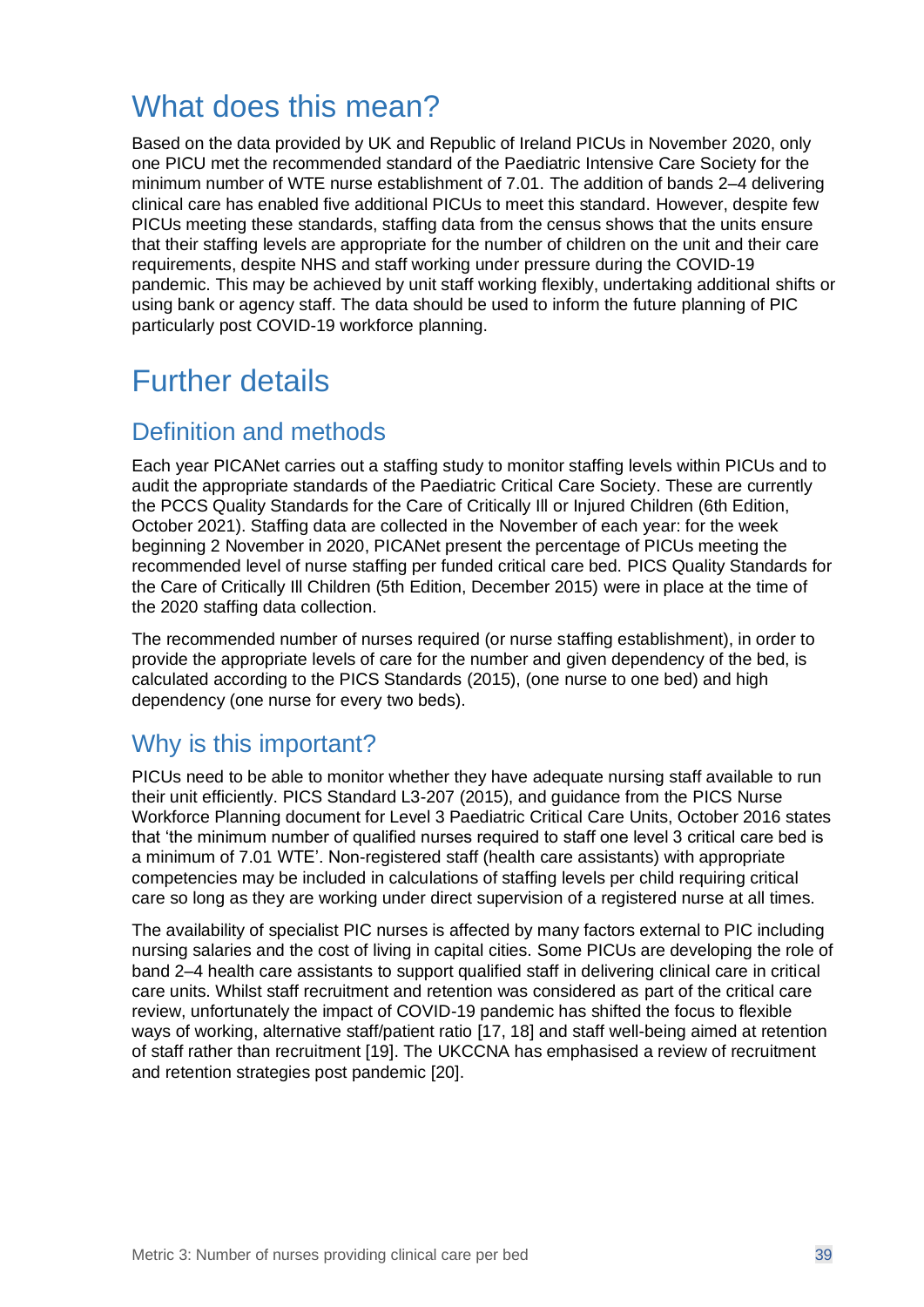## What does this mean?

Based on the data provided by UK and Republic of Ireland PICUs in November 2020, only one PICU met the recommended standard of the Paediatric Intensive Care Society for the minimum number of WTE nurse establishment of 7.01. The addition of bands 2–4 delivering clinical care has enabled five additional PICUs to meet this standard. However, despite few PICUs meeting these standards, staffing data from the census shows that the units ensure that their staffing levels are appropriate for the number of children on the unit and their care requirements, despite NHS and staff working under pressure during the COVID-19 pandemic. This may be achieved by unit staff working flexibly, undertaking additional shifts or using bank or agency staff. The data should be used to inform the future planning of PIC particularly post COVID-19 workforce planning.

## Further details

#### Definition and methods

Each year PICANet carries out a staffing study to monitor staffing levels within PICUs and to audit the appropriate standards of the Paediatric Critical Care Society. These are currently the PCCS Quality Standards for the Care of Critically Ill or Injured Children (6th Edition, October 2021). Staffing data are collected in the November of each year: for the week beginning 2 November in 2020, PICANet present the percentage of PICUs meeting the recommended level of nurse staffing per funded critical care bed. PICS Quality Standards for the Care of Critically Ill Children (5th Edition, December 2015) were in place at the time of the 2020 staffing data collection.

The recommended number of nurses required (or nurse staffing establishment), in order to provide the appropriate levels of care for the number and given dependency of the bed, is calculated according to the PICS Standards (2015), (one nurse to one bed) and high dependency (one nurse for every two beds).

#### Why is this important?

PICUs need to be able to monitor whether they have adequate nursing staff available to run their unit efficiently. PICS Standard L3-207 (2015), and guidance from the PICS Nurse Workforce Planning document for Level 3 Paediatric Critical Care Units, October 2016 states that 'the minimum number of qualified nurses required to staff one level 3 critical care bed is a minimum of 7.01 WTE'. Non-registered staff (health care assistants) with appropriate competencies may be included in calculations of staffing levels per child requiring critical care so long as they are working under direct supervision of a registered nurse at all times.

The availability of specialist PIC nurses is affected by many factors external to PIC including nursing salaries and the cost of living in capital cities. Some PICUs are developing the role of band 2–4 health care assistants to support qualified staff in delivering clinical care in critical care units. Whilst staff recruitment and retention was considered as part of the critical care review, unfortunately the impact of COVID-19 pandemic has shifted the focus to flexible ways of working, alternative staff/patient ratio [17, 18] and staff well-being aimed at retention of staff rather than recruitment [19]. The UKCCNA has emphasised a review of recruitment and retention strategies post pandemic [20].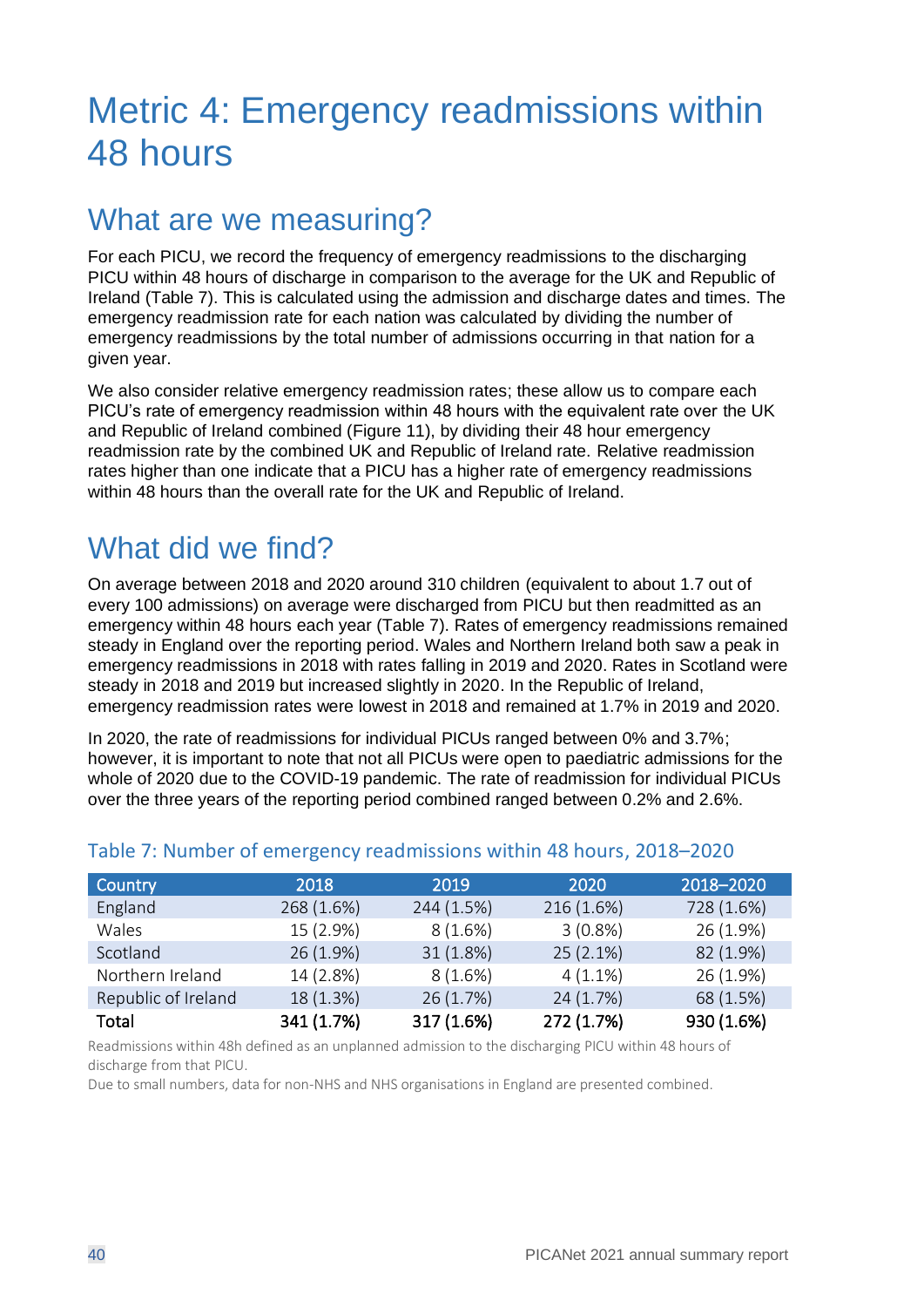## <span id="page-39-0"></span>Metric 4: Emergency readmissions within 48 hours

### What are we measuring?

For each PICU, we record the frequency of emergency readmissions to the discharging PICU within 48 hours of discharge in comparison to the average for the UK and Republic of Ireland [\(Table 7\)](#page-39-1). This is calculated using the admission and discharge dates and times. The emergency readmission rate for each nation was calculated by dividing the number of emergency readmissions by the total number of admissions occurring in that nation for a given year.

We also consider relative emergency readmission rates; these allow us to compare each PICU's rate of emergency readmission within 48 hours with the equivalent rate over the UK and Republic of Ireland combined [\(Figure 11\)](#page-40-0), by dividing their 48 hour emergency readmission rate by the combined UK and Republic of Ireland rate. Relative readmission rates higher than one indicate that a PICU has a higher rate of emergency readmissions within 48 hours than the overall rate for the UK and Republic of Ireland.

## What did we find?

On average between 2018 and 2020 around 310 children (equivalent to about 1.7 out of every 100 admissions) on average were discharged from PICU but then readmitted as an emergency within 48 hours each year [\(Table 7\)](#page-39-1). Rates of emergency readmissions remained steady in England over the reporting period. Wales and Northern Ireland both saw a peak in emergency readmissions in 2018 with rates falling in 2019 and 2020. Rates in Scotland were steady in 2018 and 2019 but increased slightly in 2020. In the Republic of Ireland, emergency readmission rates were lowest in 2018 and remained at 1.7% in 2019 and 2020.

In 2020, the rate of readmissions for individual PICUs ranged between 0% and 3.7%; however, it is important to note that not all PICUs were open to paediatric admissions for the whole of 2020 due to the COVID-19 pandemic. The rate of readmission for individual PICUs over the three years of the reporting period combined ranged between 0.2% and 2.6%.

| Country             | 2018       | 2019       | 2020       | 2018-2020  |
|---------------------|------------|------------|------------|------------|
| England             | 268 (1.6%) | 244 (1.5%) | 216 (1.6%) | 728 (1.6%) |
| Wales               | 15 (2.9%)  | 8(1.6%)    | $3(0.8\%)$ | 26 (1.9%)  |
| Scotland            | 26 (1.9%)  | 31(1.8%)   | 25(2.1%)   | 82 (1.9%)  |
| Northern Ireland    | 14 (2.8%)  | $8(1.6\%)$ | $4(1.1\%)$ | 26 (1.9%)  |
| Republic of Ireland | 18 (1.3%)  | 26(1.7%)   | 24 (1.7%)  | 68 (1.5%)  |
| Total               | 341 (1.7%) | 317 (1.6%) | 272 (1.7%) | 930 (1.6%) |

#### <span id="page-39-1"></span>Table 7: Number of emergency readmissions within 48 hours, 2018–2020

Readmissions within 48h defined as an unplanned admission to the discharging PICU within 48 hours of discharge from that PICU.

Due to small numbers, data for non-NHS and NHS organisations in England are presented combined.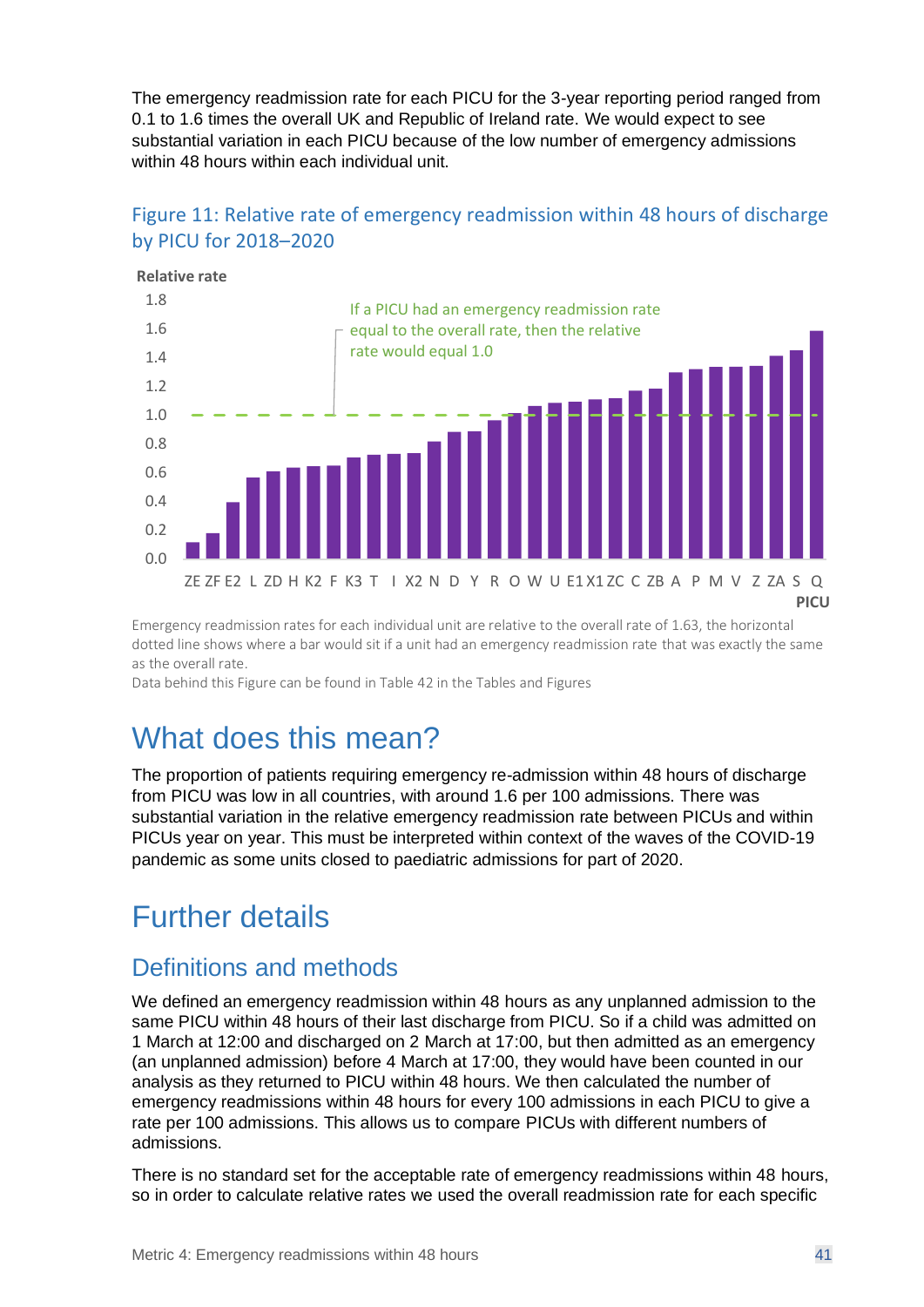The emergency readmission rate for each PICU for the 3-year reporting period ranged from 0.1 to 1.6 times the overall UK and Republic of Ireland rate. We would expect to see substantial variation in each PICU because of the low number of emergency admissions within 48 hours within each individual unit.



#### <span id="page-40-0"></span>Figure 11: Relative rate of emergency readmission within 48 hours of discharge by PICU for 2018–2020

Emergency readmission rates for each individual unit are relative to the overall rate of 1.63, the horizontal dotted line shows where a bar would sit if a unit had an emergency readmission rate that was exactly the same as the overall rate.

Data behind this Figure can be found in Table 42 in the Tables and Figures

## What does this mean?

The proportion of patients requiring emergency re-admission within 48 hours of discharge from PICU was low in all countries, with around 1.6 per 100 admissions. There was substantial variation in the relative emergency readmission rate between PICUs and within PICUs year on year. This must be interpreted within context of the waves of the COVID-19 pandemic as some units closed to paediatric admissions for part of 2020.

## Further details

#### Definitions and methods

We defined an emergency readmission within 48 hours as any unplanned admission to the same PICU within 48 hours of their last discharge from PICU. So if a child was admitted on 1 March at 12:00 and discharged on 2 March at 17:00, but then admitted as an emergency (an unplanned admission) before 4 March at 17:00, they would have been counted in our analysis as they returned to PICU within 48 hours. We then calculated the number of emergency readmissions within 48 hours for every 100 admissions in each PICU to give a rate per 100 admissions. This allows us to compare PICUs with different numbers of admissions.

There is no standard set for the acceptable rate of emergency readmissions within 48 hours, so in order to calculate relative rates we used the overall readmission rate for each specific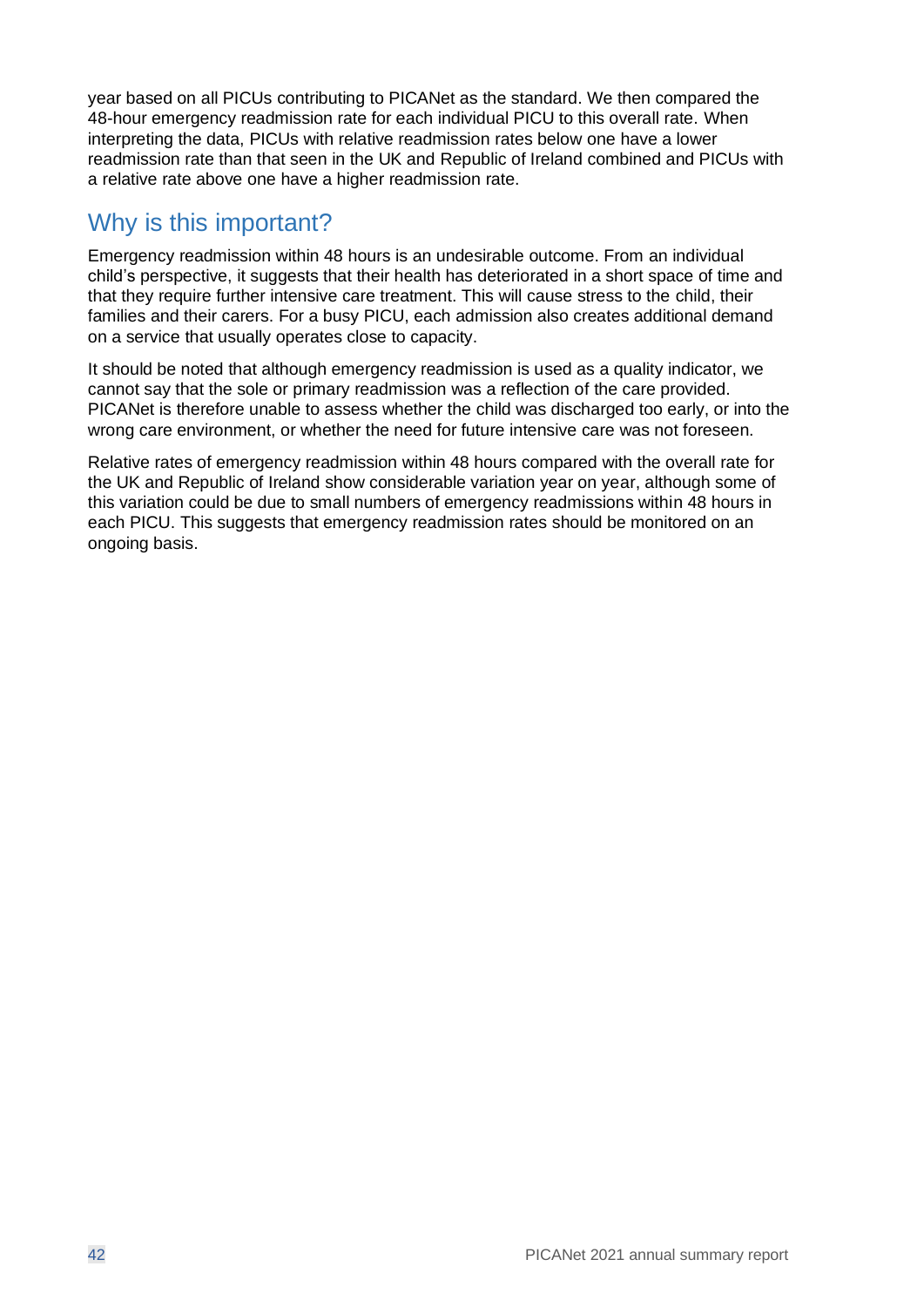year based on all PICUs contributing to PICANet as the standard. We then compared the 48-hour emergency readmission rate for each individual PICU to this overall rate. When interpreting the data, PICUs with relative readmission rates below one have a lower readmission rate than that seen in the UK and Republic of Ireland combined and PICUs with a relative rate above one have a higher readmission rate.

#### Why is this important?

Emergency readmission within 48 hours is an undesirable outcome. From an individual child's perspective, it suggests that their health has deteriorated in a short space of time and that they require further intensive care treatment. This will cause stress to the child, their families and their carers. For a busy PICU, each admission also creates additional demand on a service that usually operates close to capacity.

It should be noted that although emergency readmission is used as a quality indicator, we cannot say that the sole or primary readmission was a reflection of the care provided. PICANet is therefore unable to assess whether the child was discharged too early, or into the wrong care environment, or whether the need for future intensive care was not foreseen.

Relative rates of emergency readmission within 48 hours compared with the overall rate for the UK and Republic of Ireland show considerable variation year on year, although some of this variation could be due to small numbers of emergency readmissions within 48 hours in each PICU. This suggests that emergency readmission rates should be monitored on an ongoing basis.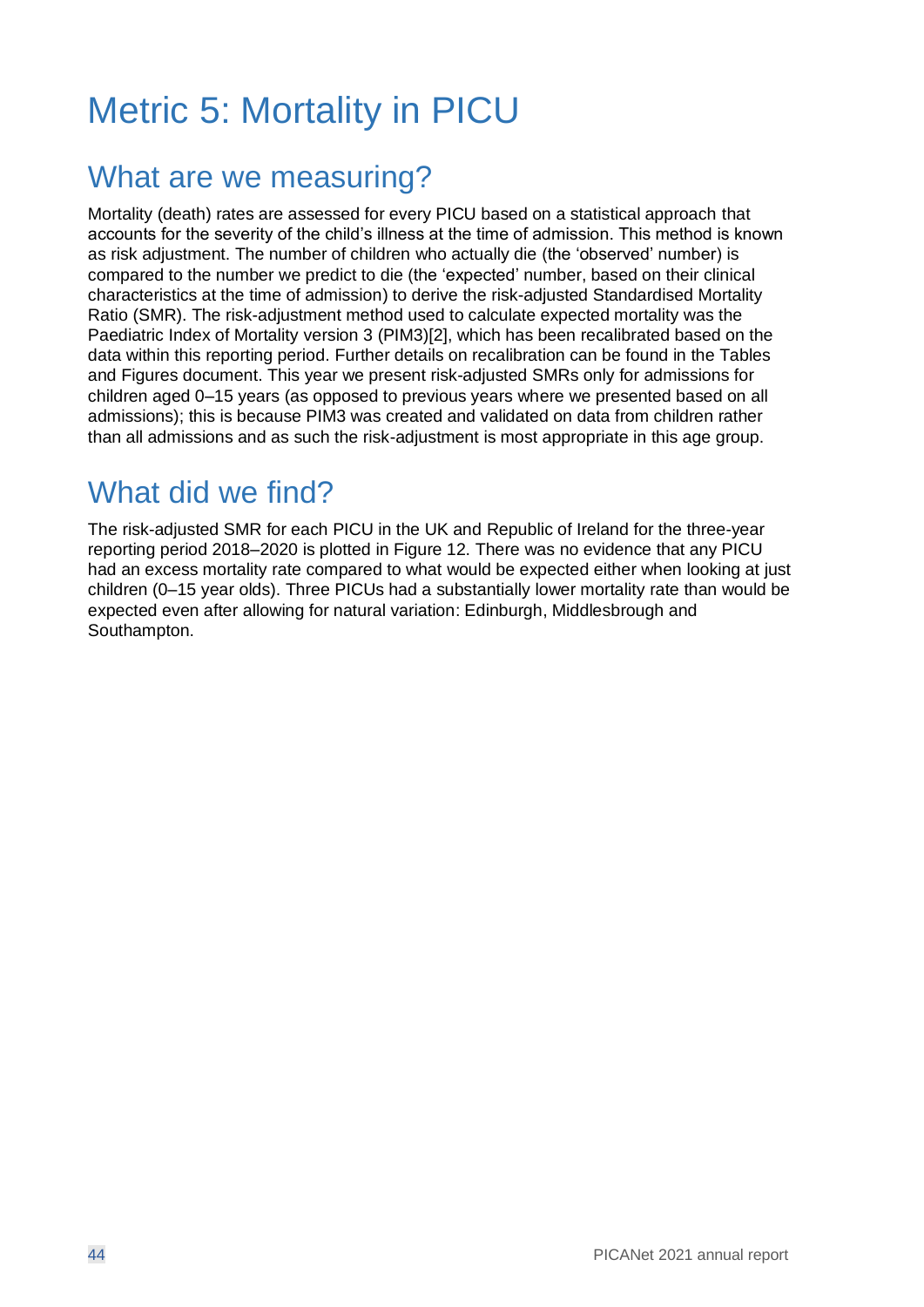## <span id="page-43-0"></span>Metric 5: Mortality in PICU

### What are we measuring?

Mortality (death) rates are assessed for every PICU based on a statistical approach that accounts for the severity of the child's illness at the time of admission. This method is known as risk adjustment. The number of children who actually die (the 'observed' number) is compared to the number we predict to die (the 'expected' number, based on their clinical characteristics at the time of admission) to derive the risk-adjusted Standardised Mortality Ratio (SMR). The risk-adjustment method used to calculate expected mortality was the Paediatric Index of Mortality version 3 (PIM3)[2], which has been recalibrated based on the data within this reporting period. Further details on recalibration can be found in the Tables and Figures document. This year we present risk-adjusted SMRs only for admissions for children aged 0–15 years (as opposed to previous years where we presented based on all admissions); this is because PIM3 was created and validated on data from children rather than all admissions and as such the risk-adjustment is most appropriate in this age group.

## What did we find?

The risk-adjusted SMR for each PICU in the UK and Republic of Ireland for the three-year reporting period 2018–2020 is plotted in [Figure 12.](#page-44-0) There was no evidence that any PICU had an excess mortality rate compared to what would be expected either when looking at just children (0–15 year olds). Three PICUs had a substantially lower mortality rate than would be expected even after allowing for natural variation: Edinburgh, Middlesbrough and Southampton.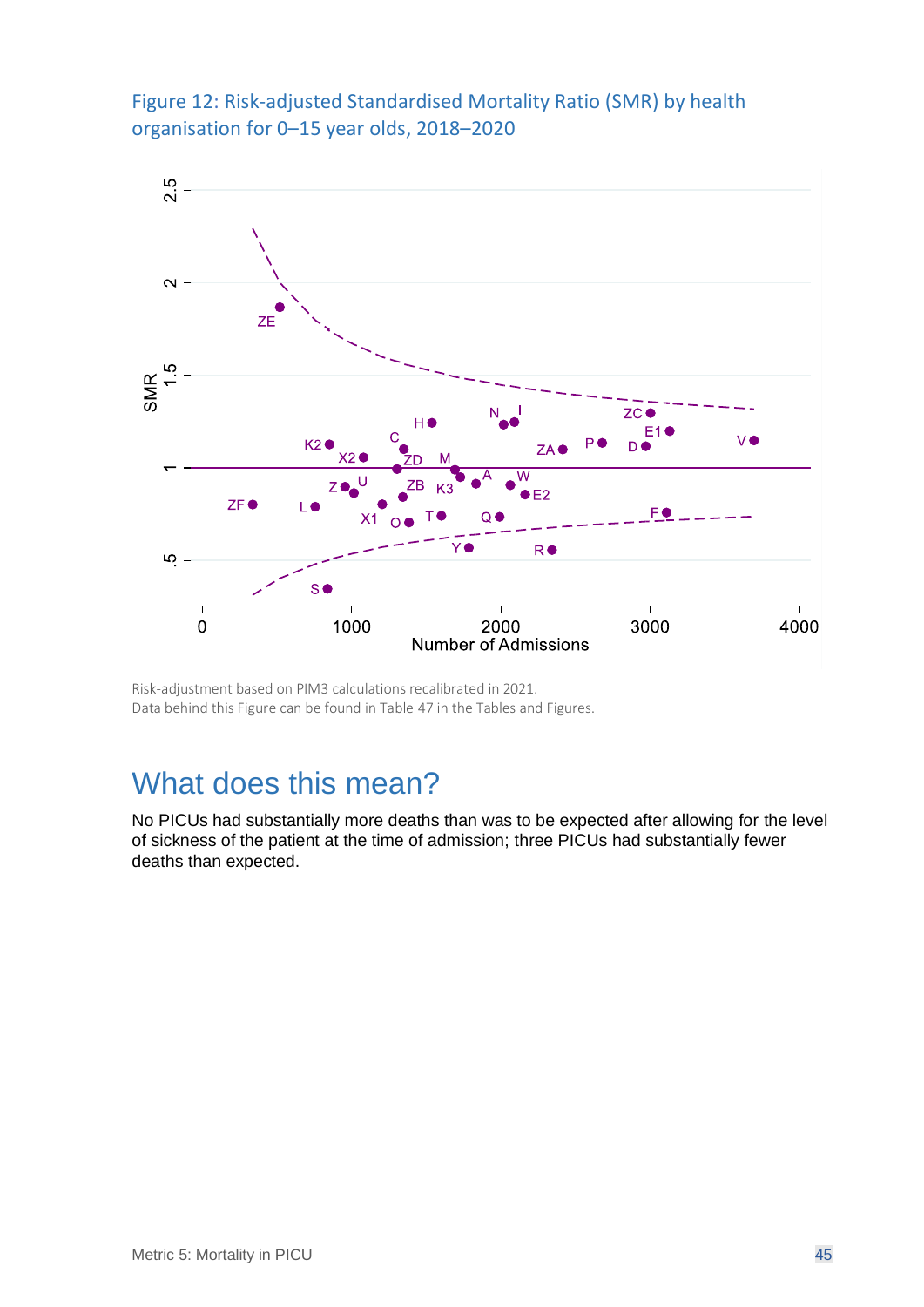<span id="page-44-0"></span>Figure 12: Risk-adjusted Standardised Mortality Ratio (SMR) by health organisation for 0–15 year olds, 2018–2020



Risk-adjustment based on PIM3 calculations recalibrated in 2021. Data behind this Figure can be found in Table 47 in the Tables and Figures.

## What does this mean?

No PICUs had substantially more deaths than was to be expected after allowing for the level of sickness of the patient at the time of admission; three PICUs had substantially fewer deaths than expected.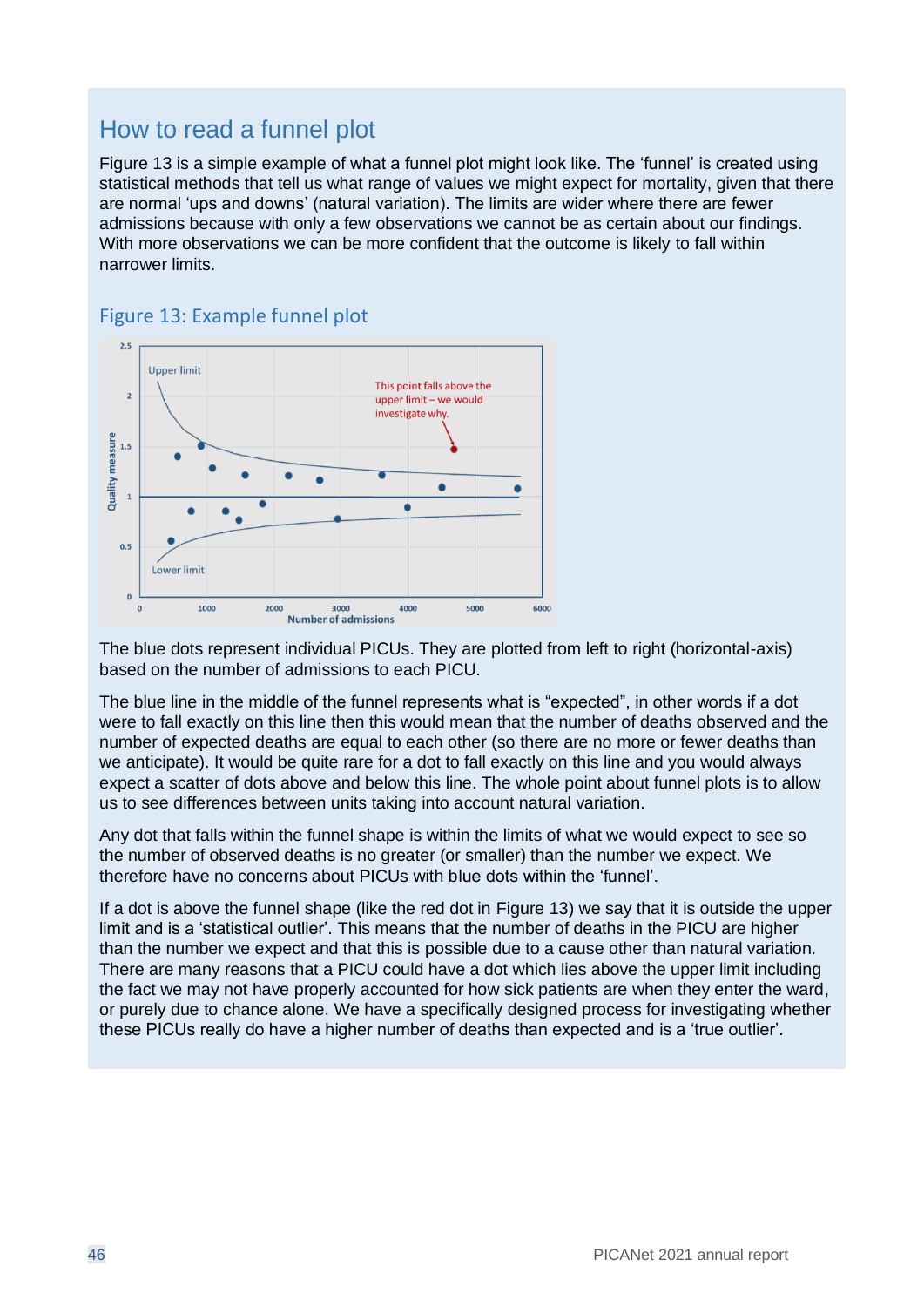#### How to read a funnel plot

[Figure 13](#page-45-0) is a simple example of what a funnel plot might look like. The 'funnel' is created using statistical methods that tell us what range of values we might expect for mortality, given that there are normal 'ups and downs' (natural variation). The limits are wider where there are fewer admissions because with only a few observations we cannot be as certain about our findings. With more observations we can be more confident that the outcome is likely to fall within narrower limits.



#### <span id="page-45-0"></span>Figure 13: Example funnel plot

The blue dots represent individual PICUs. They are plotted from left to right (horizontal-axis) based on the number of admissions to each PICU.

The blue line in the middle of the funnel represents what is "expected", in other words if a dot were to fall exactly on this line then this would mean that the number of deaths observed and the number of expected deaths are equal to each other (so there are no more or fewer deaths than we anticipate). It would be quite rare for a dot to fall exactly on this line and you would always expect a scatter of dots above and below this line. The whole point about funnel plots is to allow us to see differences between units taking into account natural variation.

Any dot that falls within the funnel shape is within the limits of what we would expect to see so the number of observed deaths is no greater (or smaller) than the number we expect. We therefore have no concerns about PICUs with blue dots within the 'funnel'.

If a dot is above the funnel shape (like the red dot in [Figure 13\)](#page-45-0) we say that it is outside the upper limit and is a 'statistical outlier'. This means that the number of deaths in the PICU are higher than the number we expect and that this is possible due to a cause other than natural variation. There are many reasons that a PICU could have a dot which lies above the upper limit including the fact we may not have properly accounted for how sick patients are when they enter the ward, or purely due to chance alone. We have a specifically designed process for investigating whether these PICUs really do have a higher number of deaths than expected and is a 'true outlier'.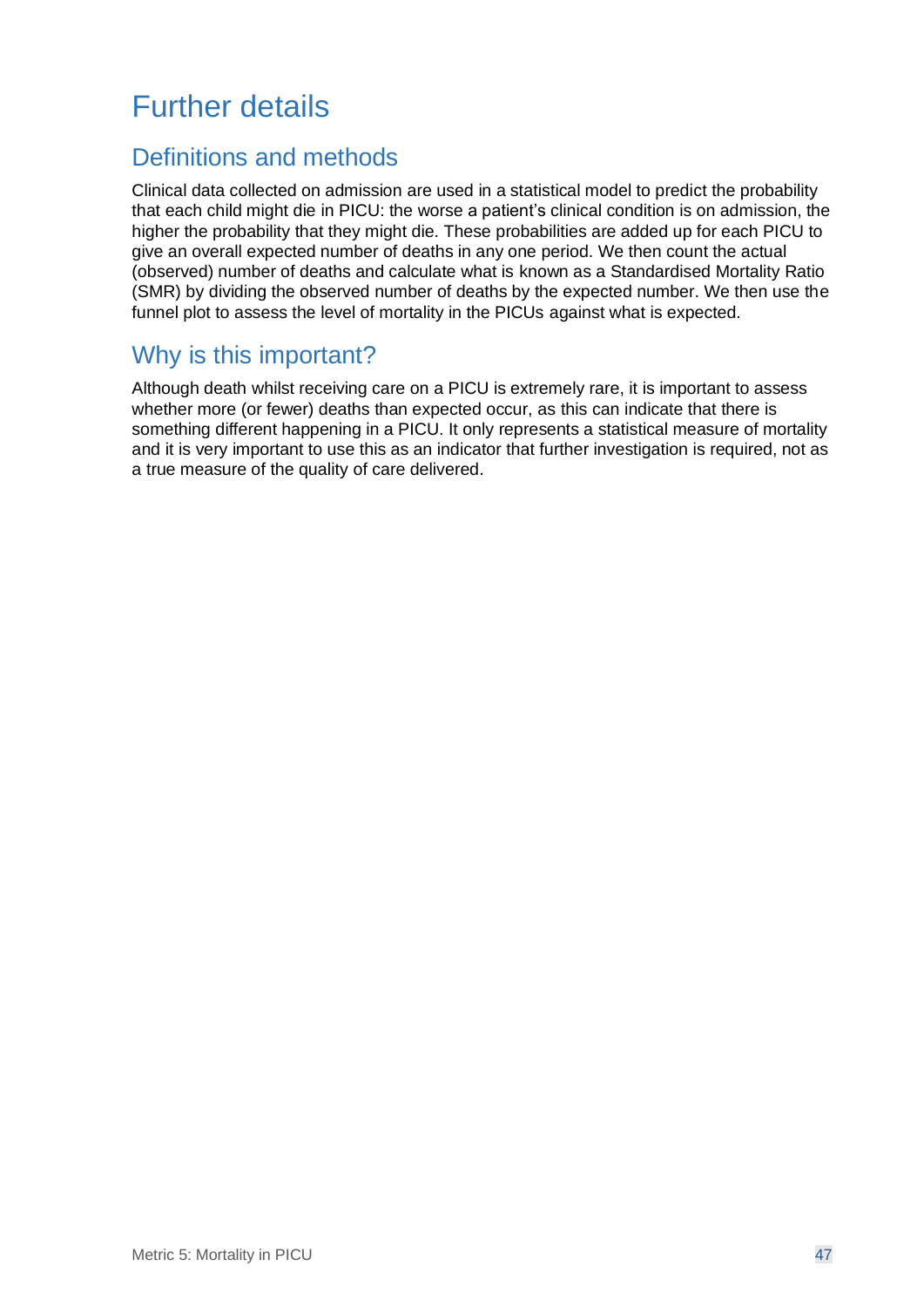## Further details

#### Definitions and methods

Clinical data collected on admission are used in a statistical model to predict the probability that each child might die in PICU: the worse a patient's clinical condition is on admission, the higher the probability that they might die. These probabilities are added up for each PICU to give an overall expected number of deaths in any one period. We then count the actual (observed) number of deaths and calculate what is known as a Standardised Mortality Ratio (SMR) by dividing the observed number of deaths by the expected number. We then use the funnel plot to assess the level of mortality in the PICUs against what is expected.

#### Why is this important?

Although death whilst receiving care on a PICU is extremely rare, it is important to assess whether more (or fewer) deaths than expected occur, as this can indicate that there is something different happening in a PICU. It only represents a statistical measure of mortality and it is very important to use this as an indicator that further investigation is required, not as a true measure of the quality of care delivered.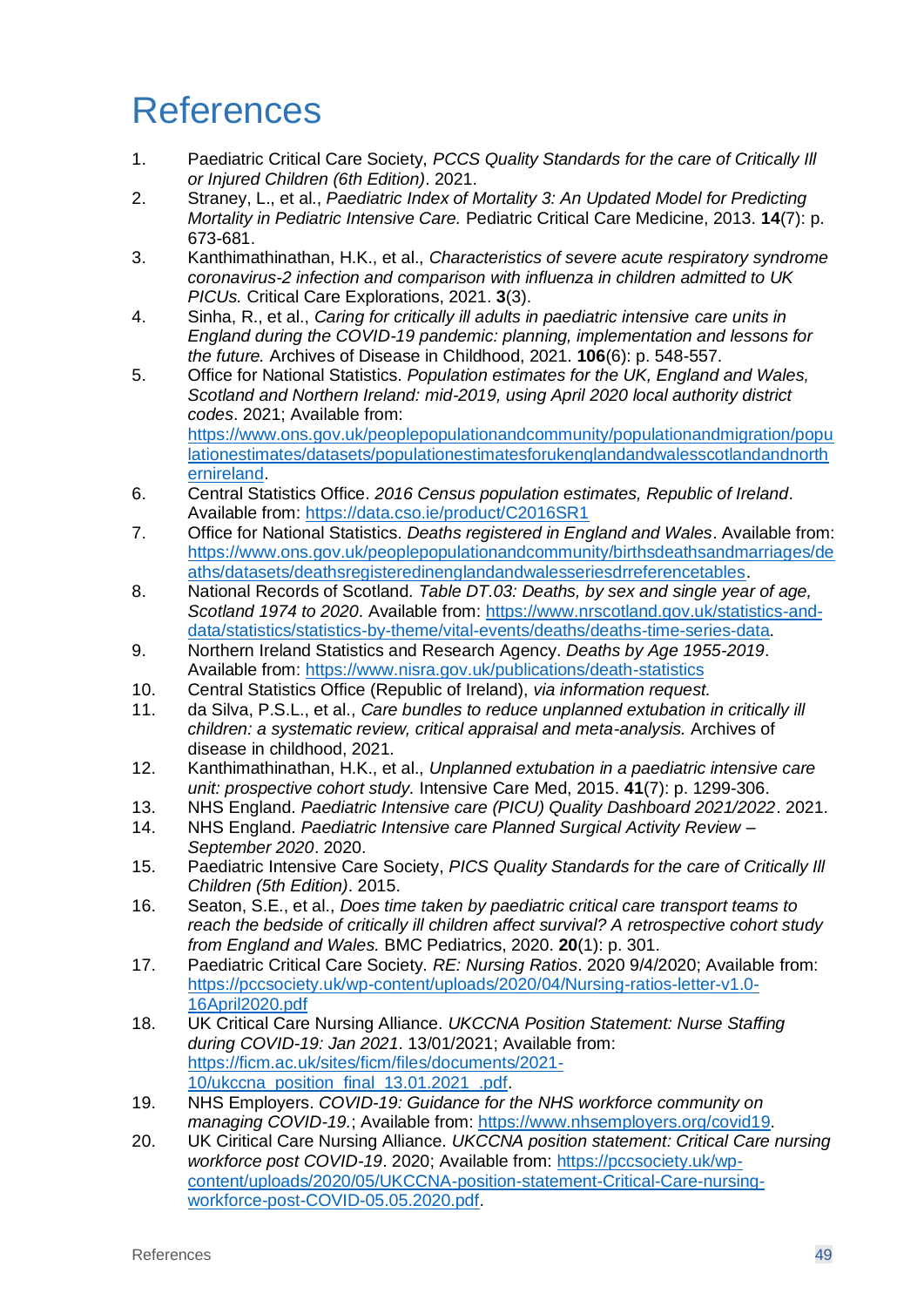## <span id="page-48-0"></span>References

- 1. Paediatric Critical Care Society, *PCCS Quality Standards for the care of Critically Ill or Injured Children (6th Edition)*. 2021.
- 2. Straney, L., et al., *Paediatric Index of Mortality 3: An Updated Model for Predicting Mortality in Pediatric Intensive Care.* Pediatric Critical Care Medicine, 2013. **14**(7): p. 673-681.
- 3. Kanthimathinathan, H.K., et al., *Characteristics of severe acute respiratory syndrome coronavirus-2 infection and comparison with influenza in children admitted to UK PICUs.* Critical Care Explorations, 2021. **3**(3).
- 4. Sinha, R., et al., *Caring for critically ill adults in paediatric intensive care units in England during the COVID-19 pandemic: planning, implementation and lessons for the future.* Archives of Disease in Childhood, 2021. **106**(6): p. 548-557.
- 5. Office for National Statistics. *Population estimates for the UK, England and Wales, Scotland and Northern Ireland: mid-2019, using April 2020 local authority district codes*. 2021; Available from: [https://www.ons.gov.uk/peoplepopulationandcommunity/populationandmigration/popu](https://www.ons.gov.uk/peoplepopulationandcommunity/populationandmigration/populationestimates/datasets/populationestimatesforukenglandandwalesscotlandandnorthernireland) [lationestimates/datasets/populationestimatesforukenglandandwalesscotlandandnorth](https://www.ons.gov.uk/peoplepopulationandcommunity/populationandmigration/populationestimates/datasets/populationestimatesforukenglandandwalesscotlandandnorthernireland)
- [ernireland.](https://www.ons.gov.uk/peoplepopulationandcommunity/populationandmigration/populationestimates/datasets/populationestimatesforukenglandandwalesscotlandandnorthernireland) 6. Central Statistics Office. *2016 Census population estimates, Republic of Ireland*. Available from:<https://data.cso.ie/product/C2016SR1>
- 7. Office for National Statistics. *Deaths registered in England and Wales*. Available from: [https://www.ons.gov.uk/peoplepopulationandcommunity/birthsdeathsandmarriages/de](https://www.ons.gov.uk/peoplepopulationandcommunity/birthsdeathsandmarriages/deaths/datasets/deathsregisteredinenglandandwalesseriesdrreferencetables) [aths/datasets/deathsregisteredinenglandandwalesseriesdrreferencetables.](https://www.ons.gov.uk/peoplepopulationandcommunity/birthsdeathsandmarriages/deaths/datasets/deathsregisteredinenglandandwalesseriesdrreferencetables)
- 8. National Records of Scotland. *Table DT.03: Deaths, by sex and single year of age, Scotland 1974 to 2020*. Available from: [https://www.nrscotland.gov.uk/statistics-and](https://www.nrscotland.gov.uk/statistics-and-data/statistics/statistics-by-theme/vital-events/deaths/deaths-time-series-data)[data/statistics/statistics-by-theme/vital-events/deaths/deaths-time-series-data.](https://www.nrscotland.gov.uk/statistics-and-data/statistics/statistics-by-theme/vital-events/deaths/deaths-time-series-data)
- 9. Northern Ireland Statistics and Research Agency. *Deaths by Age 1955-2019*. Available from:<https://www.nisra.gov.uk/publications/death-statistics>
- 10. Central Statistics Office (Republic of Ireland), *via information request.*
- 11. da Silva, P.S.L., et al., *Care bundles to reduce unplanned extubation in critically ill children: a systematic review, critical appraisal and meta-analysis.* Archives of disease in childhood, 2021.
- 12. Kanthimathinathan, H.K., et al., *Unplanned extubation in a paediatric intensive care unit: prospective cohort study.* Intensive Care Med, 2015. **41**(7): p. 1299-306.
- 13. NHS England. *Paediatric Intensive care (PICU) Quality Dashboard 2021/2022*. 2021.
- 14. NHS England. *Paediatric Intensive care Planned Surgical Activity Review – September 2020*. 2020.
- 15. Paediatric Intensive Care Society, *PICS Quality Standards for the care of Critically Ill Children (5th Edition)*. 2015.
- 16. Seaton, S.E., et al., *Does time taken by paediatric critical care transport teams to reach the bedside of critically ill children affect survival? A retrospective cohort study from England and Wales.* BMC Pediatrics, 2020. **20**(1): p. 301.
- 17. Paediatric Critical Care Society. *RE: Nursing Ratios*. 2020 9/4/2020; Available from: [https://pccsociety.uk/wp-content/uploads/2020/04/Nursing-ratios-letter-v1.0-](https://pccsociety.uk/wp-content/uploads/2020/04/Nursing-ratios-letter-v1.0-16April2020.pdf) [16April2020.pdf](https://pccsociety.uk/wp-content/uploads/2020/04/Nursing-ratios-letter-v1.0-16April2020.pdf)
- 18. UK Critical Care Nursing Alliance. *UKCCNA Position Statement: Nurse Staffing during COVID-19: Jan 2021*. 13/01/2021; Available from: [https://ficm.ac.uk/sites/ficm/files/documents/2021-](https://ficm.ac.uk/sites/ficm/files/documents/2021-10/ukccna_position_final_13.01.2021_.pdf) [10/ukccna\\_position\\_final\\_13.01.2021\\_.pdf.](https://ficm.ac.uk/sites/ficm/files/documents/2021-10/ukccna_position_final_13.01.2021_.pdf)
- 19. NHS Employers. *COVID-19: Guidance for the NHS workforce community on managing COVID-19.*; Available from: [https://www.nhsemployers.org/covid19.](https://www.nhsemployers.org/covid19)
- 20. UK Ciritical Care Nursing Alliance. *UKCCNA position statement: Critical Care nursing workforce post COVID-19*. 2020; Available from: [https://pccsociety.uk/wp](https://pccsociety.uk/wp-content/uploads/2020/05/UKCCNA-position-statement-Critical-Care-nursing-workforce-post-COVID-05.05.2020.pdf)[content/uploads/2020/05/UKCCNA-position-statement-Critical-Care-nursing](https://pccsociety.uk/wp-content/uploads/2020/05/UKCCNA-position-statement-Critical-Care-nursing-workforce-post-COVID-05.05.2020.pdf)[workforce-post-COVID-05.05.2020.pdf.](https://pccsociety.uk/wp-content/uploads/2020/05/UKCCNA-position-statement-Critical-Care-nursing-workforce-post-COVID-05.05.2020.pdf)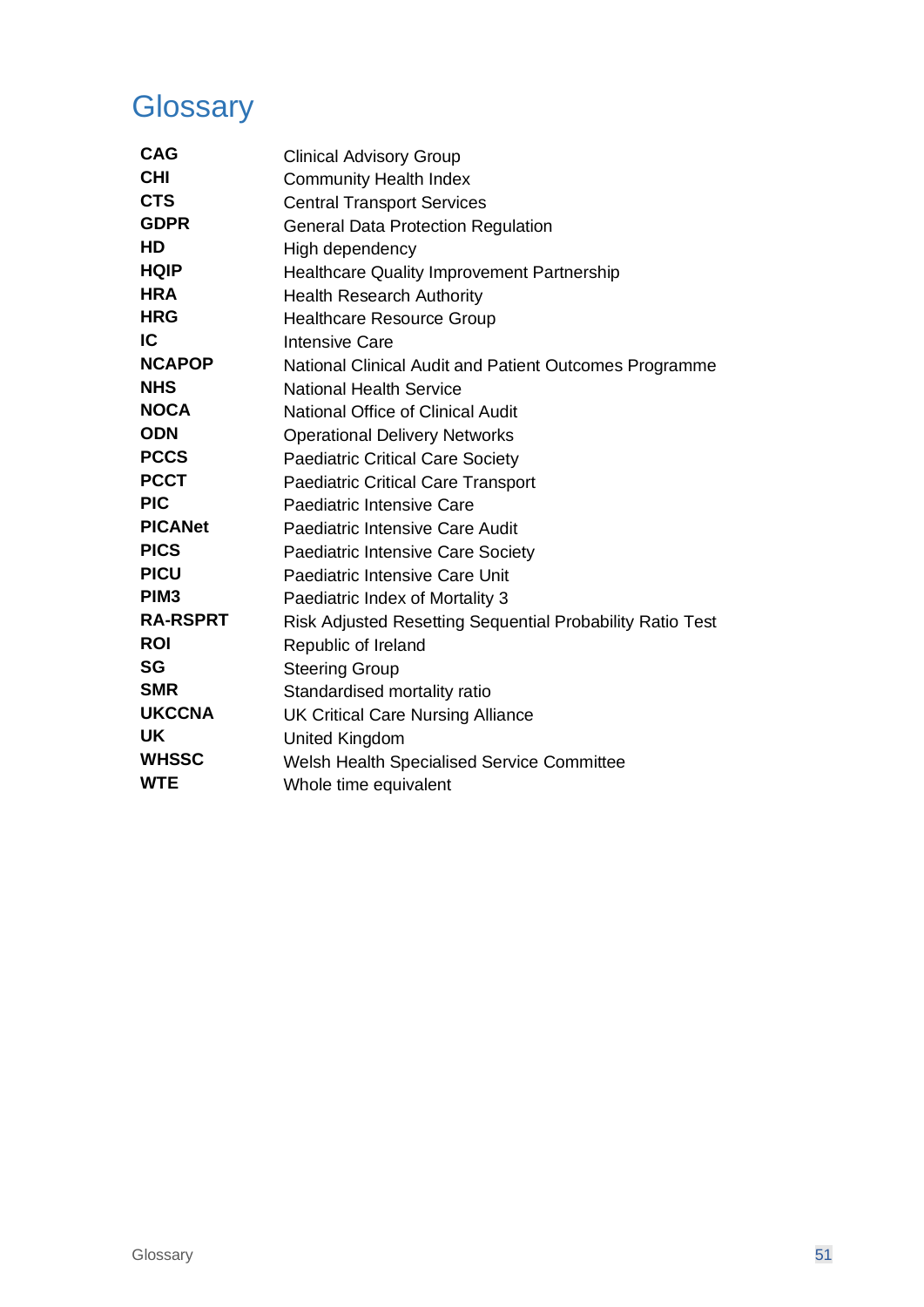## <span id="page-50-0"></span>**Glossary**

| <b>CAG</b>       | <b>Clinical Advisory Group</b>                            |
|------------------|-----------------------------------------------------------|
| <b>CHI</b>       | <b>Community Health Index</b>                             |
| <b>CTS</b>       | <b>Central Transport Services</b>                         |
| <b>GDPR</b>      | <b>General Data Protection Regulation</b>                 |
| HD               | High dependency                                           |
| <b>HQIP</b>      | <b>Healthcare Quality Improvement Partnership</b>         |
| <b>HRA</b>       | <b>Health Research Authority</b>                          |
| <b>HRG</b>       | <b>Healthcare Resource Group</b>                          |
| IC               | <b>Intensive Care</b>                                     |
| <b>NCAPOP</b>    | National Clinical Audit and Patient Outcomes Programme    |
| <b>NHS</b>       | <b>National Health Service</b>                            |
| <b>NOCA</b>      | <b>National Office of Clinical Audit</b>                  |
| <b>ODN</b>       | <b>Operational Delivery Networks</b>                      |
| <b>PCCS</b>      | <b>Paediatric Critical Care Society</b>                   |
| <b>PCCT</b>      | <b>Paediatric Critical Care Transport</b>                 |
| <b>PIC</b>       | Paediatric Intensive Care                                 |
| <b>PICANet</b>   | Paediatric Intensive Care Audit                           |
| <b>PICS</b>      | <b>Paediatric Intensive Care Society</b>                  |
| <b>PICU</b>      | Paediatric Intensive Care Unit                            |
| PIM <sub>3</sub> | Paediatric Index of Mortality 3                           |
| <b>RA-RSPRT</b>  | Risk Adjusted Resetting Sequential Probability Ratio Test |
| <b>ROI</b>       | Republic of Ireland                                       |
| <b>SG</b>        | <b>Steering Group</b>                                     |
| <b>SMR</b>       | Standardised mortality ratio                              |
| <b>UKCCNA</b>    | <b>UK Critical Care Nursing Alliance</b>                  |
| <b>UK</b>        | <b>United Kingdom</b>                                     |
| <b>WHSSC</b>     | Welsh Health Specialised Service Committee                |
| <b>WTE</b>       | Whole time equivalent                                     |